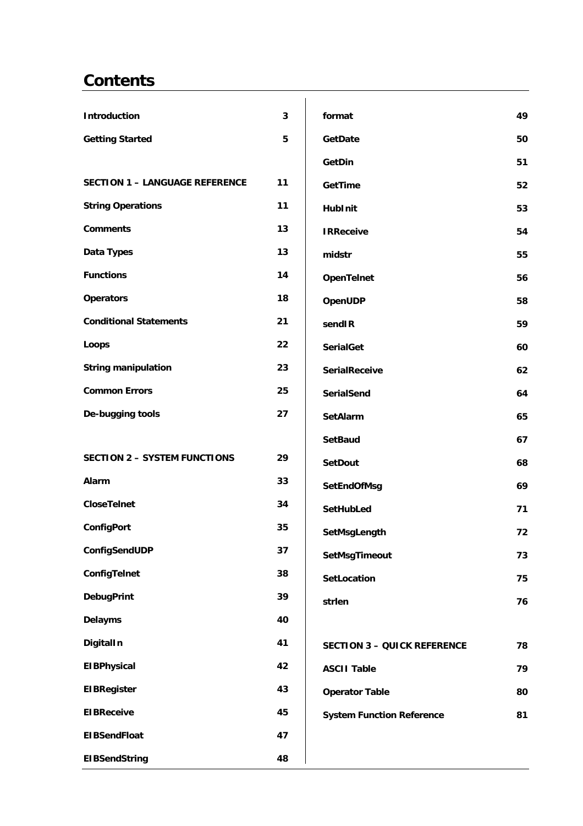# **Contents**

| <b>Introduction</b>                   | 3  | format                             | 49 |
|---------------------------------------|----|------------------------------------|----|
| <b>Getting Started</b>                | 5  | GetDate                            | 50 |
|                                       |    | GetDin                             | 51 |
| <b>SECTION 1 - LANGUAGE REFERENCE</b> | 11 | GetTime                            | 52 |
| <b>String Operations</b>              | 11 | <b>Hublnit</b>                     | 53 |
| <b>Comments</b>                       | 13 | <b>IRReceive</b>                   | 54 |
| Data Types                            | 13 | midstr                             | 55 |
| <b>Functions</b>                      | 14 | OpenTelnet                         | 56 |
| <b>Operators</b>                      | 18 | OpenUDP                            | 58 |
| <b>Conditional Statements</b>         | 21 | sendIR                             | 59 |
| Loops                                 | 22 | <b>SerialGet</b>                   | 60 |
| <b>String manipulation</b>            | 23 | <b>SerialReceive</b>               | 62 |
| <b>Common Errors</b>                  | 25 | <b>SerialSend</b>                  | 64 |
| De-bugging tools                      | 27 | <b>SetAlarm</b>                    | 65 |
|                                       |    | <b>SetBaud</b>                     | 67 |
| <b>SECTION 2 - SYSTEM FUNCTIONS</b>   | 29 | <b>SetDout</b>                     | 68 |
| Alarm                                 | 33 | SetEndOfMsg                        | 69 |
| <b>CloseTeInet</b>                    | 34 | <b>SetHubLed</b>                   | 71 |
| <b>ConfigPort</b>                     | 35 | SetMsgLength                       | 72 |
| ConfigSendUDP                         | 37 | SetMsgTimeout                      | 73 |
| ConfigTelnet                          | 38 | SetLocation                        | 75 |
| <b>DebugPrint</b>                     | 39 | strlen                             | 76 |
| <b>Delayms</b>                        | 40 |                                    |    |
| DigitalIn                             | 41 | <b>SECTION 3 - QUICK REFERENCE</b> | 78 |
| <b>EIBPhysical</b>                    | 42 | <b>ASCII Table</b>                 | 79 |
| <b>EIBRegister</b>                    | 43 | <b>Operator Table</b>              | 80 |
| <b>EIBReceive</b>                     | 45 | <b>System Function Reference</b>   | 81 |
| <b>EIBSendFloat</b>                   | 47 |                                    |    |
| <b>EIBSendString</b>                  | 48 |                                    |    |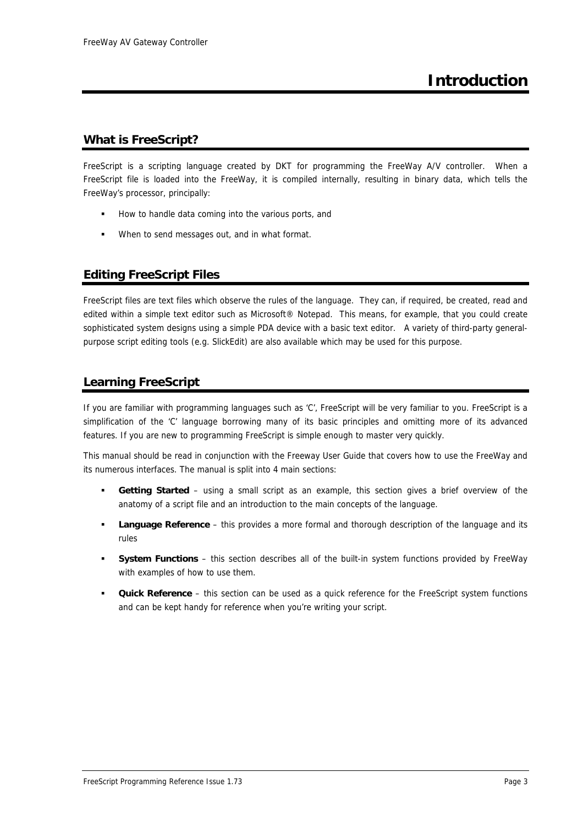# **What is FreeScript?**

FreeScript is a scripting language created by DKT for programming the FreeWay A/V controller. When a FreeScript file is loaded into the FreeWay, it is compiled internally, resulting in binary data, which tells the FreeWay's processor, principally:

- How to handle data coming into the various ports, and
- When to send messages out, and in what format.

# **Editing FreeScript Files**

FreeScript files are text files which observe the rules of the language. They can, if required, be created, read and edited within a simple text editor such as Microsoft® Notepad. This means, for example, that you could create sophisticated system designs using a simple PDA device with a basic text editor. A variety of third-party generalpurpose script editing tools (e.g. SlickEdit) are also available which may be used for this purpose.

# **Learning FreeScript**

If you are familiar with programming languages such as 'C', FreeScript will be very familiar to you. FreeScript is a simplification of the 'C' language borrowing many of its basic principles and omitting more of its advanced features. If you are new to programming FreeScript is simple enough to master very quickly.

This manual should be read in conjunction with the Freeway User Guide that covers how to use the FreeWay and its numerous interfaces. The manual is split into 4 main sections:

- **Getting Started** using a small script as an example, this section gives a brief overview of the anatomy of a script file and an introduction to the main concepts of the language.
- **Language Reference** this provides a more formal and thorough description of the language and its rules
- **System Functions** this section describes all of the built-in system functions provided by FreeWay with examples of how to use them.
- **Quick Reference** this section can be used as a quick reference for the FreeScript system functions and can be kept handy for reference when you're writing your script.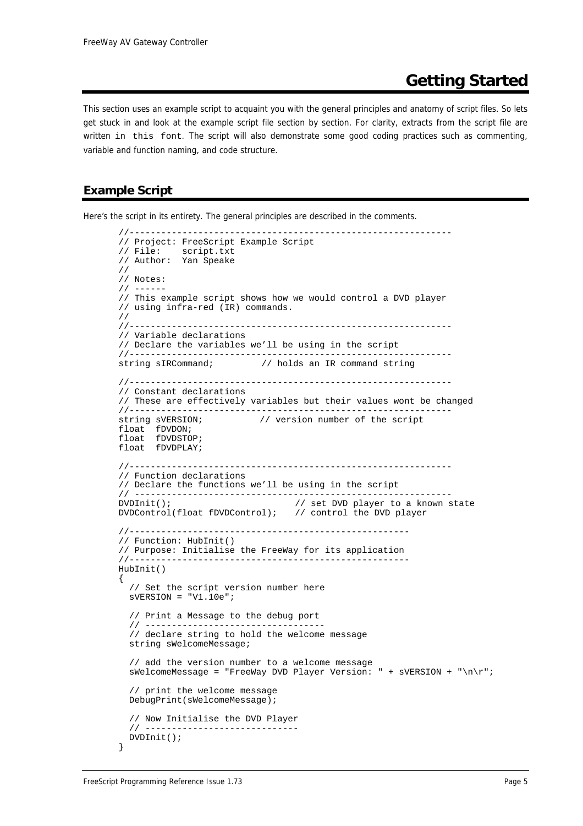# **Getting Started**

This section uses an example script to acquaint you with the general principles and anatomy of script files. So lets get stuck in and look at the example script file section by section. For clarity, extracts from the script file are written in this font. The script will also demonstrate some good coding practices such as commenting, variable and function naming, and code structure.

# **Example Script**

Here's the script in its entirety. The general principles are described in the comments.

```
//------------------------------------------------------------- 
// Project: FreeScript Example Script 
// File: script.txt 
// Author: Yan Speake 
// 
// Notes: 
// ----
// This example script shows how we would control a DVD player 
// using infra-red (IR) commands. 
// 
//------------------------------------------------------------- 
// Variable declarations 
// Declare the variables we'll be using in the script 
//------------------------------------------------------------- 
                            // holds an IR command string
//------------------------------------------------------------- 
// Constant declarations 
// These are effectively variables but their values wont be changed 
\begin{array}{ccccc} \n// & \texttt{-----} & \texttt{-----} & \n    & \texttt{||} & \n    & \texttt{||} & \n    & \texttt{||} & \n    & \texttt{||} & \n    & \texttt{||} & \n    & \n    & \texttt{||} & \n    & \texttt{||} & \n    & \texttt{||} & \n    & \n    & \texttt{||} & \n    & \n    & \texttt{||} & \n    & \n    & \texttt{||} & \n    & \n    & \n    & \texttt{||} & \n    & \n    & \texttt{||} & \n    & \n    & \texttt{||} & \n    & \n    &// version number of the script
float fDVDON; 
float fDVDSTOP; 
float fDVDPLAY; 
//------------------------------------------------------------- 
// Function declarations 
// Declare the functions we'll be using in the script 
// ------------------------------------------------------------ 
                                           // set DVD player to a known state
DVDControl(float fDVDControl); // control the DVD player 
//----------------------------------------------------- 
// Function: HubInit() 
// Purpose: Initialise the FreeWay for its application 
//----------------------------------------------------- 
HubInit() 
{ 
   // Set the script version number here 
  sVERSION = "V1.10e"; // Print a Message to the debug port 
   // ---------------------------------- 
   // declare string to hold the welcome message 
   string sWelcomeMessage; 
   // add the version number to a welcome message 
  sWelcomeMessage = "FreeWay DVD Player Version: " + sVERSION + "\ln r;
   // print the welcome message 
   DebugPrint(sWelcomeMessage); 
   // Now Initialise the DVD Player 
   // ----------------------------- 
   DVDInit(); 
}
```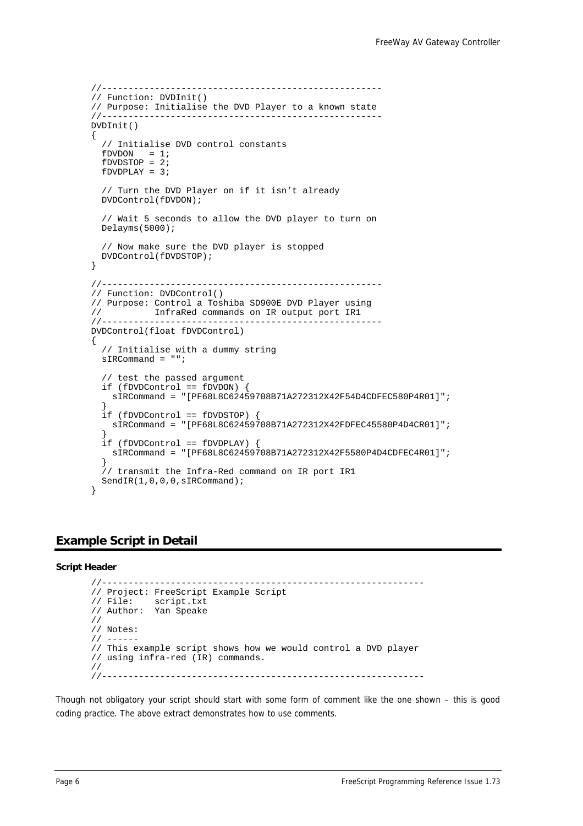```
//----------------------------------------------------- 
// Function: DVDInit() 
// Purpose: Initialise the DVD Player to a known state 
         //----------------------------------------------------- 
DVDInit() 
{ 
   // Initialise DVD control constants 
  fDVDON = 1;
  fDVDSTOP = 2;
  fDVDPLAY = 3;
   // Turn the DVD Player on if it isn't already 
   DVDControl(fDVDON); 
   // Wait 5 seconds to allow the DVD player to turn on 
   Delayms(5000); 
   // Now make sure the DVD player is stopped 
  DVDControl(fDVDSTOP); 
} 
//----------------------------------------------------- 
// Function: DVDControl() 
// Purpose: Control a Toshiba SD900E DVD Player using 
// InfraRed commands on IR output port IR1 
//----------------------------------------------------- 
DVDControl(float fDVDControl) 
{ 
   // Initialise with a dummy string 
   sIRCommand = ""; 
   // test the passed argument 
   if (fDVDControl == fDVDON) { 
    sIRCommand = "[PF68L8C62459708B71A272312X42F54D4CDFEC580P4R01]";
 } 
   if (fDVDControl == fDVDSTOP) { 
    sIRCommand = "[PFG8L8C62459708B71A272312X42FDFEC45580P4D4CR01]"; } 
   if (fDVDControl == fDVDPLAY) { 
     sIRCommand = "[PF68L8C62459708B71A272312X42F5580P4D4CDFEC4R01]"; 
 } 
   // transmit the Infra-Red command on IR port IR1 
  SendIR(1,0,0,0,sIRCommand);
}
```
# **Example Script in Detail**

### **Script Header**

```
//------------------------------------------------------------- 
// Project: FreeScript Example Script 
// File: script.txt 
// Author: Yan Speake 
// 
// Notes: 
// - -// This example script shows how we would control a DVD player 
// using infra-red (IR) commands. 
// 
//-------------------------------------------------------------
```
Though not obligatory your script should start with some form of comment like the one shown – this is good coding practice. The above extract demonstrates how to use comments.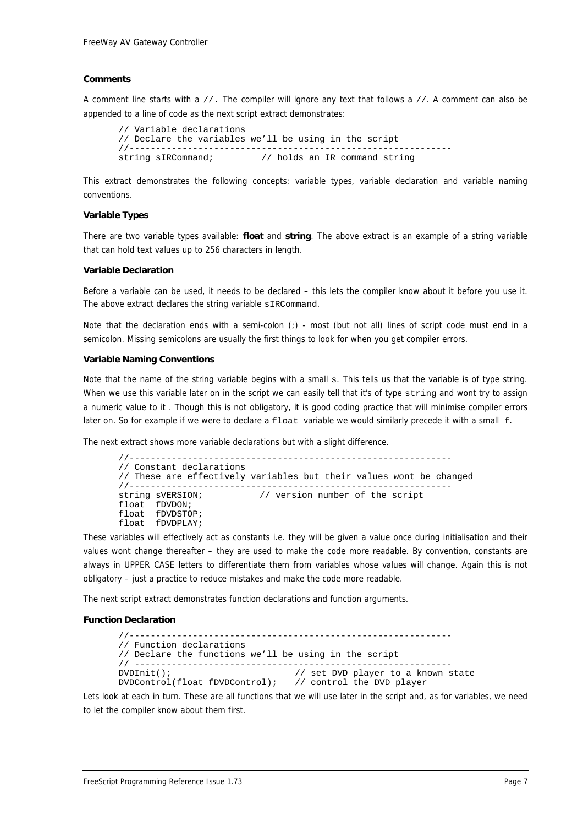### **Comments**

A comment line starts with a //. The compiler will ignore any text that follows a //. A comment can also be appended to a line of code as the next script extract demonstrates:

```
// Variable declarations 
// Declare the variables we'll be using in the script 
//------------------------------------------------------------- 
string sIRCommand; \frac{1}{2} // holds an IR command string
```
This extract demonstrates the following concepts: variable types, variable declaration and variable naming conventions.

#### **Variable Types**

There are two variable types available: **float** and **string**. The above extract is an example of a string variable that can hold text values up to 256 characters in length.

#### **Variable Declaration**

Before a variable can be used, it needs to be declared – this lets the compiler know about it before you use it. The above extract declares the string variable sIRCommand.

Note that the declaration ends with a semi-colon (;) - most (but not all) lines of script code must end in a semicolon. Missing semicolons are usually the first things to look for when you get compiler errors.

### **Variable Naming Conventions**

Note that the name of the string variable begins with a small s. This tells us that the variable is of type string. When we use this variable later on in the script we can easily tell that it's of type string and wont try to assign a numeric value to it . Though this is not obligatory, it is good coding practice that will minimise compiler errors later on. So for example if we were to declare a float variable we would similarly precede it with a small f.

The next extract shows more variable declarations but with a slight difference.

```
//------------------------------------------------------------- 
// Constant declarations 
// These are effectively variables but their values wont be changed 
//------------------------------------------------------------- 
                     // version number of the script
float fDVDON; 
float fDVDSTOP; 
float fDVDPLAY;
```
These variables will effectively act as constants i.e. they will be given a value once during initialisation and their values wont change thereafter – they are used to make the code more readable. By convention, constants are always in UPPER CASE letters to differentiate them from variables whose values will change. Again this is not obligatory – just a practice to reduce mistakes and make the code more readable.

The next script extract demonstrates function declarations and function arguments.

#### **Function Declaration**

```
//------------------------------------------------------------- 
// Function declarations 
// Declare the functions we'll be using in the script 
// ------------------------------<br>DVDInit():
                                       // set DVD player to a known state<br>// control the DVD player
DVDControl(float fDVDControl);
```
Lets look at each in turn. These are all functions that we will use later in the script and, as for variables, we need to let the compiler know about them first.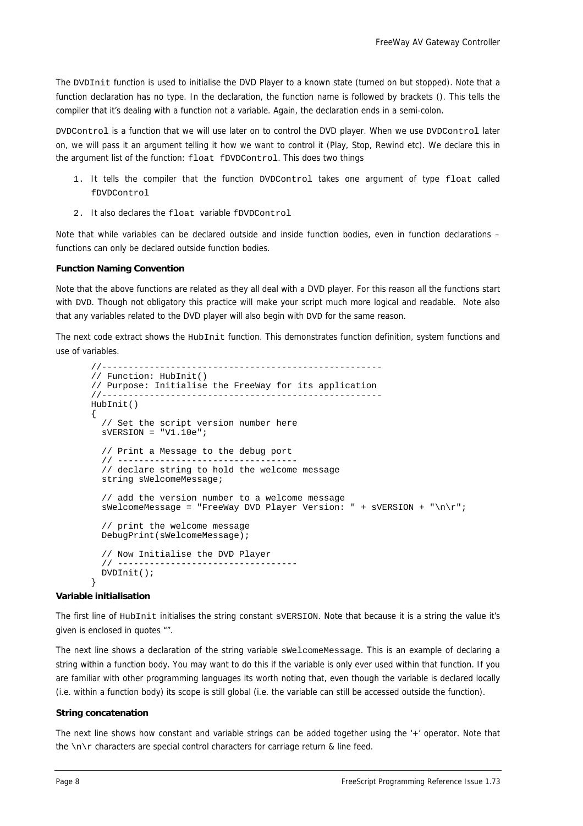The DVDInit function is used to initialise the DVD Player to a known state (turned on but stopped). Note that a function declaration has no type. In the declaration, the function name is followed by brackets (). This tells the compiler that it's dealing with a function not a variable. Again, the declaration ends in a semi-colon.

DVDControl is a function that we will use later on to control the DVD player. When we use DVDControl later on, we will pass it an argument telling it how we want to control it (Play, Stop, Rewind etc). We declare this in the argument list of the function: float fDVDControl. This does two things

- 1. It tells the compiler that the function DVDControl takes one argument of type float called fDVDControl
- 2. It also declares the float variable fDVDControl

Note that while variables can be declared outside and inside function bodies, even in function declarations – functions can only be declared outside function bodies.

#### **Function Naming Convention**

Note that the above functions are related as they all deal with a DVD player. For this reason all the functions start with DVD. Though not obligatory this practice will make your script much more logical and readable. Note also that any variables related to the DVD player will also begin with DVD for the same reason.

The next code extract shows the HubInit function. This demonstrates function definition, system functions and use of variables.

```
//----------------------------------------------------- 
// Function: HubInit() 
// Purpose: Initialise the FreeWay for its application 
//----------------------------------------------------- 
HubInit() 
{ 
   // Set the script version number here 
  sVERSION = "V1.10e"; // Print a Message to the debug port 
   // ---------------------------------- 
   // declare string to hold the welcome message 
   string sWelcomeMessage; 
   // add the version number to a welcome message 
  sWelcomeMessage = "FreeWay DVD Player Version: " + sVERSION + "\ln r;
   // print the welcome message 
   DebugPrint(sWelcomeMessage); 
   // Now Initialise the DVD Player 
   // ---------------------------------- 
   DVDInit(); 
}
```
### **Variable initialisation**

The first line of HubInit initialises the string constant sVERSION. Note that because it is a string the value it's given is enclosed in quotes "".

The next line shows a declaration of the string variable sWelcomeMessage. This is an example of declaring a string within a function body. You may want to do this if the variable is only ever used within that function. If you are familiar with other programming languages its worth noting that, even though the variable is declared locally (i.e. within a function body) its scope is still global (i.e. the variable can still be accessed outside the function).

#### **String concatenation**

The next line shows how constant and variable strings can be added together using the '+' operator. Note that the  $\ln \ln \ln \cosh$  characters are special control characters for carriage return & line feed.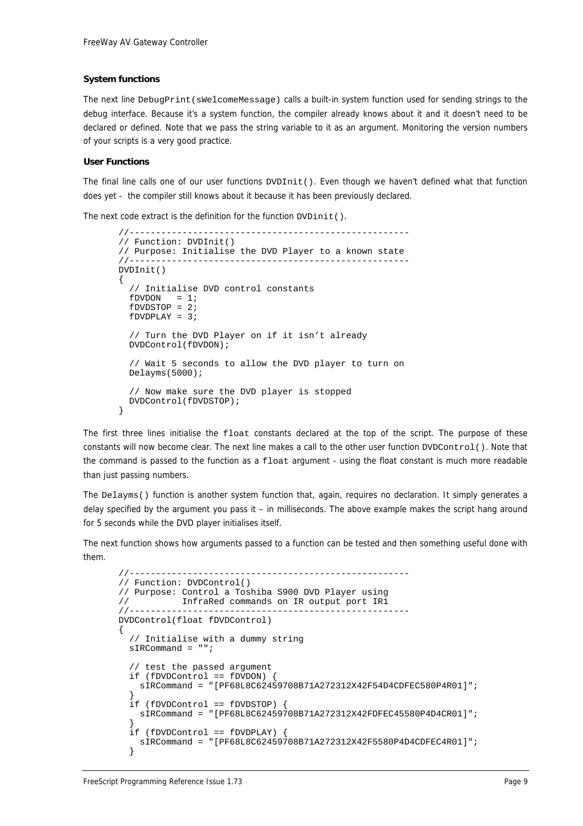### **System functions**

The next line DebugPrint (sWelcomeMessage) calls a built-in system function used for sending strings to the debug interface. Because it's a system function, the compiler already knows about it and it doesn't need to be declared or defined. Note that we pass the string variable to it as an argument. Monitoring the version numbers of your scripts is a very good practice.

### **User Functions**

The final line calls one of our user functions  $DVDInit()$ . Even though we haven't defined what that function does yet - the compiler still knows about it because it has been previously declared.

The next code extract is the definition for the function DVDinit().

```
//----------------------------------------------------- 
// Function: DVDInit() 
// Purpose: Initialise the DVD Player to a known state 
//----------------------------------------------------- 
DVDInit() 
{ 
   // Initialise DVD control constants 
  fDVDON = 1;
  fDVDSTOP = 2;
  fDVDPLAY = 3; 
   // Turn the DVD Player on if it isn't already 
  DVDControl(fDVDON); 
   // Wait 5 seconds to allow the DVD player to turn on 
  Delayms(5000); 
   // Now make sure the DVD player is stopped 
  DVDControl(fDVDSTOP); 
}
```
The first three lines initialise the float constants declared at the top of the script. The purpose of these constants will now become clear. The next line makes a call to the other user function DVDControl(). Note that the command is passed to the function as a float argument - using the float constant is much more readable than just passing numbers.

The Delayms() function is another system function that, again, requires no declaration. It simply generates a delay specified by the argument you pass it – in milliseconds. The above example makes the script hang around for 5 seconds while the DVD player initialises itself.

The next function shows how arguments passed to a function can be tested and then something useful done with them.

```
//----------------------------------------------------- 
// Function: DVDControl() 
// Purpose: Control a Toshiba S900 DVD Player using 
// InfraRed commands on IR output port IR1 
//----------------------------------------------------- 
DVDControl(float fDVDControl) 
{ 
   // Initialise with a dummy string 
   sIRCommand = ""; 
   // test the passed argument 
   if (fDVDControl == fDVDON) { 
     sIRCommand = "[PF68L8C62459708B71A272312X42F54D4CDFEC580P4R01]"; 
 } 
   if (fDVDControl == fDVDSTOP) { 
     sIRCommand = "[PF68L8C62459708B71A272312X42FDFEC45580P4D4CR01]"; 
 } 
   if (fDVDControl == fDVDPLAY) { 
    sIRCommand = "[PFG8L8CG2459708B71A272312X42F5580P4D4CDFEC4R01]";
   }
```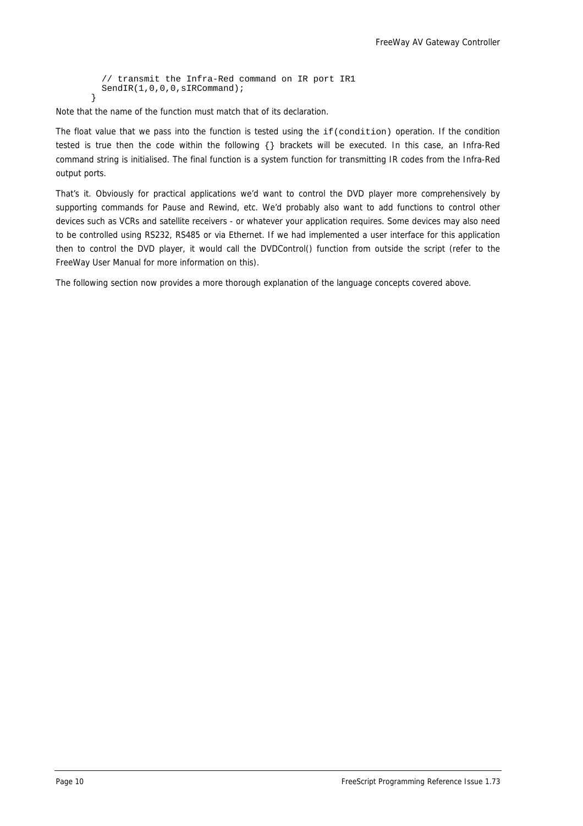```
 // transmit the Infra-Red command on IR port IR1 
 SendIR(1,0,0,0,sIRCommand);
}
```
Note that the name of the function must match that of its declaration.

The float value that we pass into the function is tested using the if(condition) operation. If the condition tested is true then the code within the following {} brackets will be executed. In this case, an Infra-Red command string is initialised. The final function is a system function for transmitting IR codes from the Infra-Red output ports.

That's it. Obviously for practical applications we'd want to control the DVD player more comprehensively by supporting commands for Pause and Rewind, etc. We'd probably also want to add functions to control other devices such as VCRs and satellite receivers - or whatever your application requires. Some devices may also need to be controlled using RS232, RS485 or via Ethernet. If we had implemented a user interface for this application then to control the DVD player, it would call the DVDControl() function from outside the script (refer to the FreeWay User Manual for more information on this).

The following section now provides a more thorough explanation of the language concepts covered above.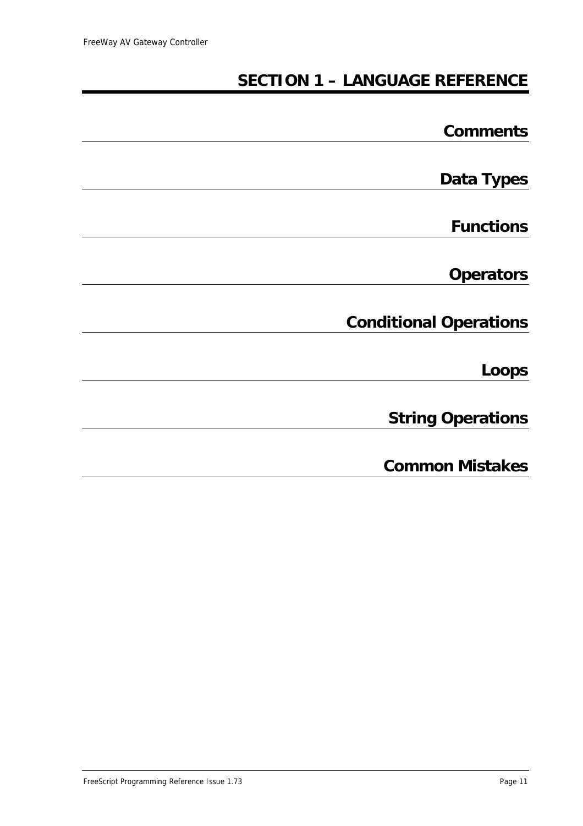# **SECTION 1 – LANGUAGE REFERENCE**

| <b>Comments</b>               |
|-------------------------------|
|                               |
| Data Types                    |
| <b>Functions</b>              |
| <b>Operators</b>              |
| <b>Conditional Operations</b> |
| Loops                         |
| <b>String Operations</b>      |
| <b>Common Mistakes</b>        |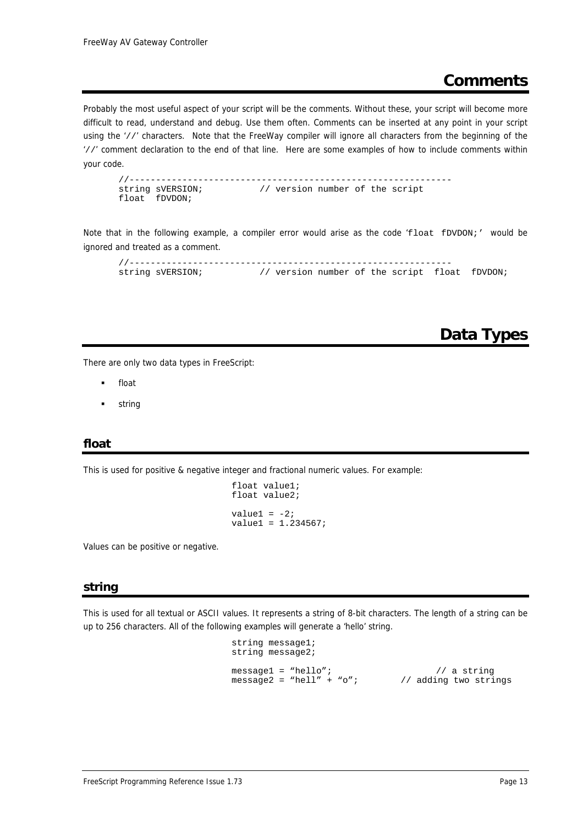# **Comments**

Probably the most useful aspect of your script will be the comments. Without these, your script will become more difficult to read, understand and debug. Use them often. Comments can be inserted at any point in your script using the '//' characters. Note that the FreeWay compiler will ignore all characters from the beginning of the '//' comment declaration to the end of that line. Here are some examples of how to include comments within your code.

```
//------------------------------------------------------------- 
                           \frac{1}{2} version number of the script
float fDVDON;
```
Note that in the following example, a compiler error would arise as the code 'float fDVDON;' would be ignored and treated as a comment.

```
//------------------------------------------------------------- 
                        // version number of the script float fDVDON;
```
# **Data Types**

There are only two data types in FreeScript:

- float
- string

### **float**

This is used for positive & negative integer and fractional numeric values. For example:

```
float value1; 
float value2; 
value1 = -2;
value1 = 1.234567;
```
Values can be positive or negative.

### **string**

This is used for all textual or ASCII values. It represents a string of 8-bit characters. The length of a string can be up to 256 characters. All of the following examples will generate a 'hello' string.

```
string message1; 
string message2; 
message1 = "hello"; // a string 
message2 = "hell" + "o"; \frac{1}{2} // adding two strings
```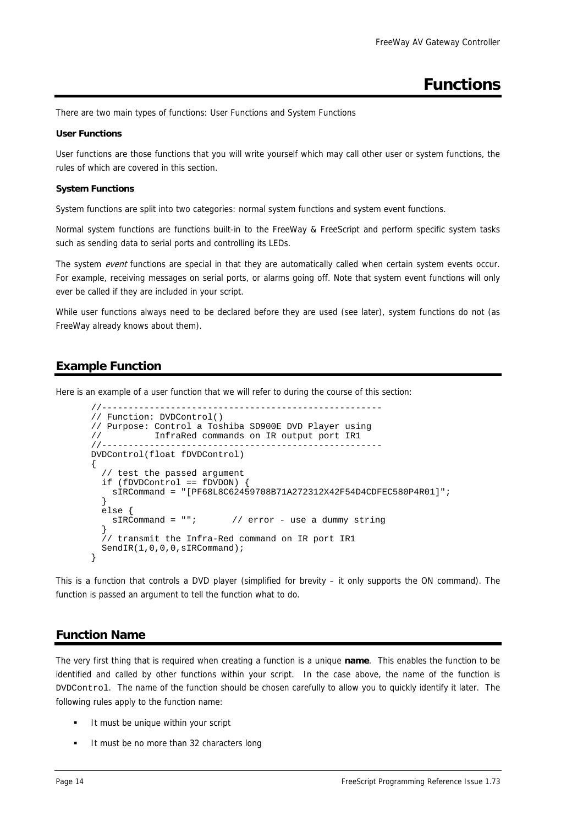# **Functions**

There are two main types of functions: User Functions and System Functions

#### **User Functions**

User functions are those functions that you will write yourself which may call other user or system functions, the rules of which are covered in this section.

### **System Functions**

System functions are split into two categories: normal system functions and system event functions.

Normal system functions are functions built-in to the FreeWay & FreeScript and perform specific system tasks such as sending data to serial ports and controlling its LEDs.

The system *event* functions are special in that they are automatically called when certain system events occur. For example, receiving messages on serial ports, or alarms going off. Note that system event functions will only ever be called if they are included in your script.

While user functions always need to be declared before they are used (see later), system functions do not (as FreeWay already knows about them).

# **Example Function**

Here is an example of a user function that we will refer to during the course of this section:

```
//----------------------------------------------------- 
// Function: DVDControl() 
// Purpose: Control a Toshiba SD900E DVD Player using 
// InfraRed commands on IR output port IR1 
//----------------------------------------------------- 
DVDControl(float fDVDControl) 
{ 
   // test the passed argument 
  if (fDVDControl == fDVDOM) sIRCommand = "[PF68L8C62459708B71A272312X42F54D4CDFEC580P4R01]"; 
 } 
  else \{<br>sIRCommand = "";
                            // error - use a dummy string
 } 
   // transmit the Infra-Red command on IR port IR1 
  SendIR(1,0,0,0,sIRCommand);
}
```
This is a function that controls a DVD player (simplified for brevity – it only supports the ON command). The function is passed an argument to tell the function what to do.

## **Function Name**

The very first thing that is required when creating a function is a unique **name**. This enables the function to be identified and called by other functions within your script. In the case above, the name of the function is DVDControl. The name of the function should be chosen carefully to allow you to quickly identify it later. The following rules apply to the function name:

- It must be unique within your script
- It must be no more than 32 characters long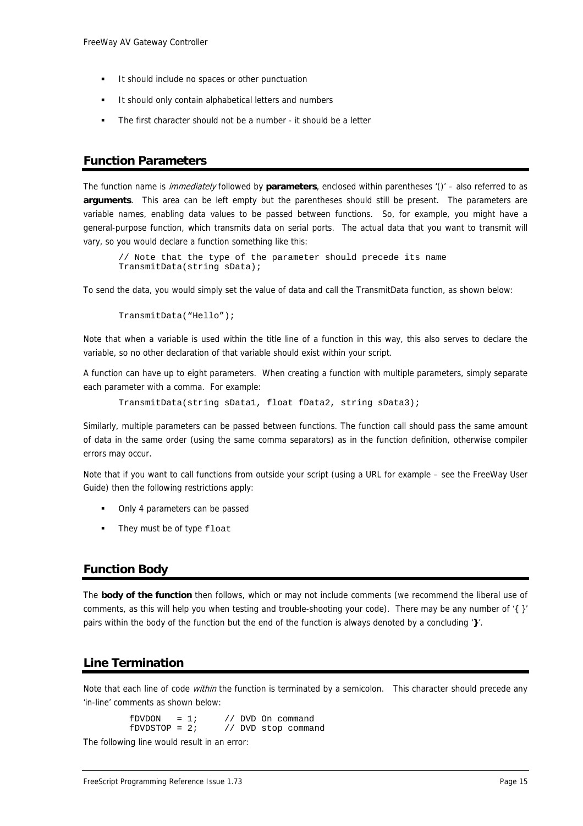- **It should include no spaces or other punctuation**
- **It should only contain alphabetical letters and numbers**
- The first character should not be a number it should be a letter

### **Function Parameters**

The function name is immediately followed by **parameters**, enclosed within parentheses '()' – also referred to as **arguments**. This area can be left empty but the parentheses should still be present. The parameters are variable names, enabling data values to be passed between functions. So, for example, you might have a general-purpose function, which transmits data on serial ports. The actual data that you want to transmit will vary, so you would declare a function something like this:

// Note that the type of the parameter should precede its name TransmitData(string sData);

To send the data, you would simply set the value of data and call the TransmitData function, as shown below:

```
TransmitData("Hello");
```
Note that when a variable is used within the title line of a function in this way, this also serves to declare the variable, so no other declaration of that variable should exist within your script.

A function can have up to eight parameters. When creating a function with multiple parameters, simply separate each parameter with a comma. For example:

TransmitData(string sData1, float fData2, string sData3);

Similarly, multiple parameters can be passed between functions. The function call should pass the same amount of data in the same order (using the same comma separators) as in the function definition, otherwise compiler errors may occur.

Note that if you want to call functions from outside your script (using a URL for example – see the FreeWay User Guide) then the following restrictions apply:

- Only 4 parameters can be passed
- They must be of type float

## **Function Body**

The **body of the function** then follows, which or may not include comments (we recommend the liberal use of comments, as this will help you when testing and trouble-shooting your code). There may be any number of '{ }' pairs within the body of the function but the end of the function is always denoted by a concluding '**}**'.

### **Line Termination**

Note that each line of code within the function is terminated by a semicolon. This character should precede any 'in-line' comments as shown below:

 $f$ DVDON = 1; // DVD On command<br> $f$ DVDSTOP = 2; // DVD stop comma // DVD stop command

The following line would result in an error: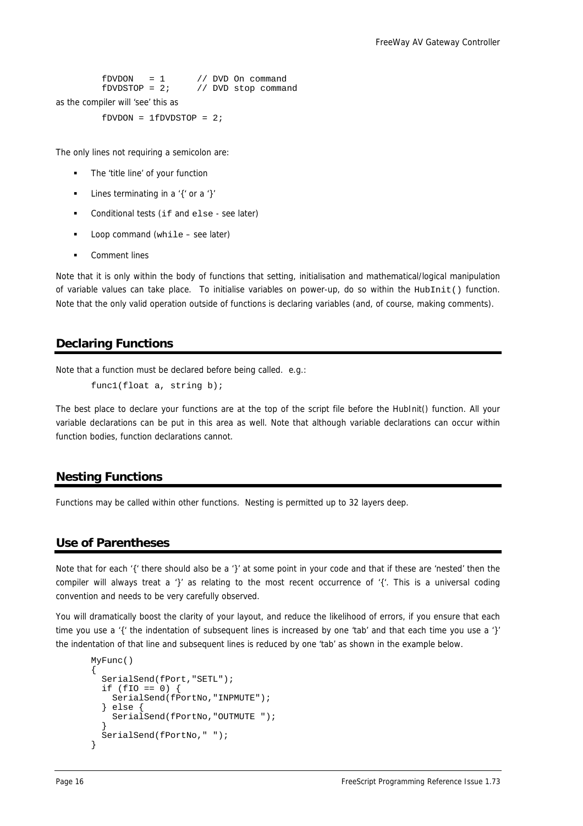$f$ DVDON = 1 // DVD On command<br> $f$ DVDSTOP = 2; // DVD stop command // DVD stop command as the compiler will 'see' this as

 $f$ DVDON = 1 $f$ DVDSTOP = 2;

The only lines not requiring a semicolon are:

- The 'title line' of your function
- **Lines terminating in a '{' or a '}'**
- Conditional tests (if and else see later)
- Loop command (while see later)
- **Comment lines**

Note that it is only within the body of functions that setting, initialisation and mathematical/logical manipulation of variable values can take place. To initialise variables on power-up, do so within the HubInit() function. Note that the only valid operation outside of functions is declaring variables (and, of course, making comments).

### **Declaring Functions**

Note that a function must be declared before being called. e.g.:

func1(float a, string b);

The best place to declare your functions are at the top of the script file before the HubInit() function. All your variable declarations can be put in this area as well. Note that although variable declarations can occur within function bodies, function declarations cannot.

### **Nesting Functions**

Functions may be called within other functions. Nesting is permitted up to 32 layers deep.

### **Use of Parentheses**

Note that for each '{' there should also be a '}' at some point in your code and that if these are 'nested' then the compiler will always treat a '}' as relating to the most recent occurrence of '{'. This is a universal coding convention and needs to be very carefully observed.

You will dramatically boost the clarity of your layout, and reduce the likelihood of errors, if you ensure that each time you use a '{' the indentation of subsequent lines is increased by one 'tab' and that each time you use a '}' the indentation of that line and subsequent lines is reduced by one 'tab' as shown in the example below.

```
MyFunc() 
{ 
   SerialSend(fPort,"SETL"); 
  if (fIO == 0) {
    SerialSend(fPortNo, "INPMUTE");
   } else { 
    SerialSend(fPortNo, "OUTMUTE ");
 } 
   SerialSend(fPortNo," "); 
}
```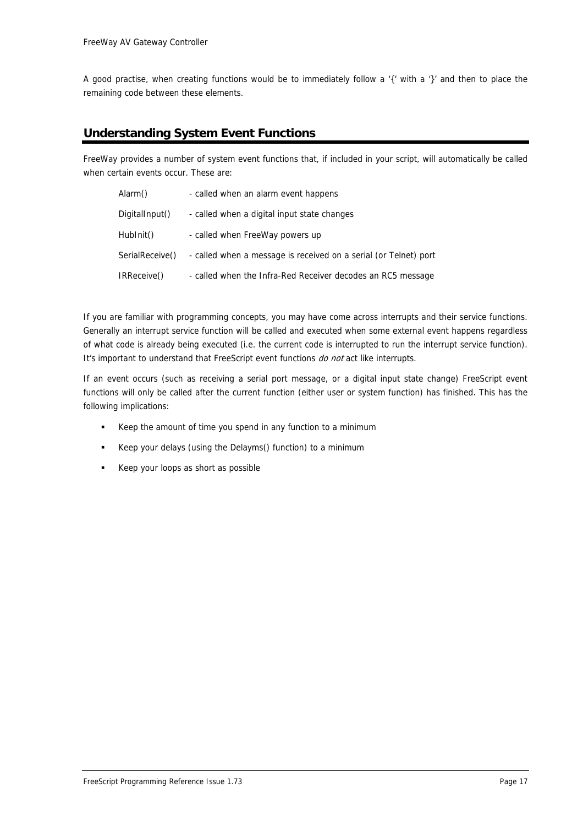A good practise, when creating functions would be to immediately follow a '{' with a '}' and then to place the remaining code between these elements.

# **Understanding System Event Functions**

FreeWay provides a number of system event functions that, if included in your script, will automatically be called when certain events occur. These are:

| Alarm()         | - called when an alarm event happens                             |
|-----------------|------------------------------------------------------------------|
| DigitalInput()  | - called when a digital input state changes                      |
| HubInit()       | - called when FreeWay powers up                                  |
| SerialReceive() | - called when a message is received on a serial (or Telnet) port |
| IRReceive()     | - called when the Infra-Red Receiver decodes an RC5 message      |

If you are familiar with programming concepts, you may have come across interrupts and their service functions. Generally an interrupt service function will be called and executed when some external event happens regardless of what code is already being executed (i.e. the current code is interrupted to run the interrupt service function). It's important to understand that FreeScript event functions do not act like interrupts.

If an event occurs (such as receiving a serial port message, or a digital input state change) FreeScript event functions will only be called after the current function (either user or system function) has finished. This has the following implications:

- Keep the amount of time you spend in any function to a minimum
- Keep your delays (using the Delayms() function) to a minimum
- Keep your loops as short as possible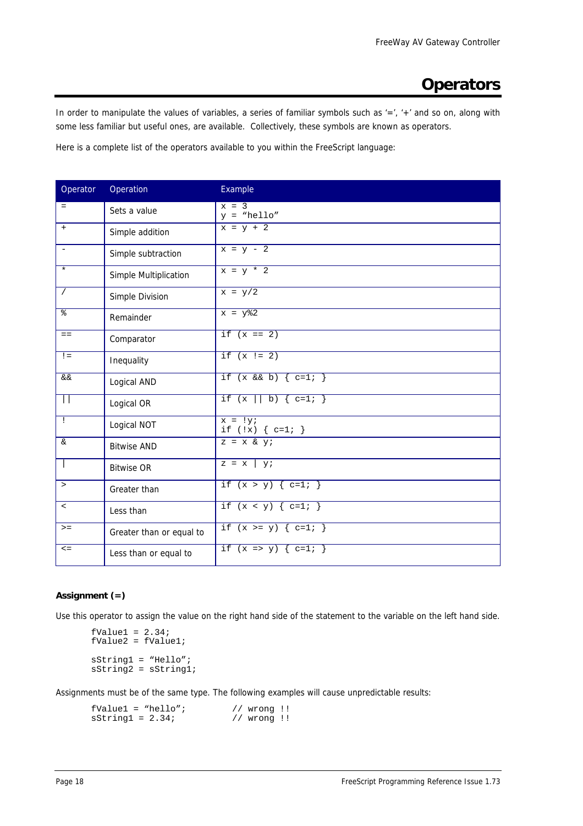# **Operators**

In order to manipulate the values of variables, a series of familiar symbols such as '=', '+' and so on, along with some less familiar but useful ones, are available. Collectively, these symbols are known as operators.

Here is a complete list of the operators available to you within the FreeScript language:

| Operator                 | Operation                | Example                                     |
|--------------------------|--------------------------|---------------------------------------------|
| $=$                      | Sets a value             | $x = 3$<br>$y = "hello"$                    |
| $\ddot{}$                | Simple addition          | $x = y + 2$                                 |
| $\overline{\phantom{a}}$ | Simple subtraction       | $x = y - 2$                                 |
| $^\star$                 | Simple Multiplication    | $x = y * 2$                                 |
| $\sqrt{2}$               | Simple Division          | $x = y/2$                                   |
| ⊱                        | Remainder                | $x = y\$ 2                                  |
| $=$ $=$                  | Comparator               | if $(x == 2)$                               |
| $!=$                     | Inequality               | if $(x := 2)$                               |
| &&                       | Logical AND              | if $(x & \& b) \{ c=1; \}$                  |
| $\Box$                   | Logical OR               | if $(x   b) { c=1; }$                       |
| Ţ                        | Logical NOT              | $x = 1y$<br>if $(\overline{!x}) \{ c=1; \}$ |
| $\delta$                 | <b>Bitwise AND</b>       | $z = x & y;$                                |
|                          | <b>Bitwise OR</b>        | $z = x \mid y$                              |
| $\, >$                   | Greater than             | if $(x > y) {c=1; }$                        |
| $\overline{\phantom{0}}$ | Less than                | if $(x < y) \{ c=1; \}$                     |
| $>=$                     | Greater than or equal to | if $(x \ge y) \{ c=1; \}$                   |
| $\leq$                   | Less than or equal to    | if $(x \Rightarrow y) \{ c=1; \}$           |

### **Assignment (=)**

Use this operator to assign the value on the right hand side of the statement to the variable on the left hand side.

```
fValue1 = 2.34;
fValue2 = fValue1; 
sString1 = "Hello"; 
sString2 = sString1;
```
Assignments must be of the same type. The following examples will cause unpredictable results:

```
fValue1 = "hello"; // wrong !!<br>sString1 = 2.34; // wrong !!
sString1 = 2.34;
```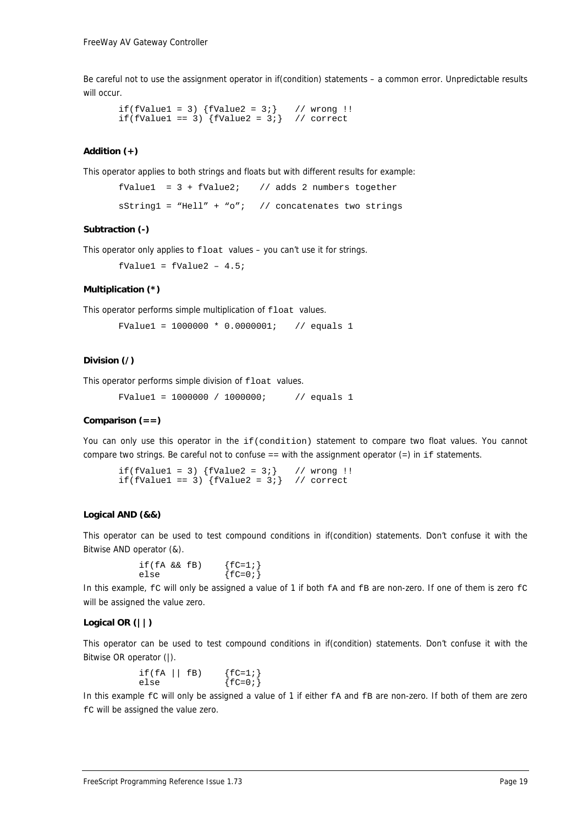Be careful not to use the assignment operator in if(condition) statements – a common error. Unpredictable results will occur.

```
if(fValue1 = 3) \{fValue2 = 3i\} // wrong !!
if(fValue1 == 3) \{fValue2 = 3i\} // correct
```
### **Addition (+)**

This operator applies to both strings and floats but with different results for example:

fValue1 =  $3 + f$ Value2; // adds 2 numbers together  $sString1 = "Hello" + "o"$ ; // concatenates two strings

### **Subtraction (-)**

This operator only applies to float values - you can't use it for strings.

 $fValue1 = fValue2 - 4.5$ ;

#### **Multiplication (\*)**

This operator performs simple multiplication of float values.

FValue1 = 1000000 \* 0.0000001; // equals 1

### **Division (/)**

This operator performs simple division of float values.

FValue1 = 1000000 / 1000000; // equals 1

#### **Comparison (==)**

You can only use this operator in the if (condition) statement to compare two float values. You cannot compare two strings. Be careful not to confuse  $=$  = with the assignment operator  $(=)$  in if statements.

if(fValue1 = 3)  $\{fValue2 = 3; \}$  // wrong !! if(fValue1 == 3)  $\{fValue2 = 3i\}$  // correct

#### **Logical AND (&&)**

This operator can be used to test compound conditions in if(condition) statements. Don't confuse it with the Bitwise AND operator (&).

> if(fA && fB) { $fC=1;$ }<br>else { $fC=0;$ }  $\{$  f C=0;  $\}$

In this example, fc will only be assigned a value of 1 if both fA and fB are non-zero. If one of them is zero fc will be assigned the value zero.

#### **Logical OR (||)**

This operator can be used to test compound conditions in if(condition) statements. Don't confuse it with the Bitwise OR operator (|).

> if(fA || fB)  ${fC=1;}$ <br>else  ${fC=0;}$  $\{$  fC=0;  $\}$

In this example fc will only be assigned a value of 1 if either fA and fB are non-zero. If both of them are zero fC will be assigned the value zero.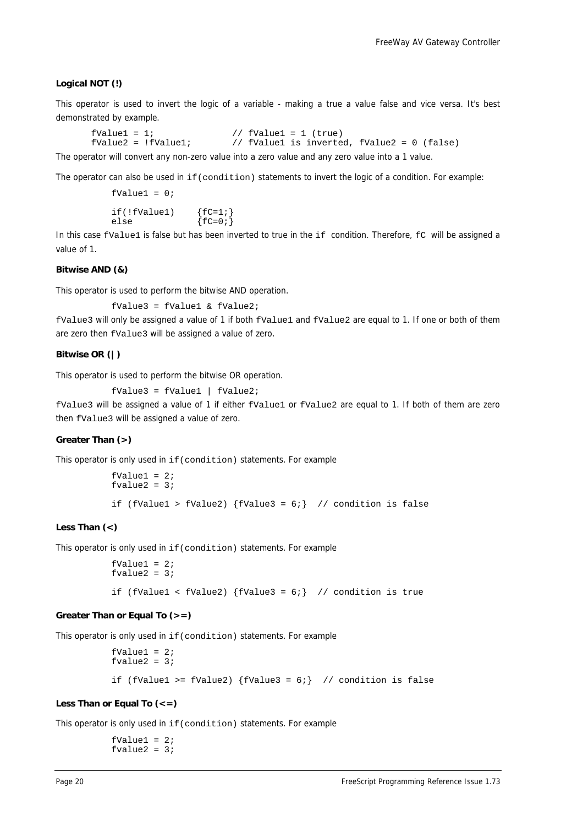### **Logical NOT (!)**

This operator is used to invert the logic of a variable - making a true a value false and vice versa. It's best demonstrated by example.

```
fValue1 = 1; // fValue1 = 1 (true)<br>fValue2 = !fValue1; // fValue1 is inverted
                                    // fValue1 is inverted, fValue2 = 0 (false)
```
The operator will convert any non-zero value into a zero value and any zero value into a 1 value.

The operator can also be used in if (condition) statements to invert the logic of a condition. For example:

```
fValue1 = 0;if(!fValue1) {fC=1;}else {fC=0; }
```
In this case fValue1 is false but has been inverted to true in the if condition. Therefore, fc will be assigned a value of 1.

#### **Bitwise AND (&)**

This operator is used to perform the bitwise AND operation.

```
 fValue3 = fValue1 & fValue2;
```
fValue3 will only be assigned a value of 1 if both fValue1 and fValue2 are equal to 1. If one or both of them are zero then fValue3 will be assigned a value of zero.

#### **Bitwise OR (|)**

This operator is used to perform the bitwise OR operation.

```
 fValue3 = fValue1 | fValue2;
```
fValue3 will be assigned a value of 1 if either fValue1 or fValue2 are equal to 1. If both of them are zero then fValue3 will be assigned a value of zero.

#### **Greater Than (>)**

This operator is only used in if (condition) statements. For example

```
fValue1 = 2ifvalue2 = 3;
if (fValue1 > fValue2) {fValue3 = 6;} // condition is false
```
#### **Less Than (<)**

This operator is only used in if (condition) statements. For example

```
fValue1 = 2ifvalue2 = 3;
if (fValue1 < fValue2) \{ fValue3 = 6; \} // condition is true
```
#### **Greater Than or Equal To (>=)**

This operator is only used in if (condition) statements. For example

```
 fValue1 = 2; 
fvalue2 = 3;
if (fValue1 >= fValue2) \{ fValue3 = 6; \} // condition is false
```
#### **Less Than or Equal To (<=)**

This operator is only used in if (condition) statements. For example

 $fValue1 = 2;$ fvalue $2 = 3$ ;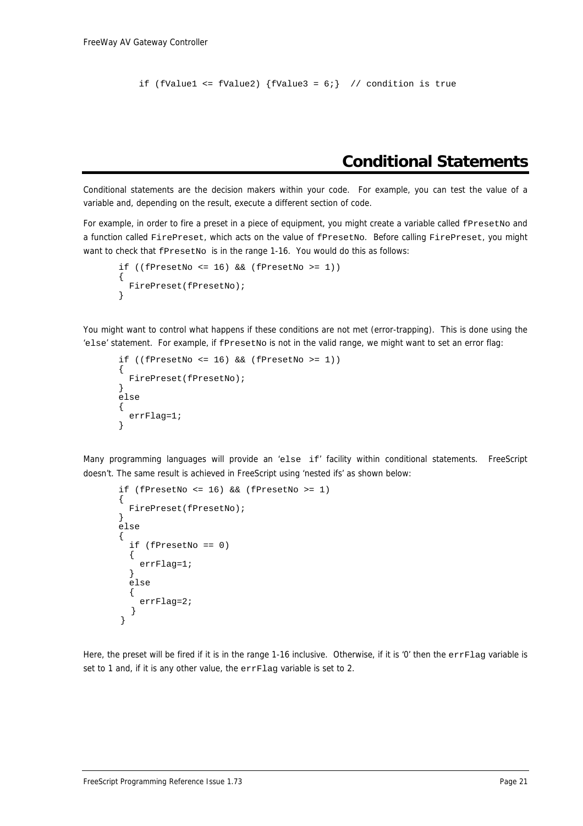```
if (fValue1 <= fValue2) \{ fValue3 = 6; \} // condition is true
```
# **Conditional Statements**

Conditional statements are the decision makers within your code. For example, you can test the value of a variable and, depending on the result, execute a different section of code.

For example, in order to fire a preset in a piece of equipment, you might create a variable called fPresetNo and a function called FirePreset, which acts on the value of fPresetNo. Before calling FirePreset, you might want to check that fPresetNo is in the range 1-16. You would do this as follows:

```
if ((fPresetNo <= 16) && (fPresetNo >= 1)) 
{ 
   FirePreset(fPresetNo); 
}
```
You might want to control what happens if these conditions are not met (error-trapping). This is done using the 'else' statement. For example, if fPresetNo is not in the valid range, we might want to set an error flag:

```
if ((fPresetNo <= 16) && (fPresetNo >= 1)) 
\mathcal{L} FirePreset(fPresetNo); 
} 
else 
{ 
   errFlag=1; 
}
```
Many programming languages will provide an 'else if' facility within conditional statements. FreeScript doesn't. The same result is achieved in FreeScript using 'nested ifs' as shown below:

```
if (fPresetNo <= 16) && (fPresetNo >= 1) 
          { 
             FirePreset(fPresetNo); 
          } 
          else 
          { 
              if (fPresetNo == 0) 
              { 
                 errFlag=1; 
              } 
              else 
              { 
              \left\{\n \begin{array}{c}\n \text{errFlag=2}\n \text{;}\n \end{array}\n \right\} } 
 }
```
Here, the preset will be fired if it is in the range 1-16 inclusive. Otherwise, if it is '0' then the errFlag variable is set to 1 and, if it is any other value, the errFlag variable is set to 2.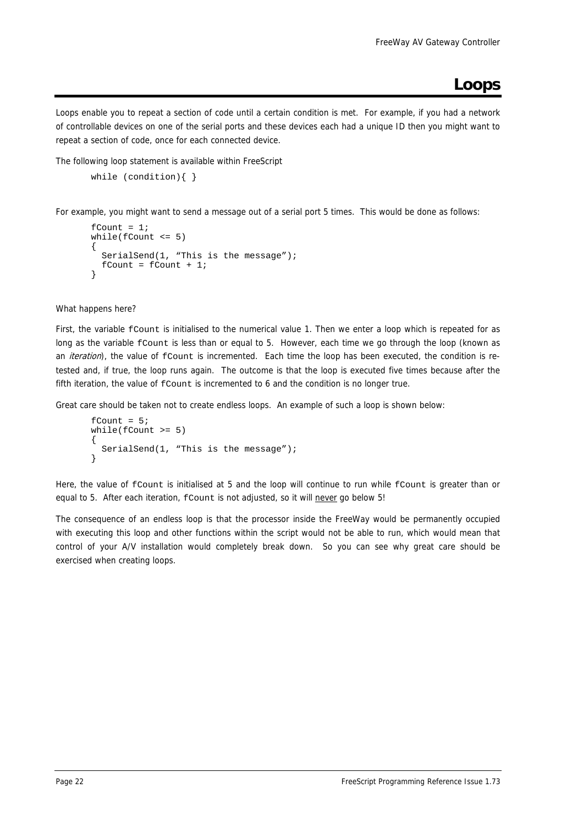# **Loops**

Loops enable you to repeat a section of code until a certain condition is met. For example, if you had a network of controllable devices on one of the serial ports and these devices each had a unique ID then you might want to repeat a section of code, once for each connected device.

The following loop statement is available within FreeScript

```
while (condition){ }
```
For example, you might want to send a message out of a serial port 5 times. This would be done as follows:

```
fCount = 1;
while(fCount \leq 5)
{ 
 SerialSend(1, "This is the message");
 fCount = fCount + 1;
}
```
### What happens here?

First, the variable fCount is initialised to the numerical value 1. Then we enter a loop which is repeated for as long as the variable fCount is less than or equal to 5. However, each time we go through the loop (known as an *iteration*), the value of fCount is incremented. Each time the loop has been executed, the condition is retested and, if true, the loop runs again. The outcome is that the loop is executed five times because after the fifth iteration, the value of  $fcount$  is incremented to 6 and the condition is no longer true.

Great care should be taken not to create endless loops. An example of such a loop is shown below:

```
fCount = 5;
while(fCount >= 5){ 
  SerialSend(1, "This is the message");
}
```
Here, the value of fCount is initialised at 5 and the loop will continue to run while fCount is greater than or equal to 5. After each iteration, f Count is not adjusted, so it will never go below 5!

The consequence of an endless loop is that the processor inside the FreeWay would be permanently occupied with executing this loop and other functions within the script would not be able to run, which would mean that control of your A/V installation would completely break down. So you can see why great care should be exercised when creating loops.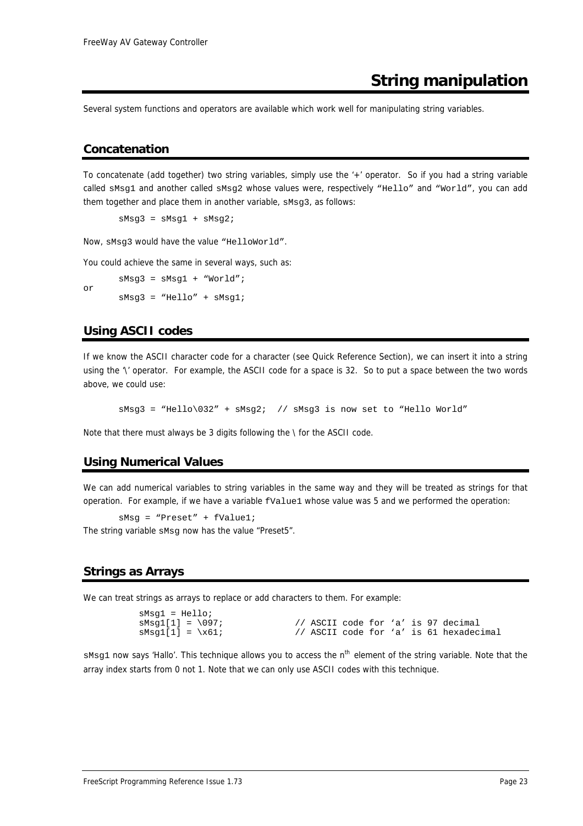Several system functions and operators are available which work well for manipulating string variables.

### **Concatenation**

To concatenate (add together) two string variables, simply use the '+' operator. So if you had a string variable called sMsg1 and another called sMsg2 whose values were, respectively "Hello" and "World", you can add them together and place them in another variable, sMsg3, as follows:

 $sMsg3 = sMsg1 + sMsg2;$ 

Now, sMsg3 would have the value "HelloWorld".

You could achieve the same in several ways, such as:

sMsg3 = sMsg1 + "World"; or  $sMsq3 = "Hello" + sMsq1;$ 

# **Using ASCII codes**

If we know the ASCII character code for a character (see Quick Reference Section), we can insert it into a string using the '\' operator. For example, the ASCII code for a space is 32. So to put a space between the two words above, we could use:

sMsg3 = "Hello\032" + sMsg2; // sMsg3 is now set to "Hello World"

Note that there must always be 3 digits following the \ for the ASCII code.

## **Using Numerical Values**

We can add numerical variables to string variables in the same way and they will be treated as strings for that operation. For example, if we have a variable fValue1 whose value was 5 and we performed the operation:

```
sMsg = "Preset" + fValue1; 
The string variable sMsg now has the value "Preset5".
```
### **Strings as Arrays**

We can treat strings as arrays to replace or add characters to them. For example:

```
 sMsg1 = Hello; 
 sMsg1[1] = \097; // ASCII code for 'a' is 97 decimal 
                            // ASCII code for 'a' is 61 hexadecimal
```
 $s$ Msq1 now says 'Hallo'. This technique allows you to access the  $n<sup>th</sup>$  element of the string variable. Note that the array index starts from 0 not 1. Note that we can only use ASCII codes with this technique.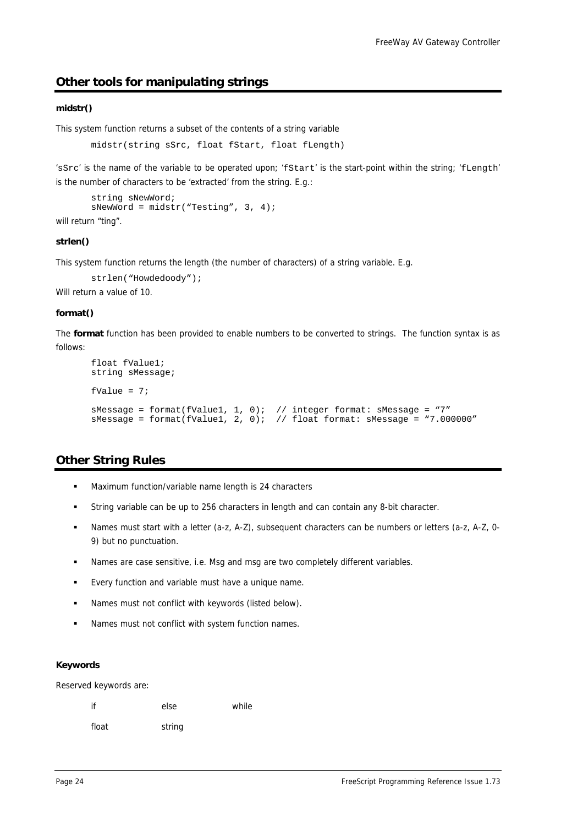# **Other tools for manipulating strings**

### **midstr()**

This system function returns a subset of the contents of a string variable

```
midstr(string sSrc, float fStart, float fLength)
```
'sSrc' is the name of the variable to be operated upon; 'fStart' is the start-point within the string; 'fLength' is the number of characters to be 'extracted' from the string. E.g.:

```
string sNewWord; 
        sNewWord = midstr("Testing", 3, 4); 
will return "ting".
```
### **strlen()**

This system function returns the length (the number of characters) of a string variable. E.g.

```
strlen("Howdedoody");
```
Will return a value of 10.

### **format()**

The **format** function has been provided to enable numbers to be converted to strings. The function syntax is as follows:

```
float fValue1; 
string sMessage; 
fValue = 7;
sMessage = format(fValue1, 1, 0); // integer format: sMessage = "7" 
sMessage = format(fValue1, 2, 0); // float format: sMessage = "7.000000"
```
# **Other String Rules**

- **Maximum function/variable name length is 24 characters**
- String variable can be up to 256 characters in length and can contain any 8-bit character.
- Names must start with a letter (a-z, A-Z), subsequent characters can be numbers or letters (a-z, A-Z, 0- 9) but no punctuation.
- Names are case sensitive, i.e. Msg and msg are two completely different variables.
- **Every function and variable must have a unique name.**
- Names must not conflict with keywords (listed below).
- **Names must not conflict with system function names.**

#### **Keywords**

Reserved keywords are:

| if    | else   | while |
|-------|--------|-------|
| float | string |       |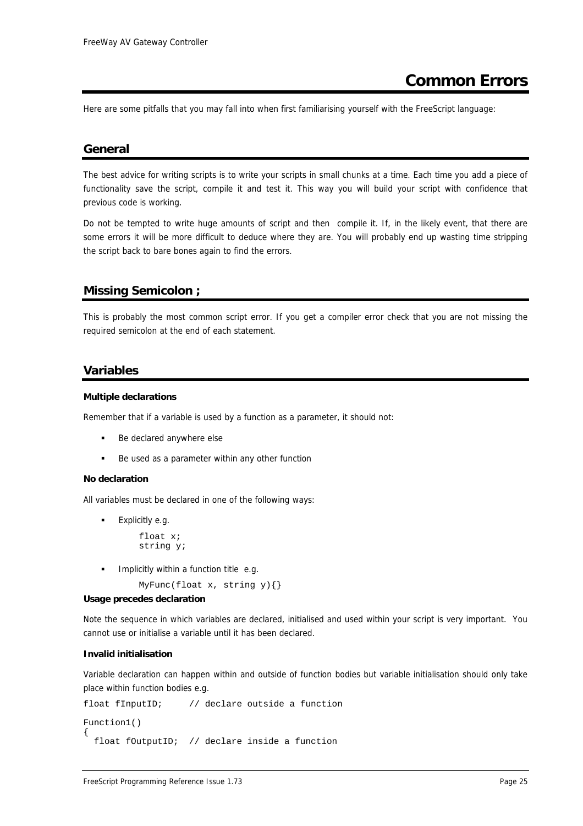Here are some pitfalls that you may fall into when first familiarising yourself with the FreeScript language:

### **General**

The best advice for writing scripts is to write your scripts in small chunks at a time. Each time you add a piece of functionality save the script, compile it and test it. This way you will build your script with confidence that previous code is working.

Do not be tempted to write huge amounts of script and then compile it. If, in the likely event, that there are some errors it will be more difficult to deduce where they are. You will probably end up wasting time stripping the script back to bare bones again to find the errors.

### **Missing Semicolon ;**

This is probably the most common script error. If you get a compiler error check that you are not missing the required semicolon at the end of each statement.

## **Variables**

#### **Multiple declarations**

Remember that if a variable is used by a function as a parameter, it should not:

- Be declared anywhere else
- **Be used as a parameter within any other function**

#### **No declaration**

All variables must be declared in one of the following ways:

Explicitly e.g.

```
float x; 
string y;
```
Implicitly within a function title e.g.

```
MyFunc(float x, string y){}
```
**Usage precedes declaration** 

Note the sequence in which variables are declared, initialised and used within your script is very important. You cannot use or initialise a variable until it has been declared.

#### **Invalid initialisation**

Variable declaration can happen within and outside of function bodies but variable initialisation should only take place within function bodies e.g.

```
float fInputID; // declare outside a function 
Function1() 
{ 
  float fOutputID; // declare inside a function
```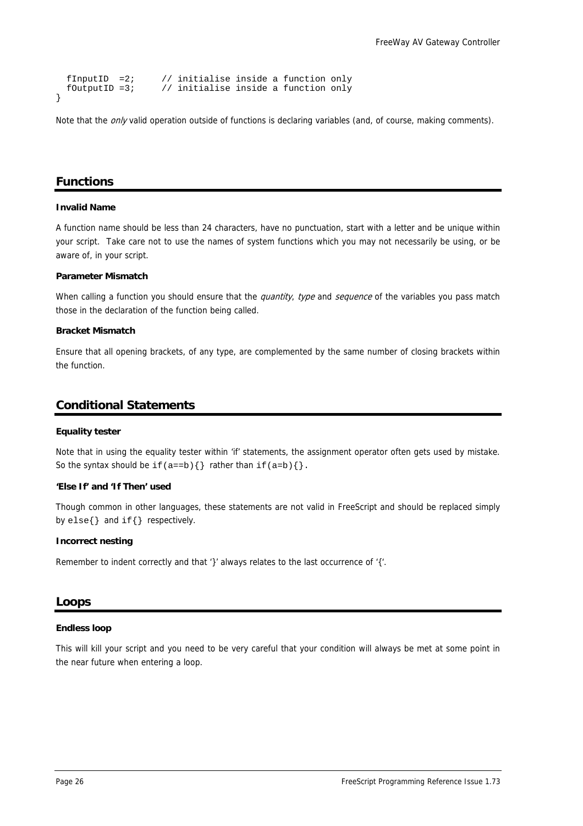```
fInputID =2; \frac{1}{2} // initialise inside a function only fOutputID =3; \frac{1}{2} // initialise inside a function only
                                   // initialise inside a function only
}
```
Note that the *only* valid operation outside of functions is declaring variables (and, of course, making comments).

## **Functions**

### **Invalid Name**

A function name should be less than 24 characters, have no punctuation, start with a letter and be unique within your script. Take care not to use the names of system functions which you may not necessarily be using, or be aware of, in your script.

#### **Parameter Mismatch**

When calling a function you should ensure that the quantity, type and sequence of the variables you pass match those in the declaration of the function being called.

#### **Bracket Mismatch**

Ensure that all opening brackets, of any type, are complemented by the same number of closing brackets within the function.

## **Conditional Statements**

#### **Equality tester**

Note that in using the equality tester within 'if' statements, the assignment operator often gets used by mistake. So the syntax should be if(a==b){} rather than if(a=b){}.

### **'Else If' and 'If Then' used**

Though common in other languages, these statements are not valid in FreeScript and should be replaced simply by else{} and if{} respectively.

#### **Incorrect nesting**

Remember to indent correctly and that '}' always relates to the last occurrence of '{'.

### **Loops**

### **Endless loop**

This will kill your script and you need to be very careful that your condition will always be met at some point in the near future when entering a loop.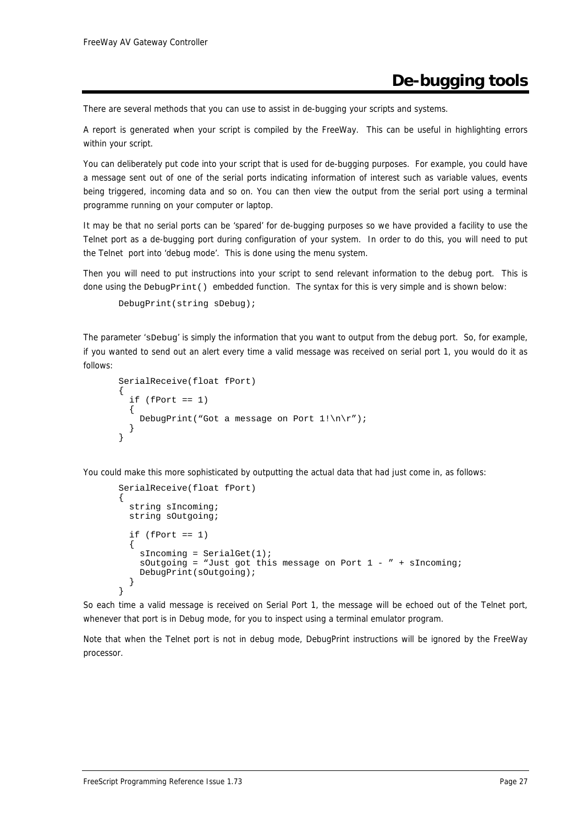# **De-bugging tools**

There are several methods that you can use to assist in de-bugging your scripts and systems.

A report is generated when your script is compiled by the FreeWay. This can be useful in highlighting errors within your script.

You can deliberately put code into your script that is used for de-bugging purposes. For example, you could have a message sent out of one of the serial ports indicating information of interest such as variable values, events being triggered, incoming data and so on. You can then view the output from the serial port using a terminal programme running on your computer or laptop.

It may be that no serial ports can be 'spared' for de-bugging purposes so we have provided a facility to use the Telnet port as a de-bugging port during configuration of your system. In order to do this, you will need to put the Telnet port into 'debug mode'. This is done using the menu system.

Then you will need to put instructions into your script to send relevant information to the debug port. This is done using the DebugPrint() embedded function. The syntax for this is very simple and is shown below:

```
DebugPrint(string sDebug);
```
The parameter 'sDebug' is simply the information that you want to output from the debug port. So, for example, if you wanted to send out an alert every time a valid message was received on serial port 1, you would do it as follows:

```
SerialReceive(float fPort) 
{ 
  if (fPort == 1) { 
    DebugPrint("Got a message on Port 1! \n\times");
   } 
}
```
You could make this more sophisticated by outputting the actual data that had just come in, as follows:

```
SerialReceive(float fPort) 
{ 
   string sIncoming; 
   string sOutgoing; 
  if (fPort == 1)\{sIncoming = SerialGet(1);sOutgoing = "Just got this message on Port 1 - r + sIncoming;
     DebugPrint(sOutgoing); 
   } 
}
```
So each time a valid message is received on Serial Port 1, the message will be echoed out of the Telnet port, whenever that port is in Debug mode, for you to inspect using a terminal emulator program.

Note that when the Telnet port is not in debug mode, DebugPrint instructions will be ignored by the FreeWay processor.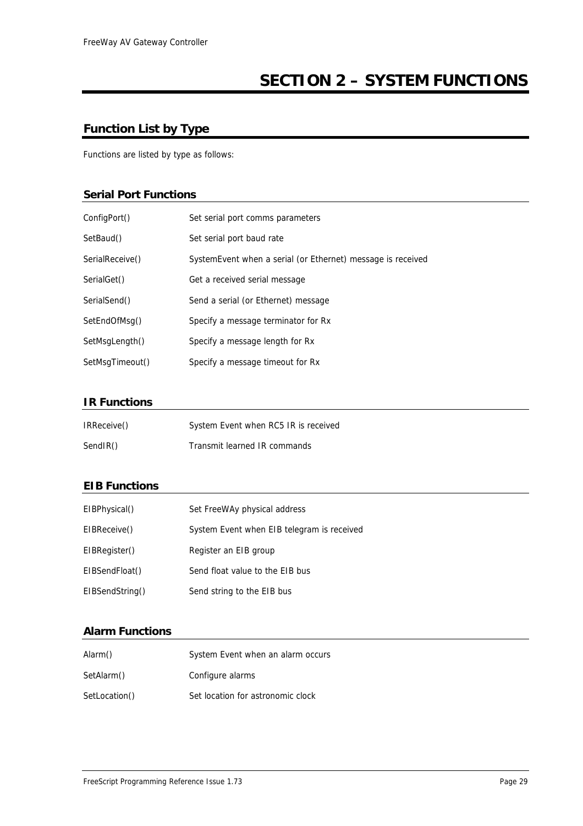# **SECTION 2 – SYSTEM FUNCTIONS**

# **Function List by Type**

Functions are listed by type as follows:

## **Serial Port Functions**

| ConfigPort()    | Set serial port comms parameters                            |
|-----------------|-------------------------------------------------------------|
| SetBaud()       | Set serial port baud rate                                   |
| SerialReceive() | SystemEvent when a serial (or Ethernet) message is received |
| SerialGet()     | Get a received serial message                               |
| SerialSend()    | Send a serial (or Ethernet) message                         |
| SetEndOfMsg()   | Specify a message terminator for Rx                         |
| SetMsgLength()  | Specify a message length for Rx                             |
| SetMsgTimeout() | Specify a message timeout for Rx                            |

## **IR Functions**

| IRReceive() | System Event when RC5 IR is received |
|-------------|--------------------------------------|
| SendIR()    | Transmit learned IR commands         |

## **EIB Functions**

| EIBPhysical()   | Set FreeWAy physical address               |
|-----------------|--------------------------------------------|
| EIBReceive()    | System Event when EIB telegram is received |
| EIBRegister()   | Register an EIB group                      |
| EIBSendFloat()  | Send float value to the EIB bus            |
| EIBSendString() | Send string to the EIB bus                 |

### **Alarm Functions**

| Alarm()       | System Event when an alarm occurs |
|---------------|-----------------------------------|
| SetAlarm()    | Configure alarms                  |
| SetLocation() | Set location for astronomic clock |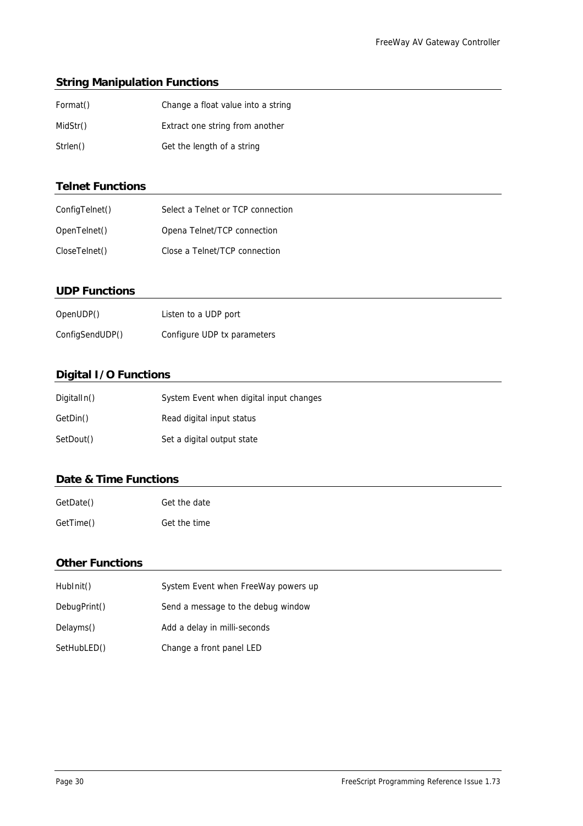# **String Manipulation Functions**

| Format() | Change a float value into a string |
|----------|------------------------------------|
| MidStr() | Extract one string from another    |
| Strlen() | Get the length of a string         |

## **Telnet Functions**

| ConfigTelnet() | Select a Telnet or TCP connection |
|----------------|-----------------------------------|
| OpenTelnet()   | Opena Telnet/TCP connection       |
| CloseTelnet()  | Close a Telnet/TCP connection     |

# **UDP Functions**

| OpenUDP()       | Listen to a UDP port        |
|-----------------|-----------------------------|
| ConfigSendUDP() | Configure UDP tx parameters |

# **Digital I/O Functions**

| Digital In() | System Event when digital input changes |
|--------------|-----------------------------------------|
| GetDin()     | Read digital input status               |
| SetDout()    | Set a digital output state              |

# **Date & Time Functions**

| GetDate() | Get the date |
|-----------|--------------|
| GetTime() | Get the time |

## **Other Functions**

| HubInit()    | System Event when FreeWay powers up |
|--------------|-------------------------------------|
| DebugPrint() | Send a message to the debug window  |
| Delayms()    | Add a delay in milli-seconds        |
| SetHubLED()  | Change a front panel LED            |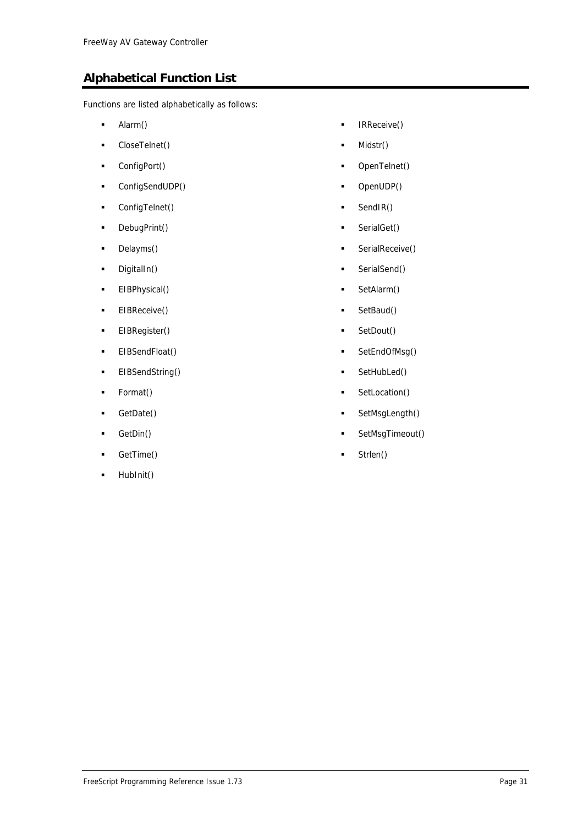# **Alphabetical Function List**

Functions are listed alphabetically as follows:

- Alarm()
- CloseTelnet()
- ConfigPort()
- ConfigSendUDP()
- ConfigTelnet()
- DebugPrint()
- Delayms()
- DigitalIn()
- EIBPhysical()
- **EIBReceive()**
- **EIBRegister()**
- **EIBSendFloat()**
- **EIBSendString()**
- Format()
- GetDate()
- GetDin()
- GetTime()
- HubInit()
- **IRReceive()**
- Midstr()
- **-** OpenTelnet()
- OpenUDP()
- SendIR()
- **SerialGet()**
- **SerialReceive()**
- **SerialSend()**
- SetAlarm()
- SetBaud()
- SetDout()
- **SetEndOfMsg()**
- **SetHubLed()**
- **SetLocation()**
- SetMsgLength()
- SetMsgTimeout()
- Strlen()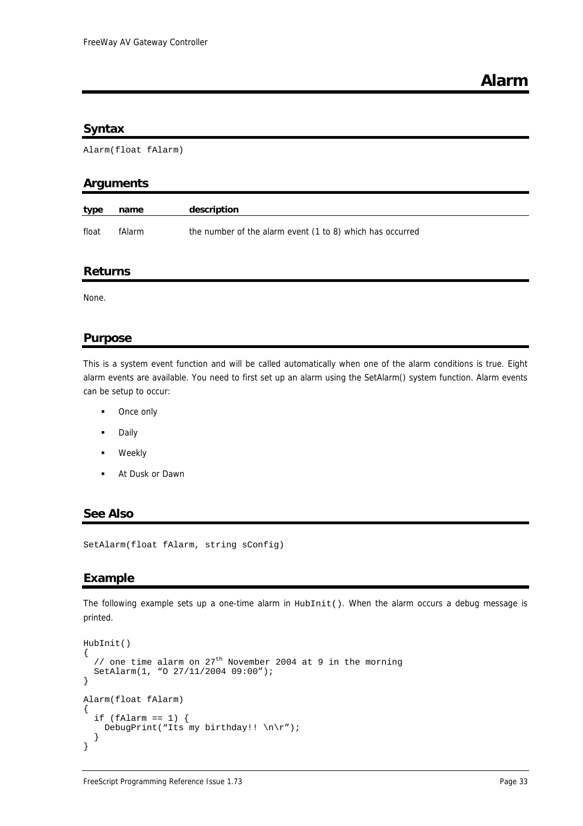### **Syntax**

Alarm(float fAlarm)

## **Arguments**

| type  | name   | description                                               |
|-------|--------|-----------------------------------------------------------|
| float | fAlarm | the number of the alarm event (1 to 8) which has occurred |

### **Returns**

None.

## **Purpose**

This is a system event function and will be called automatically when one of the alarm conditions is true. Eight alarm events are available. You need to first set up an alarm using the SetAlarm() system function. Alarm events can be setup to occur:

- **•** Once only
- Daily
- **•** Weekly
- At Dusk or Dawn

## **See Also**

SetAlarm(float fAlarm, string sConfig)

# **Example**

The following example sets up a one-time alarm in HubInit(). When the alarm occurs a debug message is printed.

```
HubInit() 
{ 
  // one time alarm on 27<sup>th</sup> November 2004 at 9 in the morning
   SetAlarm(1, "O 27/11/2004 09:00"); 
} 
Alarm(float fAlarm) 
{ 
  if (fAlarm == 1) \{DebugPrint("Its my birthday!! \n\r");
   } 
}
```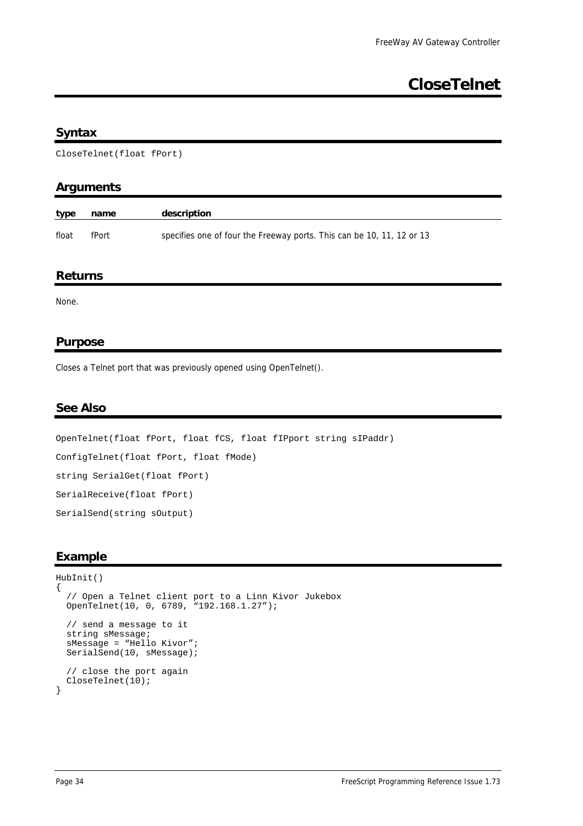# **CloseTelnet**

# **Syntax**

CloseTelnet(float fPort)

# **Arguments**

| type  | name  | description                                                           |
|-------|-------|-----------------------------------------------------------------------|
| float | fPort | specifies one of four the Freeway ports. This can be 10, 11, 12 or 13 |

## **Returns**

None.

### **Purpose**

Closes a Telnet port that was previously opened using OpenTelnet().

# **See Also**

OpenTelnet(float fPort, float fCS, float fIPport string sIPaddr) ConfigTelnet(float fPort, float fMode) string SerialGet(float fPort) SerialReceive(float fPort) SerialSend(string sOutput)

# **Example**

```
HubInit() 
{ 
   // Open a Telnet client port to a Linn Kivor Jukebox 
   OpenTelnet(10, 0, 6789, "192.168.1.27"); 
   // send a message to it 
   string sMessage; 
   sMessage = "Hello Kivor"; 
  SerialSend(10, sMessage);
   // close the port again 
   CloseTelnet(10); 
}
```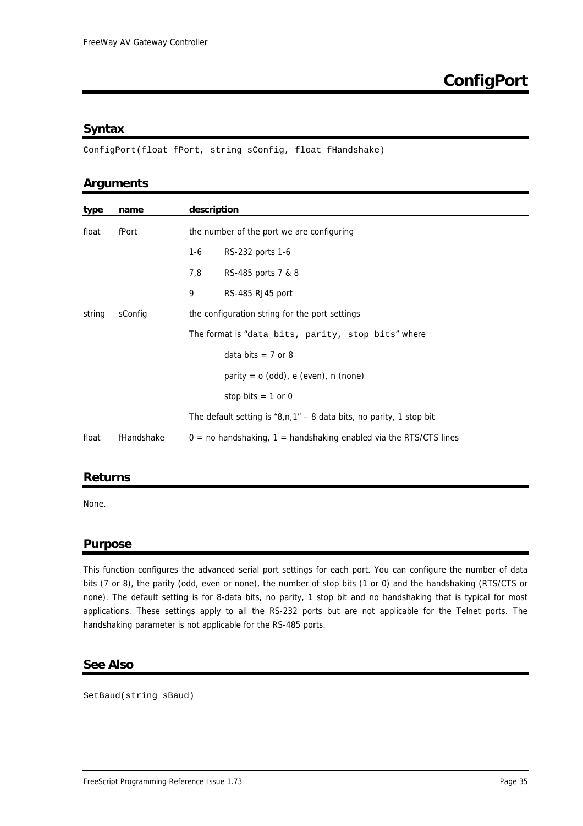## **Syntax**

ConfigPort(float fPort, string sConfig, float fHandshake)

## **Arguments**

| type              | name       | description                                                            |
|-------------------|------------|------------------------------------------------------------------------|
| float             | fPort      | the number of the port we are configuring                              |
|                   |            | RS-232 ports 1-6<br>1-6                                                |
|                   |            | RS-485 ports 7 & 8<br>7,8                                              |
|                   |            | 9<br>RS-485 RJ45 port                                                  |
| string<br>sConfig |            | the configuration string for the port settings                         |
|                   |            | The format is "data bits, parity, stop bits" where                     |
|                   |            | data bits $= 7$ or 8                                                   |
|                   |            | parity = $o$ (odd), e (even), n (none)                                 |
|                   |            | stop bits $= 1$ or 0                                                   |
|                   |            | The default setting is $B, n, 1" - 8$ data bits, no parity, 1 stop bit |
| float             | fHandshake | $0 =$ no handshaking, 1 = handshaking enabled via the RTS/CTS lines    |

## **Returns**

None.

# **Purpose**

This function configures the advanced serial port settings for each port. You can configure the number of data bits (7 or 8), the parity (odd, even or none), the number of stop bits (1 or 0) and the handshaking (RTS/CTS or none). The default setting is for 8-data bits, no parity, 1 stop bit and no handshaking that is typical for most applications. These settings apply to all the RS-232 ports but are not applicable for the Telnet ports. The handshaking parameter is not applicable for the RS-485 ports.

# **See Also**

SetBaud(string sBaud)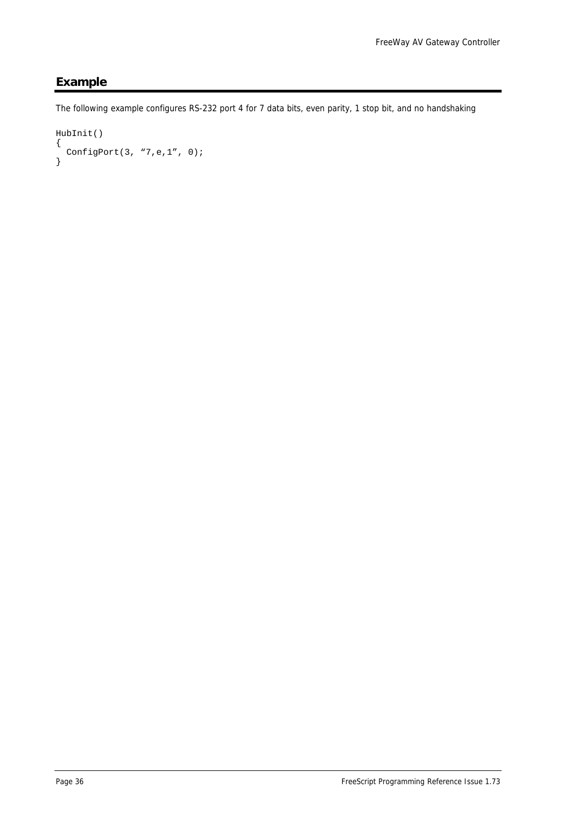# **Example**

The following example configures RS-232 port 4 for 7 data bits, even parity, 1 stop bit, and no handshaking

```
HubInit() 
{ 
   ConfigPort(3, "7,e,1", 0); 
}
```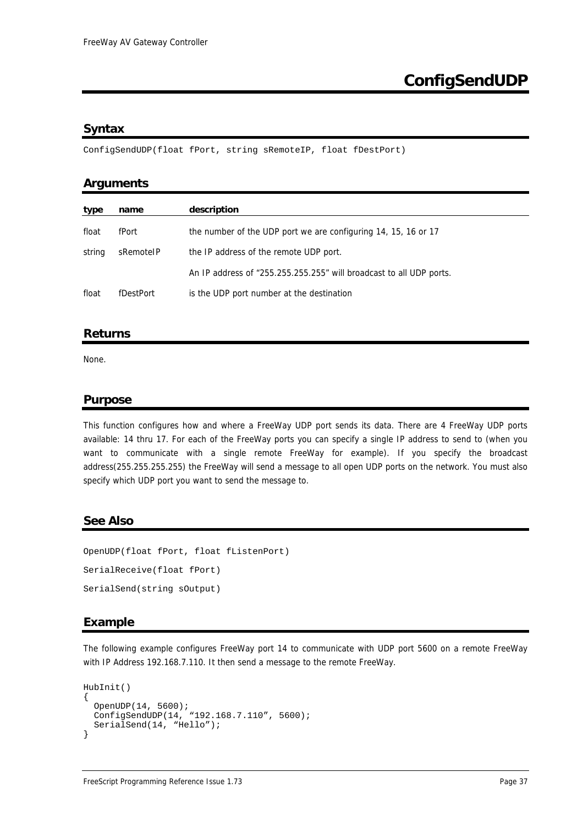ConfigSendUDP(float fPort, string sRemoteIP, float fDestPort)

#### **Arguments**

| type   | name      | description                                                         |  |
|--------|-----------|---------------------------------------------------------------------|--|
| float  | fPort     | the number of the UDP port we are configuring 14, 15, 16 or 17      |  |
| string | sRemoteIP | the IP address of the remote UDP port.                              |  |
|        |           | An IP address of "255.255.255.255" will broadcast to all UDP ports. |  |
| float  | fDestPort | is the UDP port number at the destination                           |  |

#### **Returns**

None.

#### **Purpose**

This function configures how and where a FreeWay UDP port sends its data. There are 4 FreeWay UDP ports available: 14 thru 17. For each of the FreeWay ports you can specify a single IP address to send to (when you want to communicate with a single remote FreeWay for example). If you specify the broadcast address(255.255.255.255) the FreeWay will send a message to all open UDP ports on the network. You must also specify which UDP port you want to send the message to.

#### **See Also**

OpenUDP(float fPort, float fListenPort) SerialReceive(float fPort) SerialSend(string sOutput)

## **Example**

The following example configures FreeWay port 14 to communicate with UDP port 5600 on a remote FreeWay with IP Address 192.168.7.110. It then send a message to the remote FreeWay.

```
HubInit() 
{ 
   OpenUDP(14, 5600); 
   ConfigSendUDP(14, "192.168.7.110", 5600); 
  SerialSend(14, "Hello");
}
```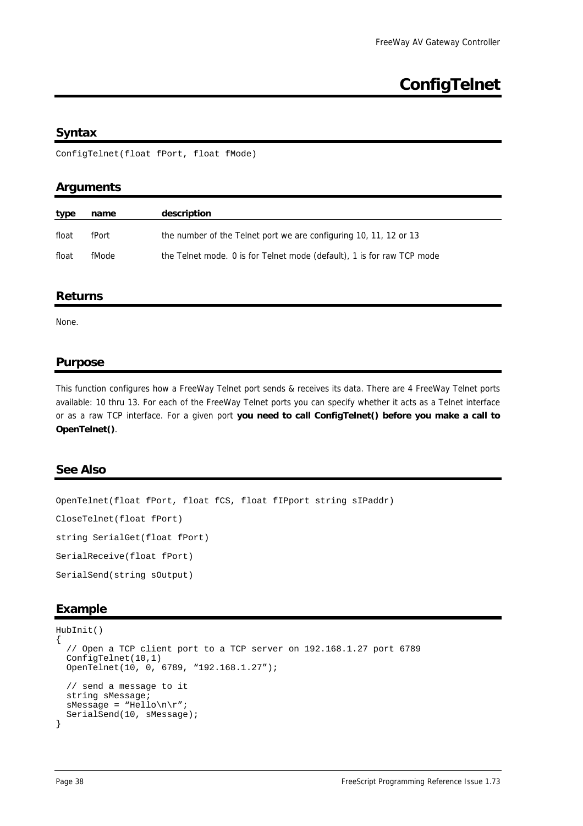# **ConfigTelnet**

## **Syntax**

ConfigTelnet(float fPort, float fMode)

## **Arguments**

| type  | name  | description                                                            |
|-------|-------|------------------------------------------------------------------------|
| float | fPort | the number of the Telnet port we are configuring 10, 11, 12 or 13      |
| float | fMode | the Telnet mode. O is for Telnet mode (default), 1 is for raw TCP mode |

## **Returns**

None.

## **Purpose**

This function configures how a FreeWay Telnet port sends & receives its data. There are 4 FreeWay Telnet ports available: 10 thru 13. For each of the FreeWay Telnet ports you can specify whether it acts as a Telnet interface or as a raw TCP interface. For a given port **you need to call ConfigTelnet() before you make a call to OpenTelnet()**.

## **See Also**

OpenTelnet(float fPort, float fCS, float fIPport string sIPaddr) CloseTelnet(float fPort) string SerialGet(float fPort) SerialReceive(float fPort) SerialSend(string sOutput)

```
HubInit() 
\left\{ \right. // Open a TCP client port to a TCP server on 192.168.1.27 port 6789 
   ConfigTelnet(10,1) 
   OpenTelnet(10, 0, 6789, "192.168.1.27"); 
   // send a message to it 
   string sMessage; 
  sMessage = "Hello\n\r";
  SerialSend(10, sMessage);
}
```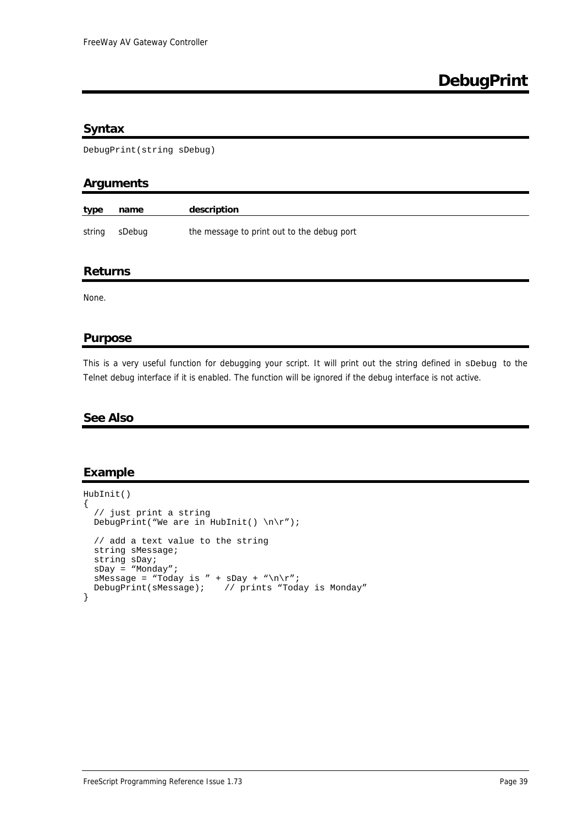DebugPrint(string sDebug)

### **Arguments**

| type   | name   | description                                |
|--------|--------|--------------------------------------------|
| string | sDebug | the message to print out to the debug port |

#### **Returns**

None.

#### **Purpose**

This is a very useful function for debugging your script. It will print out the string defined in sDebug to the Telnet debug interface if it is enabled. The function will be ignored if the debug interface is not active.

## **See Also**

```
HubInit() 
{ 
   // just print a string 
  DebugPrint("We are in HubInit() \n\cdot );
   // add a text value to the string 
   string sMessage; 
   string sDay; 
   sDay = "Monday"; 
sMessage = "Today is " + sDay + "\n\r";
 DebugPrint(sMessage); // prints "Today is Monday" 
}
```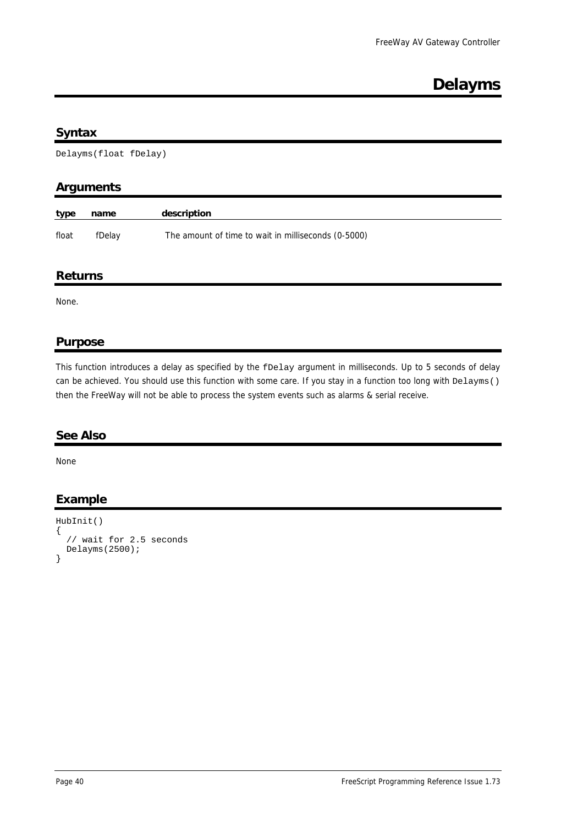# **Delayms**

# **Syntax**

Delayms(float fDelay)

# **Arguments**

| type  | name   | description                                         |
|-------|--------|-----------------------------------------------------|
| float | fDelay | The amount of time to wait in milliseconds (0-5000) |

## **Returns**

None.

## **Purpose**

This function introduces a delay as specified by the fDelay argument in milliseconds. Up to 5 seconds of delay can be achieved. You should use this function with some care. If you stay in a function too long with Delayms() then the FreeWay will not be able to process the system events such as alarms & serial receive.

## **See Also**

None

```
HubInit() 
{ 
 // wait for 2.5 seconds 
 Delayms(2500); 
}
```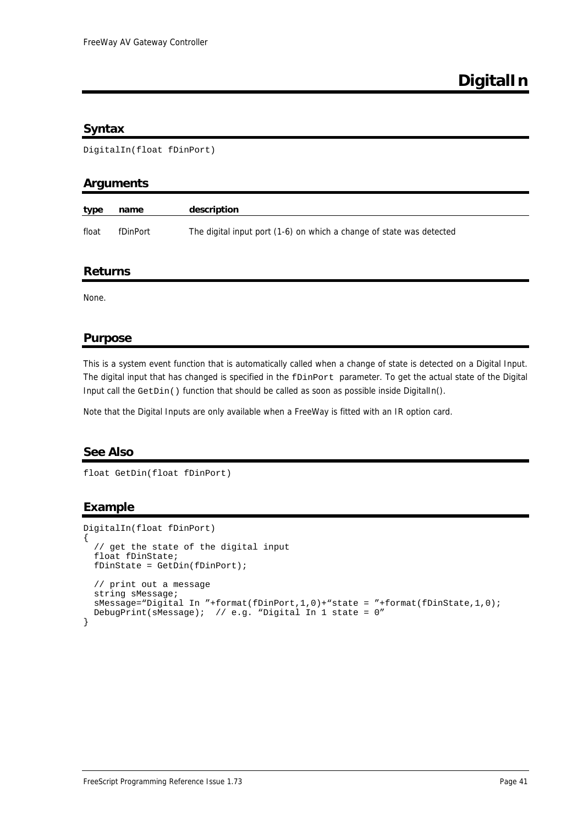DigitalIn(float fDinPort)

### **Arguments**

| type  | name     | description                                                          |
|-------|----------|----------------------------------------------------------------------|
| float | fDinPort | The digital input port (1-6) on which a change of state was detected |

#### **Returns**

None.

## **Purpose**

This is a system event function that is automatically called when a change of state is detected on a Digital Input. The digital input that has changed is specified in the fDinPort parameter. To get the actual state of the Digital Input call the GetDin() function that should be called as soon as possible inside DigitalIn().

Note that the Digital Inputs are only available when a FreeWay is fitted with an IR option card.

#### **See Also**

float GetDin(float fDinPort)

```
DigitalIn(float fDinPort) 
{ 
   // get the state of the digital input 
   float fDinState; 
   fDinState = GetDin(fDinPort); 
   // print out a message 
   string sMessage; 
   sMessage="Digital In "+format(fDinPort,1,0)+"state = "+format(fDinState,1,0); 
   DebugPrint(sMessage); // e.g. "Digital In 1 state = 0" 
}
```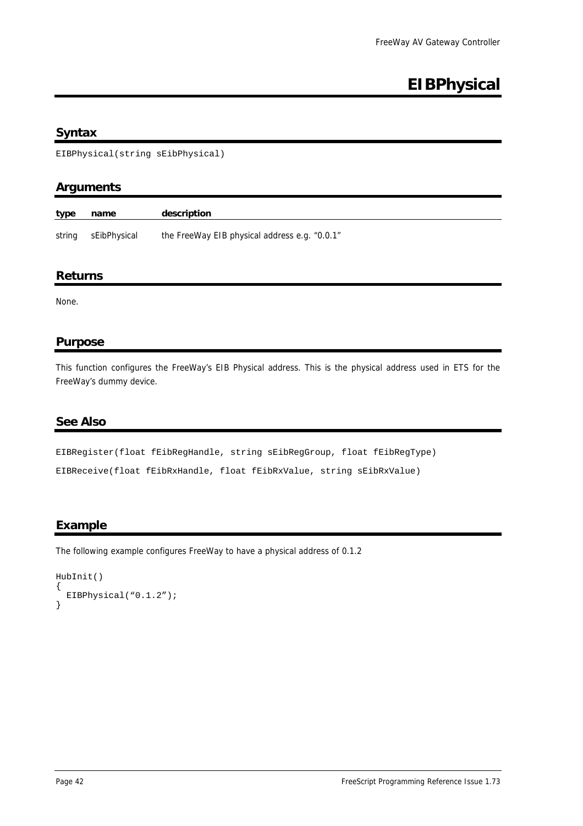# **EIBPhysical**

# **Syntax**

EIBPhysical(string sEibPhysical)

# **Arguments**

| type   | name         | description                                   |
|--------|--------------|-----------------------------------------------|
| string | sEibPhysical | the FreeWay EIB physical address e.g. "0.0.1" |

## **Returns**

None.

## **Purpose**

This function configures the FreeWay's EIB Physical address. This is the physical address used in ETS for the FreeWay's dummy device.

## **See Also**

EIBRegister(float fEibRegHandle, string sEibRegGroup, float fEibRegType) EIBReceive(float fEibRxHandle, float fEibRxValue, string sEibRxValue)

# **Example**

The following example configures FreeWay to have a physical address of 0.1.2

```
HubInit() 
{ 
   EIBPhysical("0.1.2"); 
}
```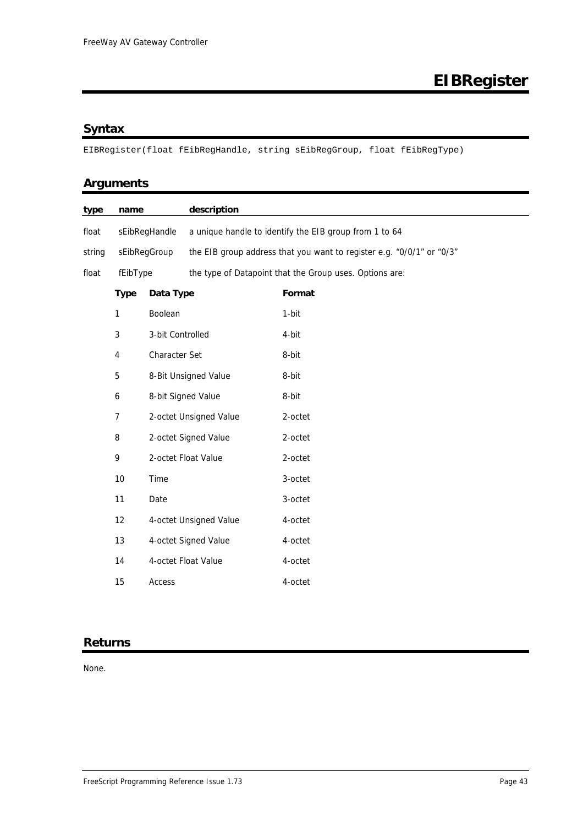EIBRegister(float fEibRegHandle, string sEibRegGroup, float fEibRegType)

# **Arguments**

| type   | name           |                     | description                                             |                                                                       |  |  |
|--------|----------------|---------------------|---------------------------------------------------------|-----------------------------------------------------------------------|--|--|
| float  |                | sEibRegHandle       | a unique handle to identify the EIB group from 1 to 64  |                                                                       |  |  |
| string | sEibRegGroup   |                     |                                                         | the EIB group address that you want to register e.g. "0/0/1" or "0/3" |  |  |
| float  | fEibType       |                     | the type of Datapoint that the Group uses. Options are: |                                                                       |  |  |
|        | <b>Type</b>    | Data Type           |                                                         | Format                                                                |  |  |
|        | 1              | Boolean             |                                                         | 1-bit                                                                 |  |  |
|        | 3              | 3-bit Controlled    |                                                         | 4-bit                                                                 |  |  |
|        | 4              | Character Set       |                                                         | 8-bit                                                                 |  |  |
|        | 5              |                     | 8-Bit Unsigned Value                                    | 8-bit                                                                 |  |  |
|        | 6              | 8-bit Signed Value  |                                                         | 8-bit                                                                 |  |  |
|        | $\overline{7}$ |                     | 2-octet Unsigned Value                                  | 2-octet                                                               |  |  |
|        | 8              |                     | 2-octet Signed Value                                    | 2-octet                                                               |  |  |
|        | 9              | 2-octet Float Value |                                                         | 2-octet                                                               |  |  |
|        | 10             | Time                |                                                         | 3-octet                                                               |  |  |
|        | 11             | Date                |                                                         | 3-octet                                                               |  |  |
|        | 12             |                     | 4-octet Unsigned Value                                  | 4-octet                                                               |  |  |
|        | 13             |                     | 4-octet Signed Value                                    | 4-octet                                                               |  |  |
|        | 14             | 4-octet Float Value |                                                         | 4-octet                                                               |  |  |
|        | 15             | Access              |                                                         | 4-octet                                                               |  |  |
|        |                |                     |                                                         |                                                                       |  |  |

### **Returns**

None.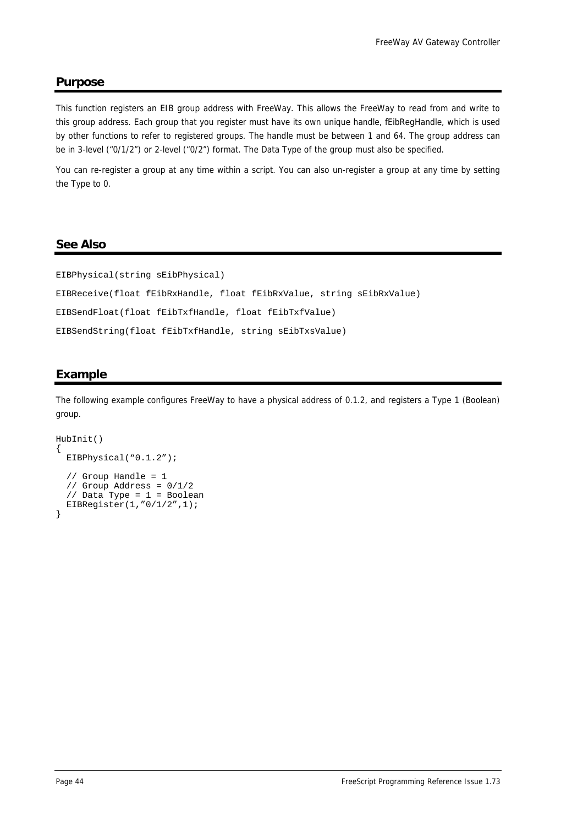#### **Purpose**

This function registers an EIB group address with FreeWay. This allows the FreeWay to read from and write to this group address. Each group that you register must have its own unique handle, fEibRegHandle, which is used by other functions to refer to registered groups. The handle must be between 1 and 64. The group address can be in 3-level ("0/1/2") or 2-level ("0/2") format. The Data Type of the group must also be specified.

You can re-register a group at any time within a script. You can also un-register a group at any time by setting the Type to 0.

#### **See Also**

```
EIBPhysical(string sEibPhysical) 
EIBReceive(float fEibRxHandle, float fEibRxValue, string sEibRxValue) 
EIBSendFloat(float fEibTxfHandle, float fEibTxfValue) 
EIBSendString(float fEibTxfHandle, string sEibTxsValue)
```
## **Example**

The following example configures FreeWay to have a physical address of 0.1.2, and registers a Type 1 (Boolean) group.

```
HubInit() 
{ 
   EIBPhysical("0.1.2"); 
   // Group Handle = 1 
 // Group Address = 0/1/2 
 // Data Type = 1 = Boolean 
  EIBRegister(1,"0/1/2",1);
}
```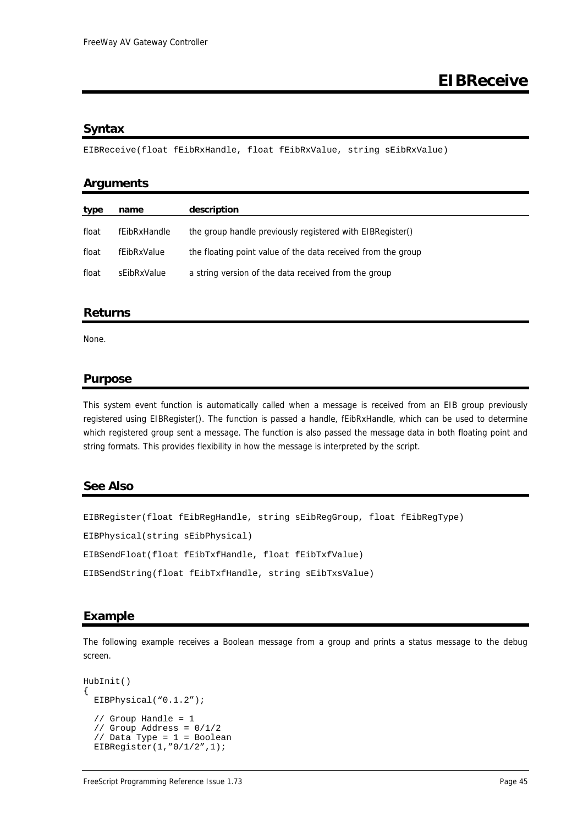EIBReceive(float fEibRxHandle, float fEibRxValue, string sEibRxValue)

#### **Arguments**

| type  | name         | description                                                  |
|-------|--------------|--------------------------------------------------------------|
| float | fEibRxHandle | the group handle previously registered with EIBRegister()    |
| float | fEibRxValue  | the floating point value of the data received from the group |
| float | sEibRxValue  | a string version of the data received from the group         |

#### **Returns**

None.

#### **Purpose**

This system event function is automatically called when a message is received from an EIB group previously registered using EIBRegister(). The function is passed a handle, fEibRxHandle, which can be used to determine which registered group sent a message. The function is also passed the message data in both floating point and string formats. This provides flexibility in how the message is interpreted by the script.

#### **See Also**

```
EIBRegister(float fEibRegHandle, string sEibRegGroup, float fEibRegType) 
EIBPhysical(string sEibPhysical) 
EIBSendFloat(float fEibTxfHandle, float fEibTxfValue) 
EIBSendString(float fEibTxfHandle, string sEibTxsValue)
```
#### **Example**

The following example receives a Boolean message from a group and prints a status message to the debug screen.

```
HubInit() 
{ 
  EIBPhysical("0.1.2");
   // Group Handle = 1 
 // Group Address = 0/1/2 
 // Data Type = 1 = Boolean 
   EIBRegister(1,"0/1/2",1);
```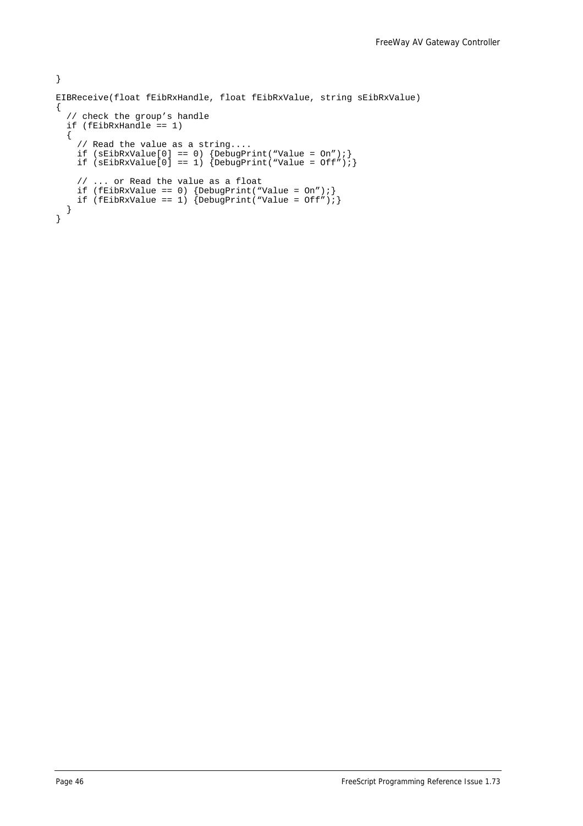```
} 
EIBReceive(float fEibRxHandle, float fEibRxValue, string sEibRxValue) 
{ 
 // check the group's handle 
 if (fEibRxHandle == 1) 
   { 
 // Read the value as a string.... 
 if (sEibRxValue[0] == 0) {DebugPrint("Value = On");} 
 if (sEibRxValue[0] == 1) {DebugPrint("Value = Off");} 
 // ... or Read the value as a float 
 if (fEibRxValue == 0) {DebugPrint("Value = On");} 
 if (fEibRxValue == 1) {DebugPrint("Value = Off");} 
   } 
}
```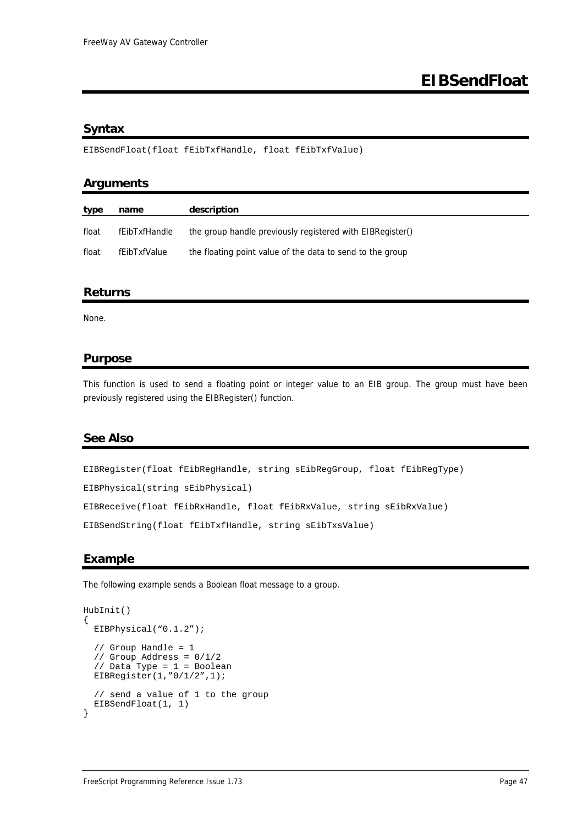EIBSendFloat(float fEibTxfHandle, float fEibTxfValue)

#### **Arguments**

| type  | name          | description                                               |
|-------|---------------|-----------------------------------------------------------|
| float | fEibTxfHandle | the group handle previously registered with EIBRegister() |
| float | fEibTxfValue  | the floating point value of the data to send to the group |

#### **Returns**

None.

#### **Purpose**

This function is used to send a floating point or integer value to an EIB group. The group must have been previously registered using the EIBRegister() function.

#### **See Also**

```
EIBRegister(float fEibRegHandle, string sEibRegGroup, float fEibRegType) 
EIBPhysical(string sEibPhysical) 
EIBReceive(float fEibRxHandle, float fEibRxValue, string sEibRxValue) 
EIBSendString(float fEibTxfHandle, string sEibTxsValue)
```
#### **Example**

The following example sends a Boolean float message to a group.

```
HubInit() 
{ 
  EIBPhysical("0.1.2");
   // Group Handle = 1 
   // Group Address = 0/1/2 
 // Data Type = 1 = Boolean 
 EIBRegister(1,"0/1/2",1); 
   // send a value of 1 to the group 
   EIBSendFloat(1, 1) 
}
```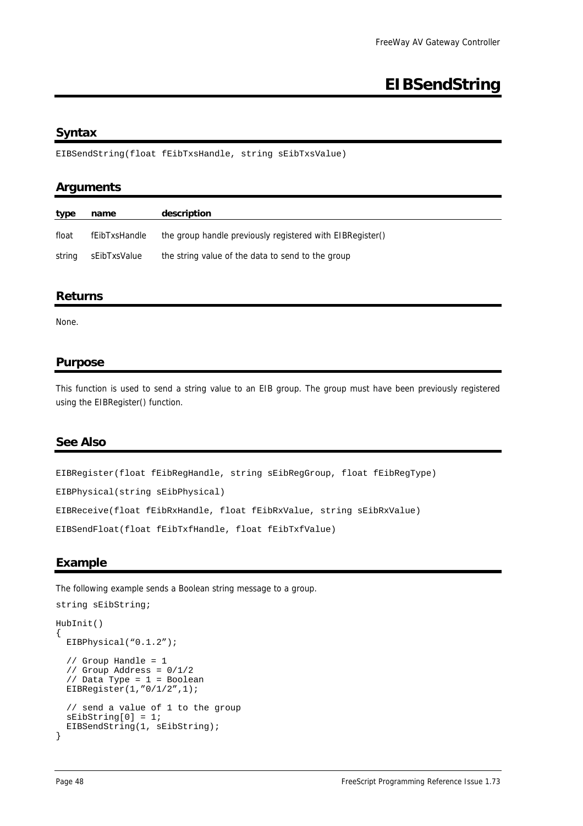# **EIBSendString**

## **Syntax**

EIBSendString(float fEibTxsHandle, string sEibTxsValue)

## **Arguments**

| type   | name          | description                                               |
|--------|---------------|-----------------------------------------------------------|
| float  | fEibTxsHandle | the group handle previously registered with EIBRegister() |
| string | sEibTxsValue  | the string value of the data to send to the group         |

#### **Returns**

None.

#### **Purpose**

This function is used to send a string value to an EIB group. The group must have been previously registered using the EIBRegister() function.

#### **See Also**

EIBRegister(float fEibRegHandle, string sEibRegGroup, float fEibRegType) EIBPhysical(string sEibPhysical) EIBReceive(float fEibRxHandle, float fEibRxValue, string sEibRxValue) EIBSendFloat(float fEibTxfHandle, float fEibTxfValue)

# **Example**

The following example sends a Boolean string message to a group.

```
string sEibString; 
HubInit() 
{ 
   EIBPhysical("0.1.2"); 
   // Group Handle = 1 
   // Group Address = 0/1/2 
   // Data Type = 1 = Boolean 
   EIBRegister(1,"0/1/2",1); 
   // send a value of 1 to the group 
   sEibString[0] = 1; 
  EIBSendString(1, sEibString);
}
```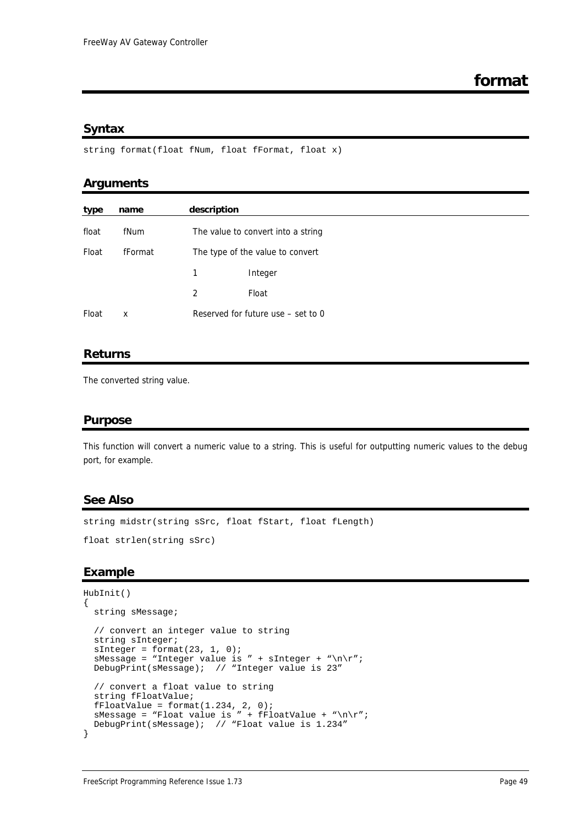string format(float fNum, float fFormat, float x)

#### **Arguments**

| type  | name    |              | description                        |  |  |
|-------|---------|--------------|------------------------------------|--|--|
| float | fNum    |              | The value to convert into a string |  |  |
| Float | fFormat |              | The type of the value to convert   |  |  |
|       |         | $\mathbf{1}$ | Integer                            |  |  |
|       |         | 2            | Float                              |  |  |
| Float | x       |              | Reserved for future use – set to 0 |  |  |

#### **Returns**

The converted string value.

#### **Purpose**

This function will convert a numeric value to a string. This is useful for outputting numeric values to the debug port, for example.

### **See Also**

string midstr(string sSrc, float fStart, float fLength) float strlen(string sSrc)

```
HubInit() 
{ 
   string sMessage; 
   // convert an integer value to string 
   string sInteger; 
  sInteger = format(23, 1, 0);
  sMessage = "Integer value is " + sInteger + "\n\r";
   DebugPrint(sMessage); // "Integer value is 23" 
   // convert a float value to string 
   string fFloatValue; 
 fFloatValue = format(1.234, 2, 0); 
 sMessage = "Float value is " + fFloatValue + "\n\r"; 
   DebugPrint(sMessage); // "Float value is 1.234" 
}
```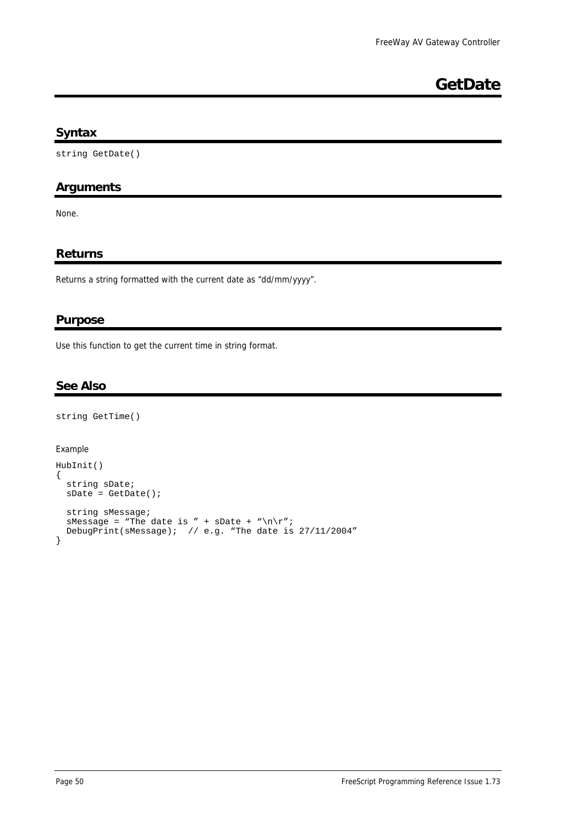# **GetDate**

## **Syntax**

string GetDate()

# **Arguments**

None.

# **Returns**

Returns a string formatted with the current date as "dd/mm/yyyy".

## **Purpose**

Use this function to get the current time in string format.

# **See Also**

string GetTime()

```
HubInit() 
{ 
   string sDate; 
  sDate = GetDate();
   string sMessage; 
sMessage = "The date is " + sDate + "\n\timesr";
 DebugPrint(sMessage); // e.g. "The date is 27/11/2004" 
}
```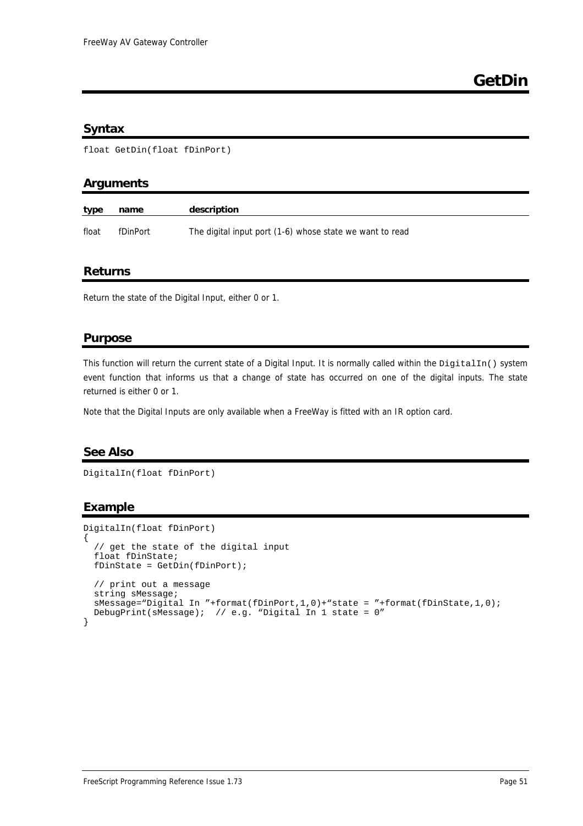float GetDin(float fDinPort)

#### **Arguments**

| type  | name     | description                                              |
|-------|----------|----------------------------------------------------------|
| float | fDinPort | The digital input port (1-6) whose state we want to read |

#### **Returns**

Return the state of the Digital Input, either 0 or 1.

#### **Purpose**

This function will return the current state of a Digital Input. It is normally called within the DigitalIn() system event function that informs us that a change of state has occurred on one of the digital inputs. The state returned is either 0 or 1.

Note that the Digital Inputs are only available when a FreeWay is fitted with an IR option card.

## **See Also**

DigitalIn(float fDinPort)

```
DigitalIn(float fDinPort) 
{ 
   // get the state of the digital input 
   float fDinState; 
   fDinState = GetDin(fDinPort); 
   // print out a message 
   string sMessage; 
   sMessage="Digital In "+format(fDinPort,1,0)+"state = "+format(fDinState,1,0); 
   DebugPrint(sMessage); // e.g. "Digital In 1 state = 0" 
}
```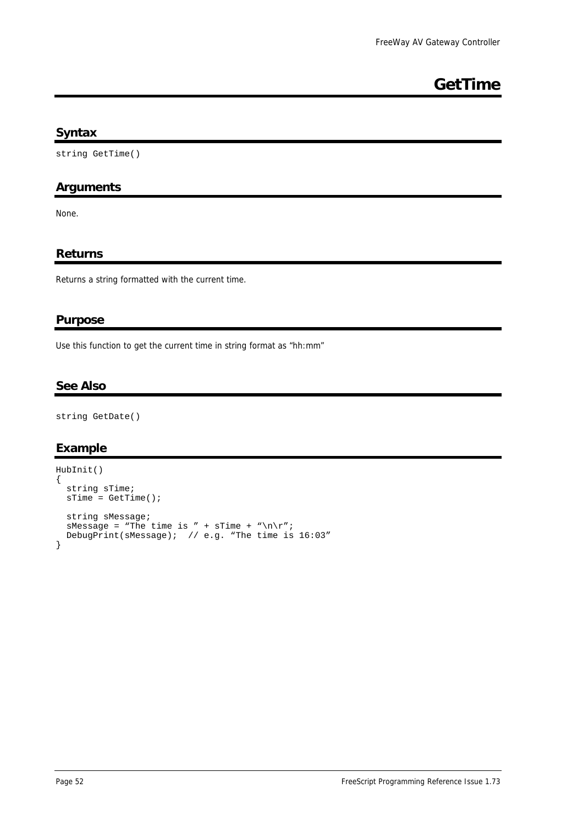# **GetTime**

## **Syntax**

string GetTime()

# **Arguments**

None.

# **Returns**

Returns a string formatted with the current time.

## **Purpose**

Use this function to get the current time in string format as "hh:mm"

# **See Also**

string GetDate()

```
HubInit() 
{ 
   string sTime; 
   sTime = GetTime(); 
   string sMessage; 
  sMessage = "The time is " + sTime + "\n\times";
  DebugPrint(sMessage); // e.g. "The time is 16:03"
}
```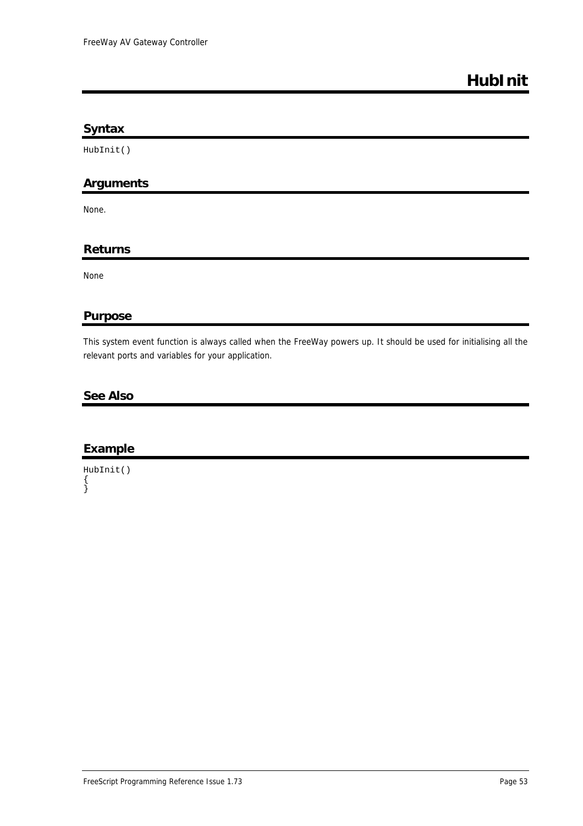HubInit()

# **Arguments**

None.

## **Returns**

None

## **Purpose**

This system event function is always called when the FreeWay powers up. It should be used for initialising all the relevant ports and variables for your application.

## **See Also**

# **Example**

HubInit() { }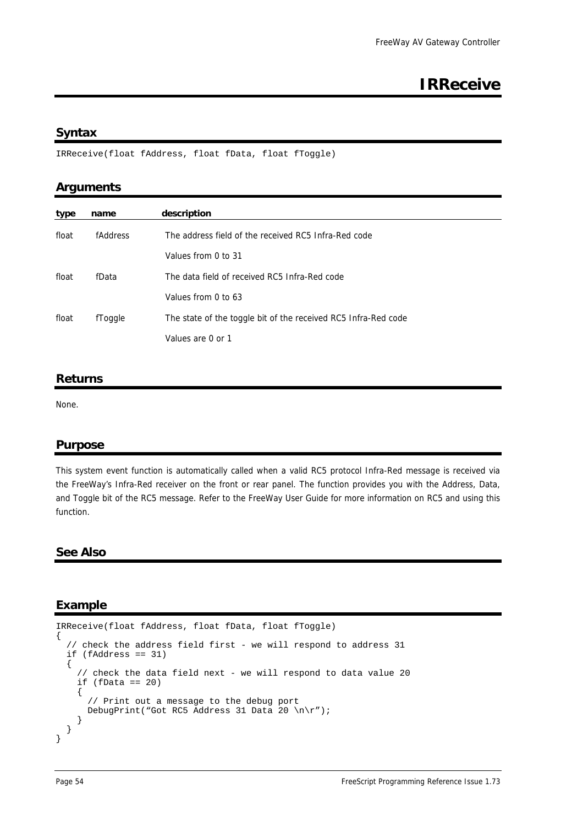# **IRReceive**

## **Syntax**

IRReceive(float fAddress, float fData, float fToggle)

## **Arguments**

| type  | name     | description                                                    |
|-------|----------|----------------------------------------------------------------|
| float | fAddress | The address field of the received RC5 Infra-Red code           |
|       |          | Values from 0 to 31                                            |
| float | fData    | The data field of received RC5 Infra-Red code                  |
|       |          | Values from 0 to 63                                            |
| float | fToggle  | The state of the toggle bit of the received RC5 Infra-Red code |
|       |          | Values are 0 or 1                                              |

## **Returns**

None.

## **Purpose**

This system event function is automatically called when a valid RC5 protocol Infra-Red message is received via the FreeWay's Infra-Red receiver on the front or rear panel. The function provides you with the Address, Data, and Toggle bit of the RC5 message. Refer to the FreeWay User Guide for more information on RC5 and using this function.

#### **See Also**

```
IRReceive(float fAddress, float fData, float fToggle) 
{ 
   // check the address field first - we will respond to address 31 
  if (fAddress == 31) 
  \{ // check the data field next - we will respond to data value 20 
    if (fData == 20) { 
       // Print out a message to the debug port 
       DebugPrint("Got RC5 Address 31 Data 20 \n\r"); 
     } 
  } 
}
```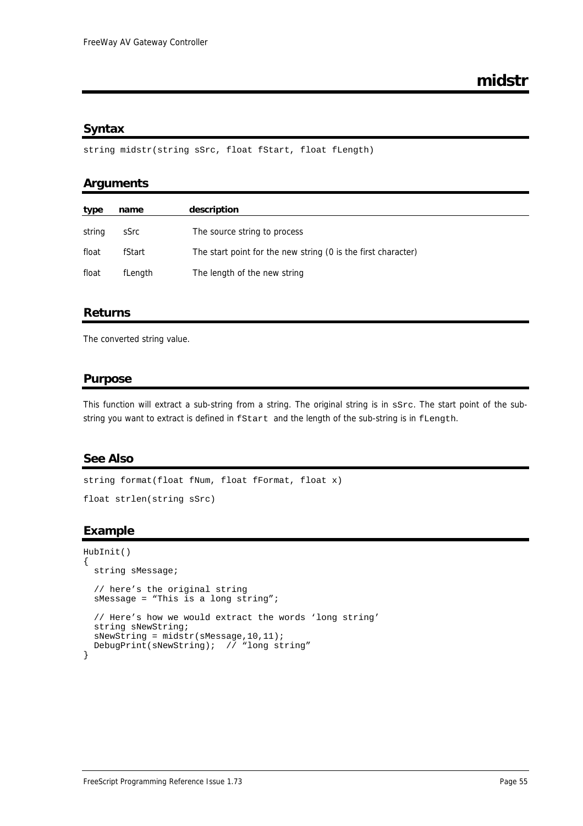string midstr(string sSrc, float fStart, float fLength)

## **Arguments**

| type   | name    | description                                                   |
|--------|---------|---------------------------------------------------------------|
| string | sSrc    | The source string to process                                  |
| float  | fStart  | The start point for the new string (0 is the first character) |
| float  | fLength | The length of the new string                                  |

#### **Returns**

The converted string value.

#### **Purpose**

This function will extract a sub-string from a string. The original string is in  $s$ Erc. The start point of the substring you want to extract is defined in fStart and the length of the sub-string is in fLength.

#### **See Also**

```
string format(float fNum, float fFormat, float x) 
float strlen(string sSrc)
```

```
HubInit() 
{ 
   string sMessage; 
   // here's the original string 
  sMessage = "This is a long string";
   // Here's how we would extract the words 'long string' 
   string sNewString; 
   sNewString = midstr(sMessage,10,11); 
   DebugPrint(sNewString); // "long string" 
}
```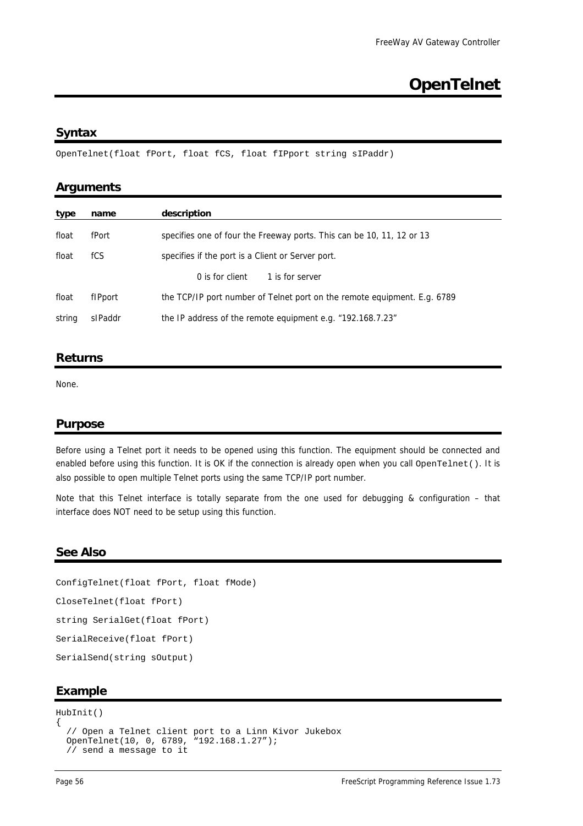# **OpenTelnet**

## **Syntax**

OpenTelnet(float fPort, float fCS, float fIPport string sIPaddr)

## **Arguments**

| type   | name    | description                                                              |
|--------|---------|--------------------------------------------------------------------------|
| float  | fPort   | specifies one of four the Freeway ports. This can be 10, 11, 12 or 13    |
| float  | fCS     | specifies if the port is a Client or Server port.                        |
|        |         | 0 is for client<br>1 is for server                                       |
| float  | flPport | the TCP/IP port number of Telnet port on the remote equipment. E.g. 6789 |
| string | slPaddr | the IP address of the remote equipment e.g. "192.168.7.23"               |

## **Returns**

None.

## **Purpose**

Before using a Telnet port it needs to be opened using this function. The equipment should be connected and enabled before using this function. It is OK if the connection is already open when you call OpenTelnet(). It is also possible to open multiple Telnet ports using the same TCP/IP port number.

Note that this Telnet interface is totally separate from the one used for debugging & configuration – that interface does NOT need to be setup using this function.

#### **See Also**

ConfigTelnet(float fPort, float fMode) CloseTelnet(float fPort) string SerialGet(float fPort) SerialReceive(float fPort) SerialSend(string sOutput)

```
HubInit() 
{ 
   // Open a Telnet client port to a Linn Kivor Jukebox 
   OpenTelnet(10, 0, 6789, "192.168.1.27"); 
   // send a message to it
```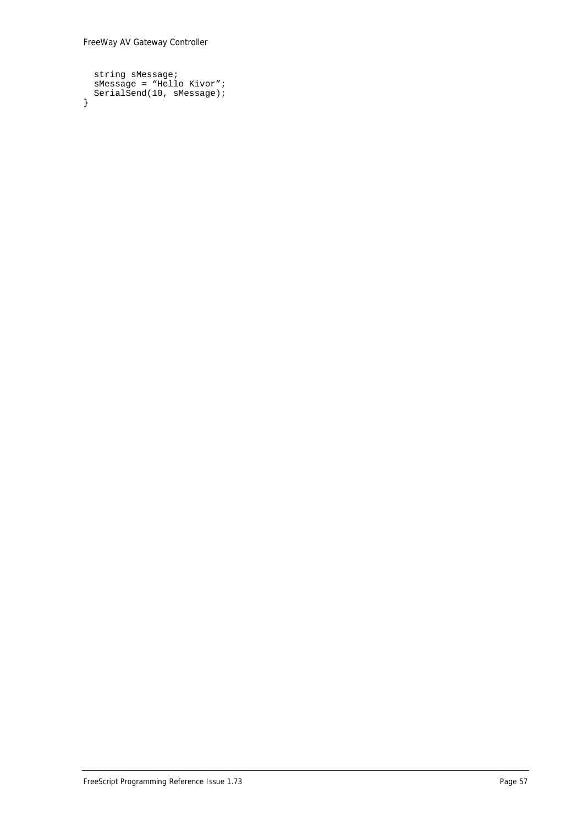FreeWay AV Gateway Controller

```
 string sMessage; 
 sMessage = "Hello Kivor"; 
SerialSend(10, sMessage);
}
```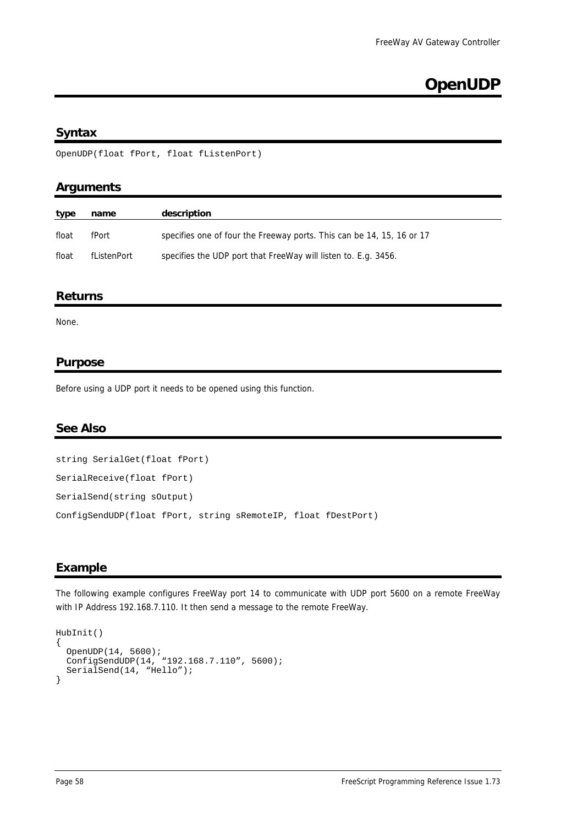# **OpenUDP**

## **Syntax**

OpenUDP(float fPort, float fListenPort)

## **Arguments**

| type  | name        | description                                                           |
|-------|-------------|-----------------------------------------------------------------------|
| float | fPort       | specifies one of four the Freeway ports. This can be 14, 15, 16 or 17 |
| float | fListenPort | specifies the UDP port that FreeWay will listen to. E.g. 3456.        |

## **Returns**

None.

## **Purpose**

Before using a UDP port it needs to be opened using this function.

## **See Also**

string SerialGet(float fPort) SerialReceive(float fPort) SerialSend(string sOutput) ConfigSendUDP(float fPort, string sRemoteIP, float fDestPort)

# **Example**

The following example configures FreeWay port 14 to communicate with UDP port 5600 on a remote FreeWay with IP Address 192.168.7.110. It then send a message to the remote FreeWay.

```
HubInit() 
{ 
   OpenUDP(14, 5600); 
   ConfigSendUDP(14, "192.168.7.110", 5600); 
  SerialSend(14, "Hello");
}
```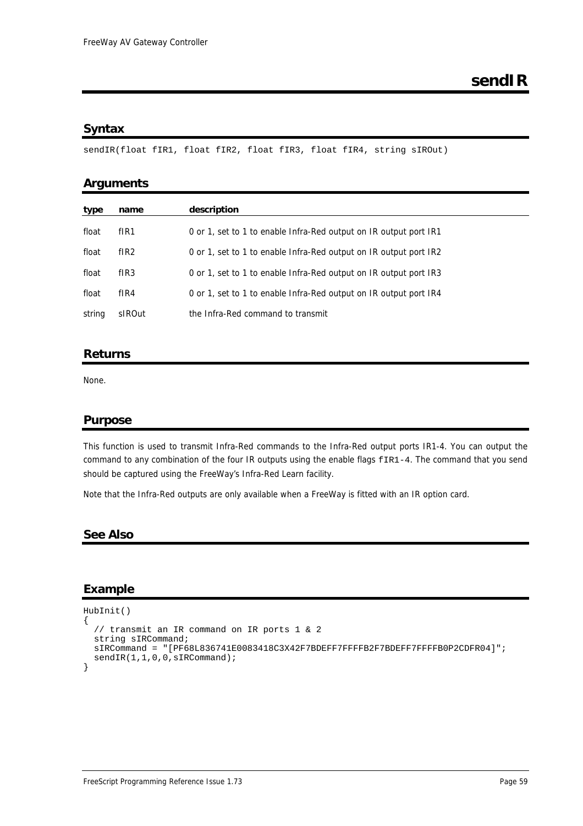sendIR(float fIR1, float fIR2, float fIR3, float fIR4, string sIROut)

### **Arguments**

| type   | name             | description                                                       |
|--------|------------------|-------------------------------------------------------------------|
| float  | fIR1             | 0 or 1, set to 1 to enable Infra-Red output on IR output port IR1 |
| float  | fIR2             | 0 or 1, set to 1 to enable Infra-Red output on IR output port IR2 |
| float  | fIR <sub>3</sub> | 0 or 1, set to 1 to enable Infra-Red output on IR output port IR3 |
| float  | fIR4             | 0 or 1, set to 1 to enable Infra-Red output on IR output port IR4 |
| string | sIROut           | the Infra-Red command to transmit                                 |

#### **Returns**

None.

#### **Purpose**

This function is used to transmit Infra-Red commands to the Infra-Red output ports IR1-4. You can output the command to any combination of the four IR outputs using the enable flags  $fIR1-4$ . The command that you send should be captured using the FreeWay's Infra-Red Learn facility.

Note that the Infra-Red outputs are only available when a FreeWay is fitted with an IR option card.

#### **See Also**

```
HubInit() 
{ 
   // transmit an IR command on IR ports 1 & 2 
   string sIRCommand; 
  sIRCommand = "[PF68L836741E0083418C3X42F7BDEFF7FFFFB2F7BDEFF7FFFFB0P2CDFR04]";
  sendIR(1,1,0,0,sIRCommand);
}
```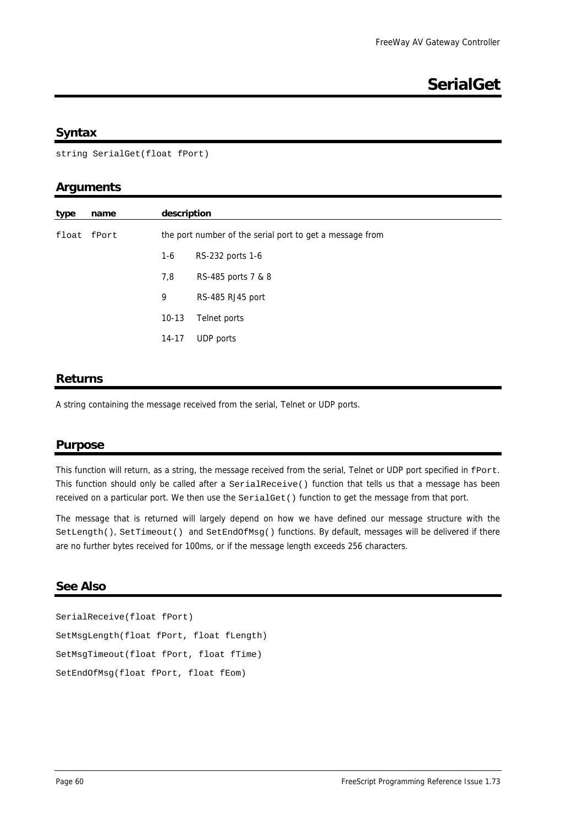string SerialGet(float fPort)

## **Arguments**

| type | name        | description |                                                          |  |  |  |
|------|-------------|-------------|----------------------------------------------------------|--|--|--|
|      | float fPort |             | the port number of the serial port to get a message from |  |  |  |
|      |             | $1-6$       | RS-232 ports 1-6                                         |  |  |  |
|      |             | 7,8         | RS-485 ports 7 & 8                                       |  |  |  |
|      |             | 9           | RS-485 RJ45 port                                         |  |  |  |
|      |             | $10-13$     | Telnet ports                                             |  |  |  |
|      |             | $14 - 17$   | UDP ports                                                |  |  |  |
|      |             |             |                                                          |  |  |  |

# **Returns**

A string containing the message received from the serial, Telnet or UDP ports.

## **Purpose**

This function will return, as a string, the message received from the serial, Telnet or UDP port specified in fPort. This function should only be called after a SerialReceive() function that tells us that a message has been received on a particular port. We then use the SerialGet() function to get the message from that port.

The message that is returned will largely depend on how we have defined our message structure with the SetLength(), SetTimeout() and SetEndOfMsg() functions. By default, messages will be delivered if there are no further bytes received for 100ms, or if the message length exceeds 256 characters.

## **See Also**

SerialReceive(float fPort) SetMsgLength(float fPort, float fLength) SetMsgTimeout(float fPort, float fTime) SetEndOfMsg(float fPort, float fEom)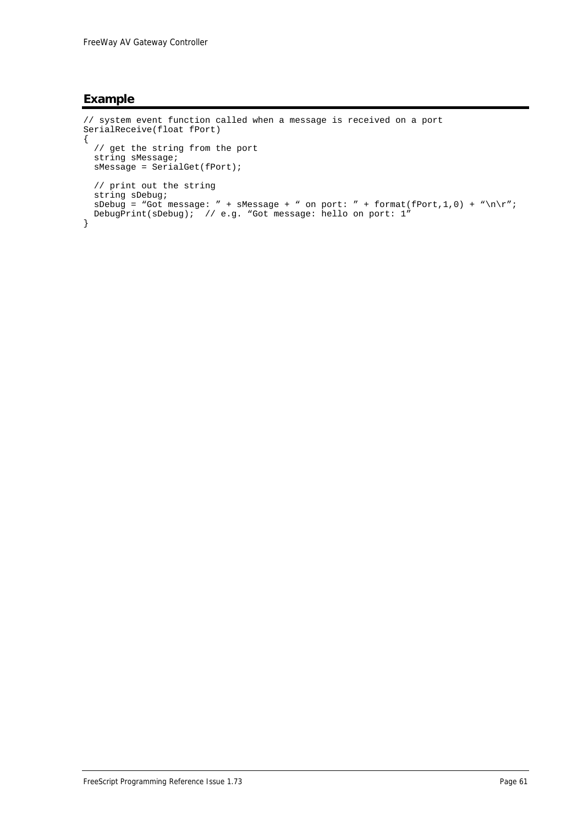```
// system event function called when a message is received on a port 
SerialReceive(float fPort) 
{ 
 // get the string from the port 
 string sMessage; 
  sMessage = SerialGet(fPort); 
  // print out the string 
  string sDebug; 
sDebug = "Got message: " + sMessage + " on port: " + format(fPort,1,0) + "\n\r";
 DebugPrint(sDebug); // e.g. "Got message: hello on port: 1" 
}
```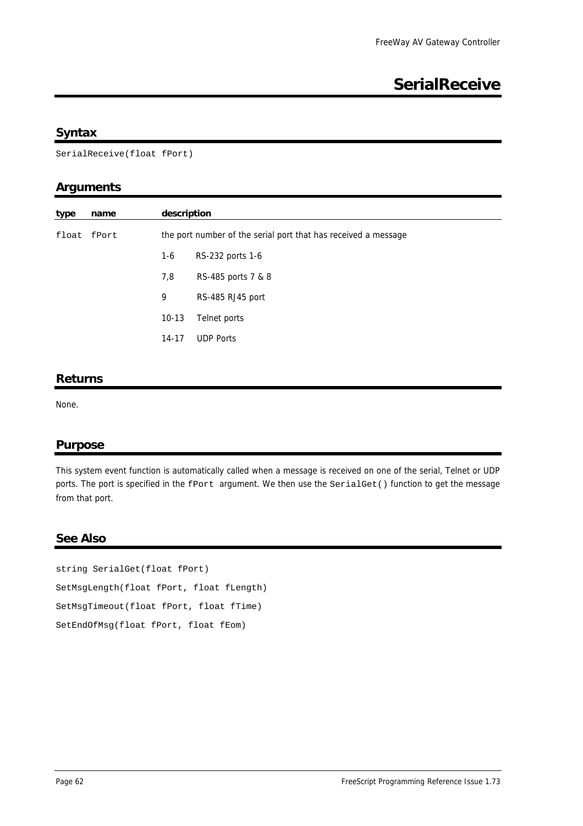# **SerialReceive**

# **Syntax**

SerialReceive(float fPort)

# **Arguments**

| type | name        | description |                                                                |  |  |  |
|------|-------------|-------------|----------------------------------------------------------------|--|--|--|
|      | float fPort |             | the port number of the serial port that has received a message |  |  |  |
|      |             | $1-6$       | RS-232 ports 1-6                                               |  |  |  |
|      |             | 7,8         | RS-485 ports 7 & 8                                             |  |  |  |
|      |             | 9           | RS-485 RJ45 port                                               |  |  |  |
|      |             | $10 - 13$   | Telnet ports                                                   |  |  |  |
|      |             | 14-17       | <b>UDP Ports</b>                                               |  |  |  |
|      |             |             |                                                                |  |  |  |

## **Returns**

None.

## **Purpose**

This system event function is automatically called when a message is received on one of the serial, Telnet or UDP ports. The port is specified in the fPort argument. We then use the SerialGet() function to get the message from that port.

# **See Also**

string SerialGet(float fPort) SetMsgLength(float fPort, float fLength) SetMsgTimeout(float fPort, float fTime) SetEndOfMsg(float fPort, float fEom)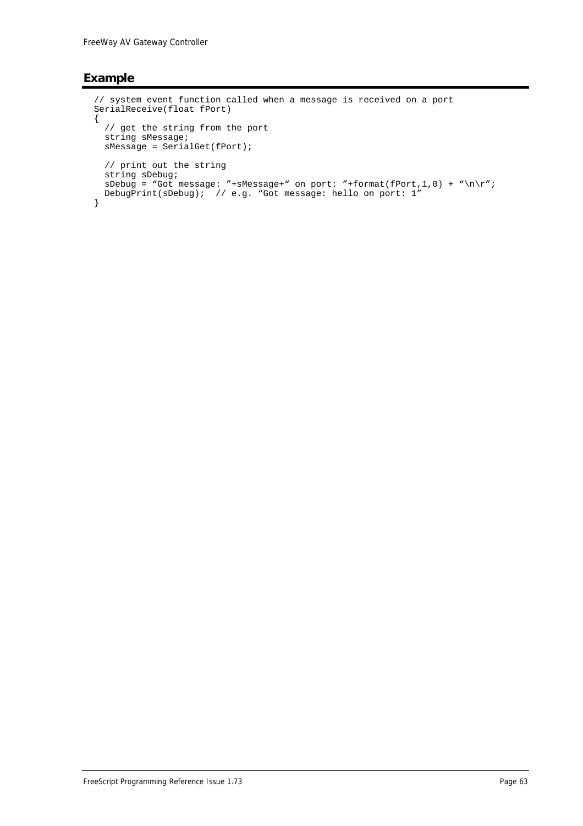```
 // system event function called when a message is received on a port 
 SerialReceive(float fPort) 
  { 
    // get the string from the port 
    string sMessage; 
    sMessage = SerialGet(fPort); 
    // print out the string 
    string sDebug; 
   sDebug = "Got message: "+sMessage+" on port: "+format(fPort,1,0) + "\n\r";
    DebugPrint(sDebug); // e.g. "Got message: hello on port: 1" 
  }
```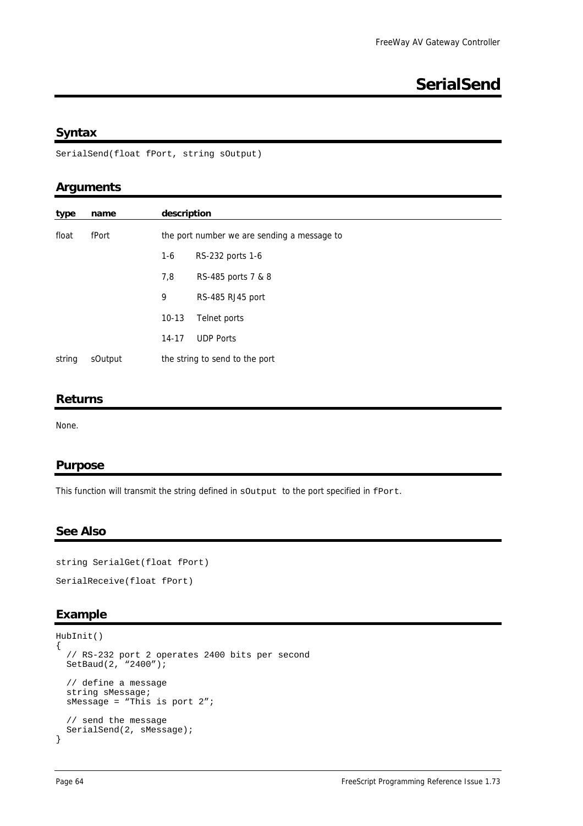# **SerialSend**

## **Syntax**

SerialSend(float fPort, string sOutput)

## **Arguments**

| type   | name    | description                                 |                                |  |  |  |
|--------|---------|---------------------------------------------|--------------------------------|--|--|--|
| float  | fPort   | the port number we are sending a message to |                                |  |  |  |
|        |         | $1-6$                                       | RS-232 ports 1-6               |  |  |  |
|        |         | 7,8                                         | RS-485 ports 7 & 8             |  |  |  |
|        |         | 9                                           | RS-485 RJ45 port               |  |  |  |
|        |         | $10 - 13$                                   | Telnet ports                   |  |  |  |
|        |         | $14 - 17$                                   | <b>UDP Ports</b>               |  |  |  |
| string | sOutput |                                             | the string to send to the port |  |  |  |

## **Returns**

None.

#### **Purpose**

This function will transmit the string defined in soutput to the port specified in fPort.

## **See Also**

```
string SerialGet(float fPort) 
SerialReceive(float fPort)
```

```
HubInit() 
{ 
   // RS-232 port 2 operates 2400 bits per second 
  SetBaud(2, "2400");
   // define a message 
   string sMessage; 
   sMessage = "This is port 2"; 
   // send the message 
  SerialSend(2, sMessage);
}
```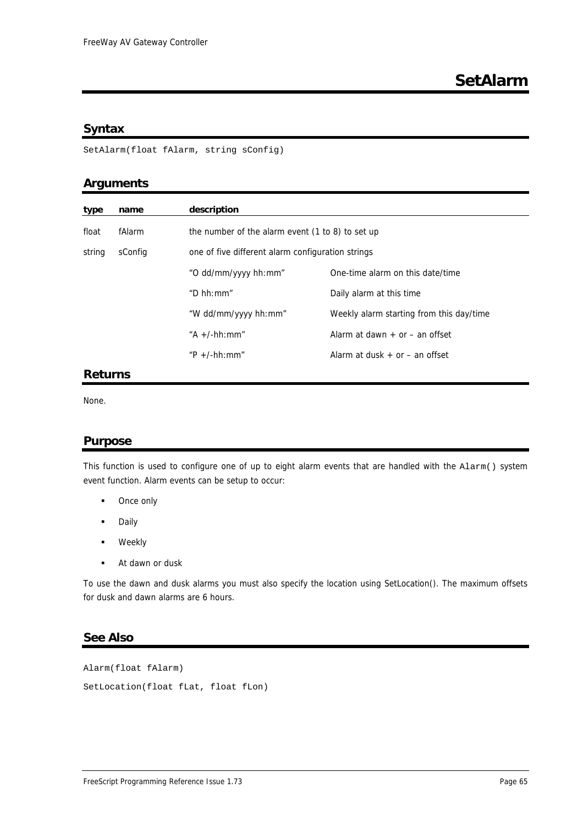SetAlarm(float fAlarm, string sConfig)

## **Arguments**

| type   | name    | description                                       |                                          |
|--------|---------|---------------------------------------------------|------------------------------------------|
| float  | fAlarm  | the number of the alarm event (1 to 8) to set up  |                                          |
| string | sConfig | one of five different alarm configuration strings |                                          |
|        |         | "O dd/mm/yyyy hh:mm"                              | One-time alarm on this date/time         |
|        |         | $"D$ hh: mm"                                      | Daily alarm at this time                 |
|        |         | "W dd/mm/yyyy hh:mm"                              | Weekly alarm starting from this day/time |
|        |         | "A $+/-$ hh:mm"                                   | Alarm at dawn $+$ or $-$ an offset       |
|        |         | "P $+/-$ hh:mm"                                   | Alarm at dusk $+$ or $-$ an offset       |

#### **Returns**

None.

## **Purpose**

This function is used to configure one of up to eight alarm events that are handled with the Alarm() system event function. Alarm events can be setup to occur:

- **•** Once only
- **-** Daily
- **•** Weekly
- **At dawn or dusk**

To use the dawn and dusk alarms you must also specify the location using SetLocation(). The maximum offsets for dusk and dawn alarms are 6 hours.

#### **See Also**

```
Alarm(float fAlarm) 
SetLocation(float fLat, float fLon)
```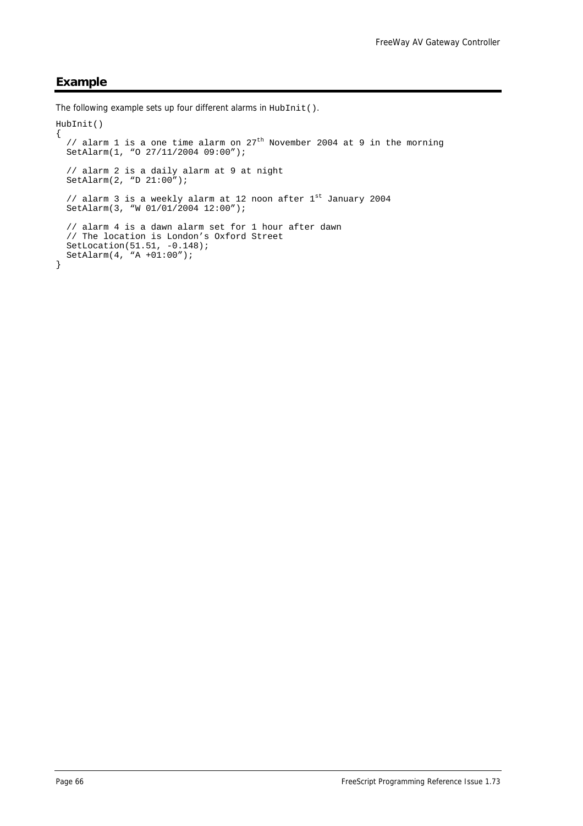## **Example**

The following example sets up four different alarms in HubInit().

```
HubInit() 
{ 
  // alarm 1 is a one time alarm on 27<sup>th</sup> November 2004 at 9 in the morning
   SetAlarm(1, "O 27/11/2004 09:00"); 
 // alarm 2 is a daily alarm at 9 at night 
 SetAlarm(2, "D 21:00"); 
// alarm 3 is a weekly alarm at 12 noon after 1^{\text{st}} January 2004
 SetAlarm(3, "W 01/01/2004 12:00"); 
 // alarm 4 is a dawn alarm set for 1 hour after dawn 
 // The location is London's Oxford Street 
  SetLocation(51.51, -0.148);
   SetAlarm(4, "A +01:00"); 
}
```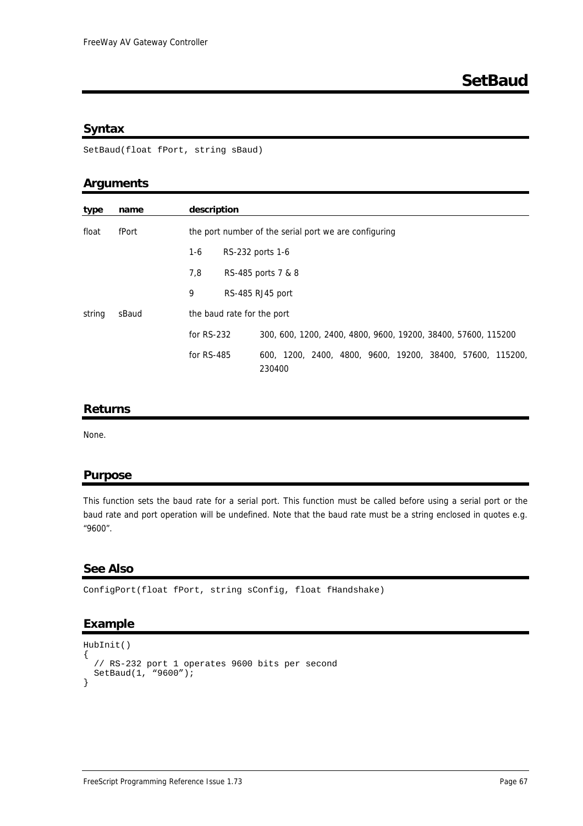SetBaud(float fPort, string sBaud)

### **Arguments**

| type   | name  | description                                           |  |                                                                     |
|--------|-------|-------------------------------------------------------|--|---------------------------------------------------------------------|
| float  | fPort | the port number of the serial port we are configuring |  |                                                                     |
|        |       | $1 - 6$                                               |  | RS-232 ports 1-6                                                    |
|        |       | 7,8                                                   |  | RS-485 ports 7 & 8                                                  |
|        |       | 9                                                     |  | RS-485 RJ45 port                                                    |
| string | sBaud |                                                       |  | the baud rate for the port                                          |
|        |       | for $RS-232$                                          |  | 300, 600, 1200, 2400, 4800, 9600, 19200, 38400, 57600, 115200       |
|        |       | for $RS-485$                                          |  | 600, 1200, 2400, 4800, 9600, 19200, 38400, 57600, 115200,<br>230400 |

#### **Returns**

None.

#### **Purpose**

This function sets the baud rate for a serial port. This function must be called before using a serial port or the baud rate and port operation will be undefined. Note that the baud rate must be a string enclosed in quotes e.g. "9600".

## **See Also**

ConfigPort(float fPort, string sConfig, float fHandshake)

```
HubInit() 
{ 
   // RS-232 port 1 operates 9600 bits per second 
  SetBaud(1, "9600");
}
```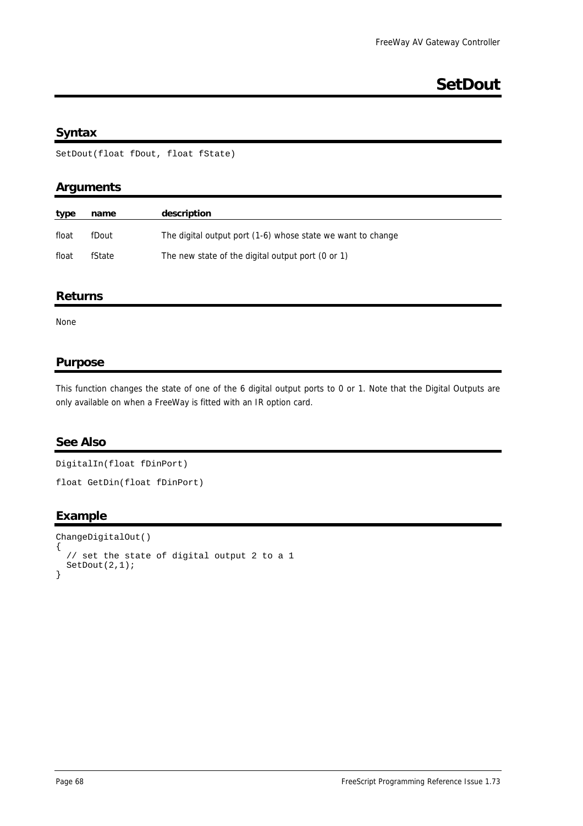SetDout(float fDout, float fState)

## **Arguments**

| type  | name   | description                                                 |
|-------|--------|-------------------------------------------------------------|
| float | fDout  | The digital output port (1-6) whose state we want to change |
| float | fState | The new state of the digital output port (0 or 1)           |

## **Returns**

None

## **Purpose**

This function changes the state of one of the 6 digital output ports to 0 or 1. Note that the Digital Outputs are only available on when a FreeWay is fitted with an IR option card.

## **See Also**

```
DigitalIn(float fDinPort) 
float GetDin(float fDinPort)
```

```
ChangeDigitalOut() 
{ 
   // set the state of digital output 2 to a 1 
  SetDout(2,1);
}
```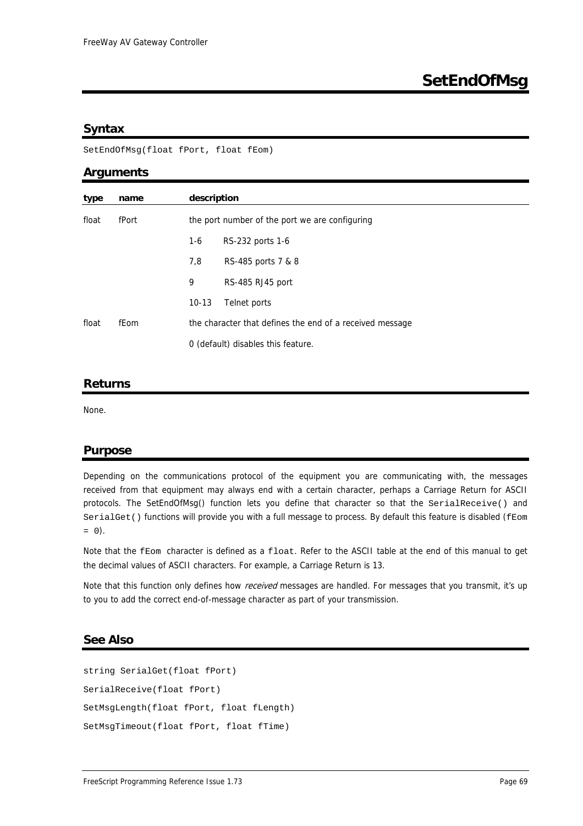SetEndOfMsg(float fPort, float fEom)

#### **Arguments**

| type  | name  | description                                    |                                                          |  |
|-------|-------|------------------------------------------------|----------------------------------------------------------|--|
| float | fPort | the port number of the port we are configuring |                                                          |  |
|       |       | $1 - 6$                                        | RS-232 ports 1-6                                         |  |
|       |       | 7,8                                            | RS-485 ports 7 & 8                                       |  |
|       |       | 9                                              | RS-485 RJ45 port                                         |  |
|       |       | $10 - 13$                                      | Telnet ports                                             |  |
| float | fEom  |                                                | the character that defines the end of a received message |  |
|       |       |                                                | 0 (default) disables this feature.                       |  |

#### **Returns**

None.

# **Purpose**

Depending on the communications protocol of the equipment you are communicating with, the messages received from that equipment may always end with a certain character, perhaps a Carriage Return for ASCII protocols. The SetEndOfMsg() function lets you define that character so that the SerialReceive() and SerialGet() functions will provide you with a full message to process. By default this feature is disabled (fEom  $= 0$ ).

Note that the fEom character is defined as a float. Refer to the ASCII table at the end of this manual to get the decimal values of ASCII characters. For example, a Carriage Return is 13.

Note that this function only defines how *received* messages are handled. For messages that you transmit, it's up to you to add the correct end-of-message character as part of your transmission.

## **See Also**

```
string SerialGet(float fPort) 
SerialReceive(float fPort) 
SetMsgLength(float fPort, float fLength) 
SetMsgTimeout(float fPort, float fTime)
```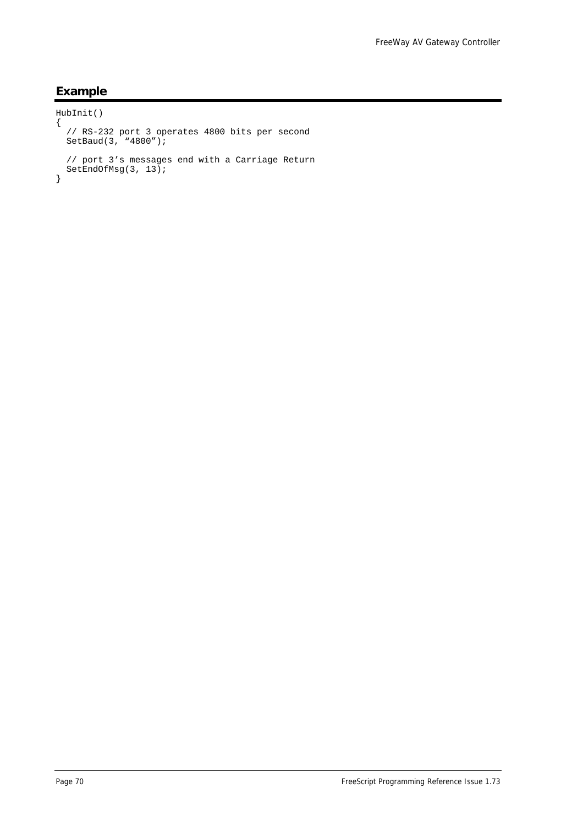```
HubInit() 
{ 
 // RS-232 port 3 operates 4800 bits per second 
 SetBaud(3, "4800"); 
 // port 3's messages end with a Carriage Return 
 SetEndOfMsg(3, 13); 
}
```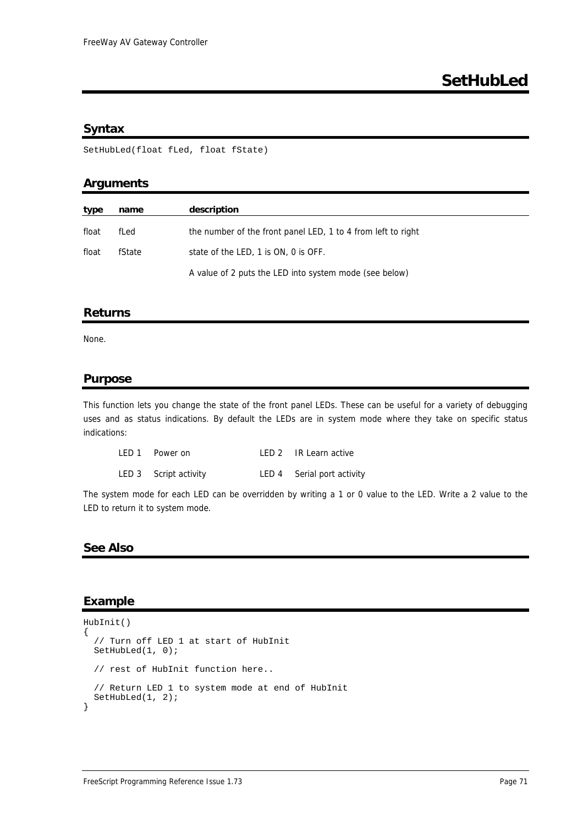SetHubLed(float fLed, float fState)

## **Arguments**

| type  | name   | description                                                  |  |
|-------|--------|--------------------------------------------------------------|--|
| float | fLed   | the number of the front panel LED, 1 to 4 from left to right |  |
| float | fState | state of the LED, 1 is ON, 0 is OFF.                         |  |
|       |        | A value of 2 puts the LED into system mode (see below)       |  |

## **Returns**

None.

#### **Purpose**

This function lets you change the state of the front panel LEDs. These can be useful for a variety of debugging uses and as status indications. By default the LEDs are in system mode where they take on specific status indications:

| LED 1 Power on        | LED 2 IR Learn active      |
|-----------------------|----------------------------|
| LED 3 Script activity | LED 4 Serial port activity |

The system mode for each LED can be overridden by writing a 1 or 0 value to the LED. Write a 2 value to the LED to return it to system mode.

#### **See Also**

```
HubInit() 
{ 
   // Turn off LED 1 at start of HubInit 
  SetHubLed(1, 0);
   // rest of HubInit function here.. 
   // Return LED 1 to system mode at end of HubInit 
   SetHubLed(1, 2); 
}
```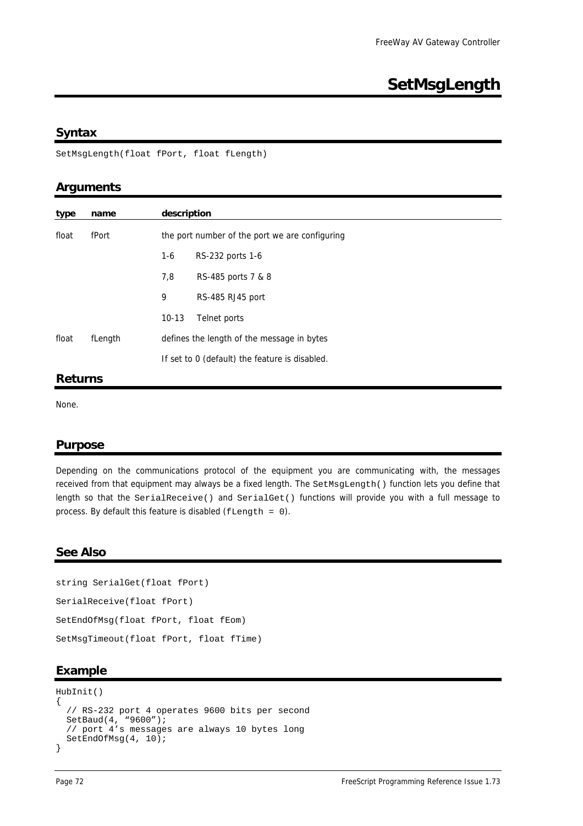# **SetMsgLength**

## **Syntax**

SetMsgLength(float fPort, float fLength)

## **Arguments**

| type  | name    | description                                    |                                                |  |  |
|-------|---------|------------------------------------------------|------------------------------------------------|--|--|
| float | fPort   | the port number of the port we are configuring |                                                |  |  |
|       |         | $1-6$                                          | RS-232 ports 1-6                               |  |  |
|       |         | 7,8                                            | RS-485 ports 7 & 8                             |  |  |
|       |         | 9                                              | RS-485 RJ45 port                               |  |  |
|       |         | $10 - 13$                                      | Telnet ports                                   |  |  |
| float | fLength |                                                | defines the length of the message in bytes     |  |  |
|       |         |                                                | If set to 0 (default) the feature is disabled. |  |  |
|       |         |                                                |                                                |  |  |

## **Returns**

None.

## **Purpose**

Depending on the communications protocol of the equipment you are communicating with, the messages received from that equipment may always be a fixed length. The SetMsgLength() function lets you define that length so that the SerialReceive() and SerialGet() functions will provide you with a full message to process. By default this feature is disabled (fLength = 0).

#### **See Also**

string SerialGet(float fPort) SerialReceive(float fPort) SetEndOfMsg(float fPort, float fEom) SetMsgTimeout(float fPort, float fTime)

```
HubInit() 
{ 
 // RS-232 port 4 operates 9600 bits per second 
 SetBaud(4, "9600"); 
   // port 4's messages are always 10 bytes long 
  SetEndOfMsg(4, 10);
}
```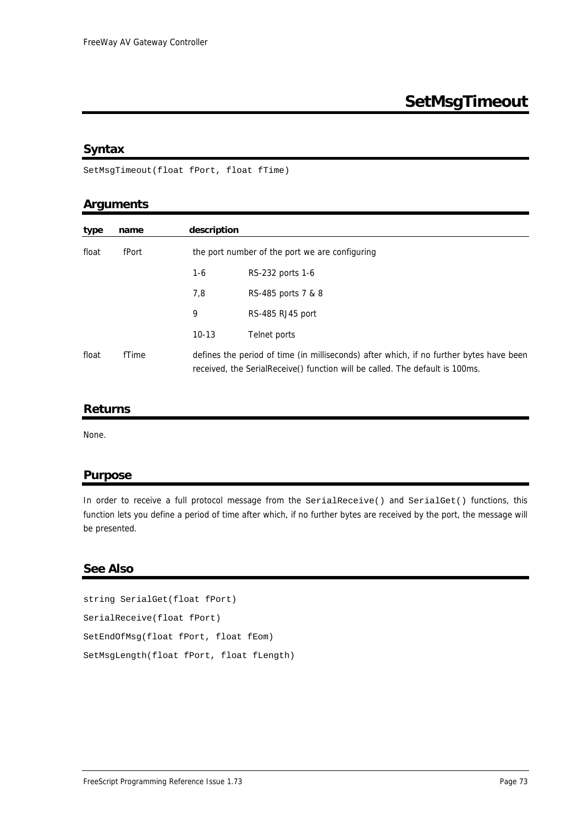#### **Syntax**

SetMsgTimeout(float fPort, float fTime)

#### **Arguments**

| type  | name  | description |                                                                                                                                                                         |  |
|-------|-------|-------------|-------------------------------------------------------------------------------------------------------------------------------------------------------------------------|--|
| float | fPort |             | the port number of the port we are configuring                                                                                                                          |  |
|       |       | 1-6         | RS-232 ports 1-6                                                                                                                                                        |  |
|       |       | 7,8         | RS-485 ports 7 & 8                                                                                                                                                      |  |
|       |       | 9           | RS-485 RJ45 port                                                                                                                                                        |  |
|       |       | $10 - 13$   | Telnet ports                                                                                                                                                            |  |
| float | fTime |             | defines the period of time (in milliseconds) after which, if no further bytes have been<br>received, the SerialReceive() function will be called. The default is 100ms. |  |

#### **Returns**

None.

#### **Purpose**

In order to receive a full protocol message from the SerialReceive() and SerialGet() functions, this function lets you define a period of time after which, if no further bytes are received by the port, the message will be presented.

#### **See Also**

```
string SerialGet(float fPort) 
SerialReceive(float fPort) 
SetEndOfMsg(float fPort, float fEom) 
SetMsgLength(float fPort, float fLength)
```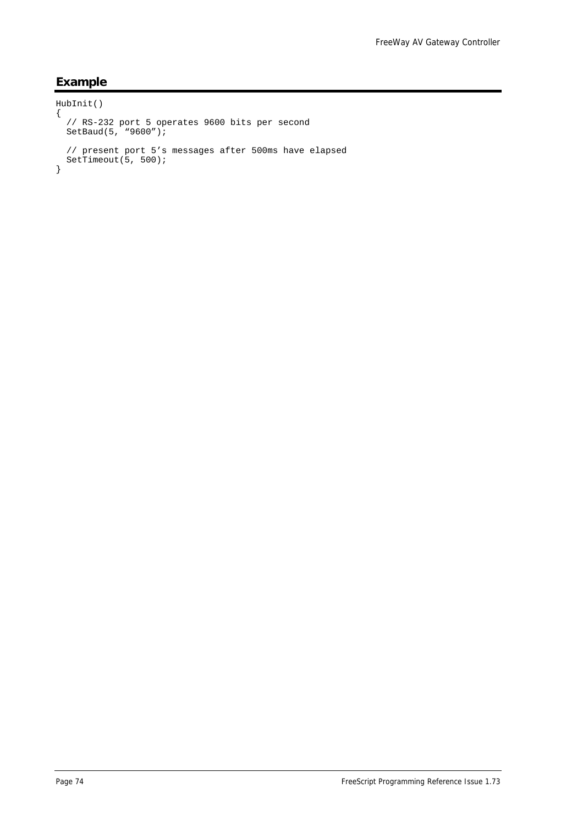### **Example**

```
HubInit() 
{ 
 // RS-232 port 5 operates 9600 bits per second 
 SetBaud(5, "9600"); 
 // present port 5's messages after 500ms have elapsed 
 SetTimeout(5, 500); 
}
```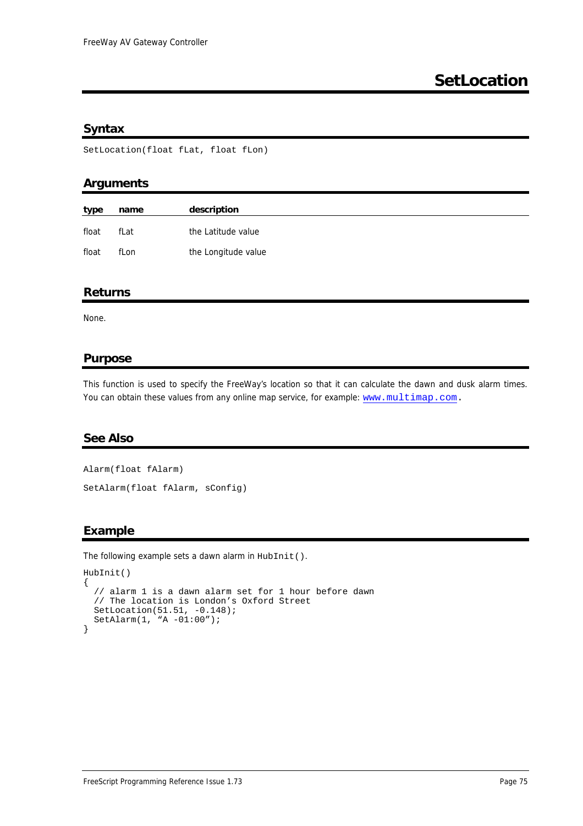#### **Syntax**

SetLocation(float fLat, float fLon)

#### **Arguments**

| type  | name | description         |
|-------|------|---------------------|
| float | fLat | the Latitude value  |
| float | fLon | the Longitude value |

#### **Returns**

None.

#### **Purpose**

This function is used to specify the FreeWay's location so that it can calculate the dawn and dusk alarm times. You can obtain these values from any online map service, for example: www.multimap.com.

#### **See Also**

Alarm(float fAlarm) SetAlarm(float fAlarm, sConfig)

#### **Example**

The following example sets a dawn alarm in  $HubInit()$ .

```
HubInit() 
{ 
   // alarm 1 is a dawn alarm set for 1 hour before dawn 
 // The location is London's Oxford Street 
 SetLocation(51.51, -0.148); 
   SetAlarm(1, "A -01:00"); 
}
```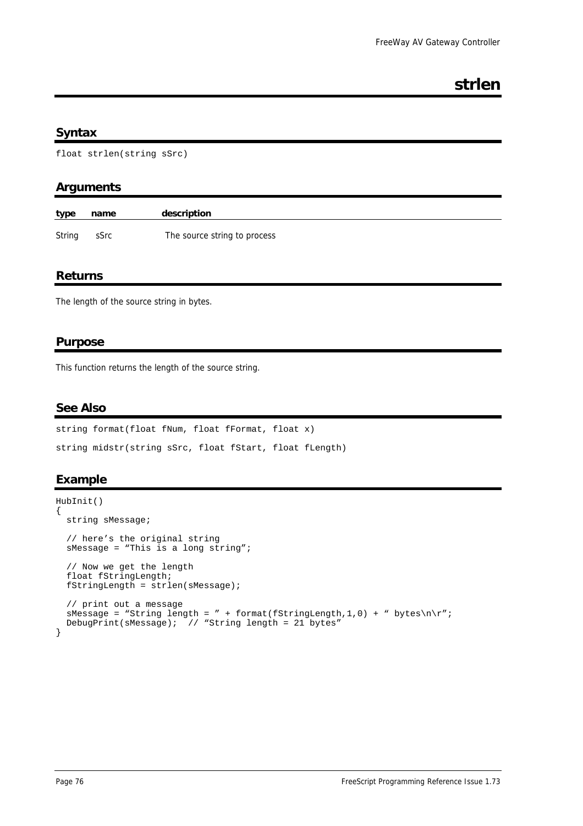## **strlen**

#### **Syntax**

float strlen(string sSrc)

#### **Arguments**

| type   | name | description                  |  |
|--------|------|------------------------------|--|
| String | sSrc | The source string to process |  |

#### **Returns**

The length of the source string in bytes.

#### **Purpose**

This function returns the length of the source string.

### **See Also**

```
string format(float fNum, float fFormat, float x) 
string midstr(string sSrc, float fStart, float fLength)
```
### **Example**

```
HubInit() 
{ 
   string sMessage; 
   // here's the original string 
   sMessage = "This is a long string"; 
   // Now we get the length 
   float fStringLength; 
   fStringLength = strlen(sMessage); 
   // print out a message 
  sMessage = "String length = " + format(fStringLength,1,0) + " bytes\ln\frac{x''}{i} DebugPrint(sMessage); // "String length = 21 bytes" 
}
```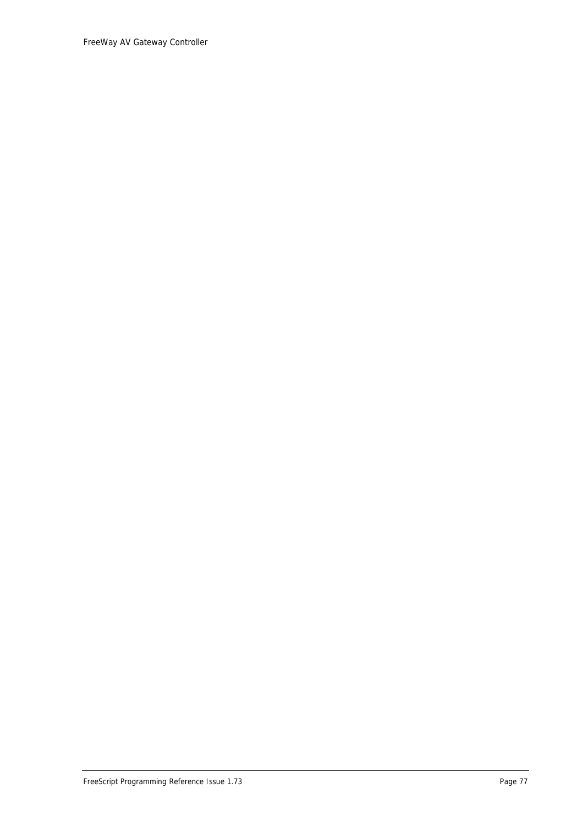FreeWay AV Gateway Controller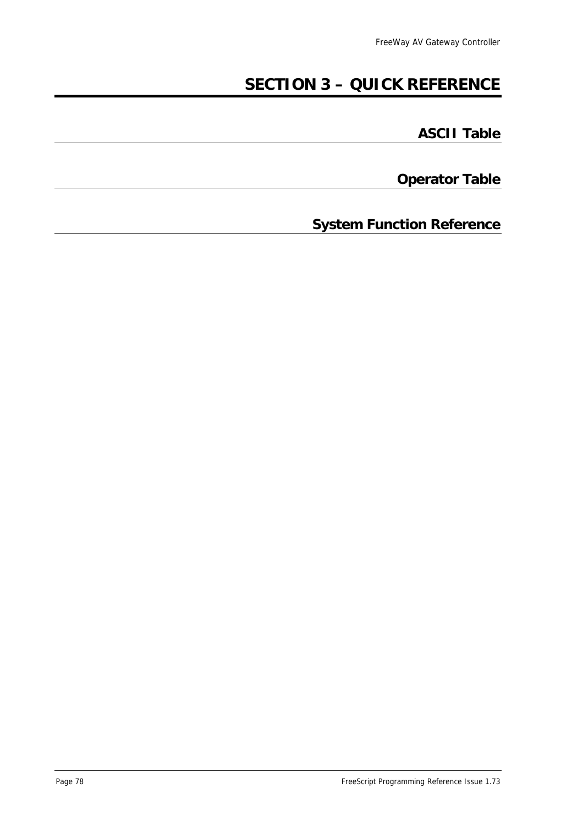# **SECTION 3 – QUICK REFERENCE**

**ASCII Table** 

**Operator Table**

**System Function Reference**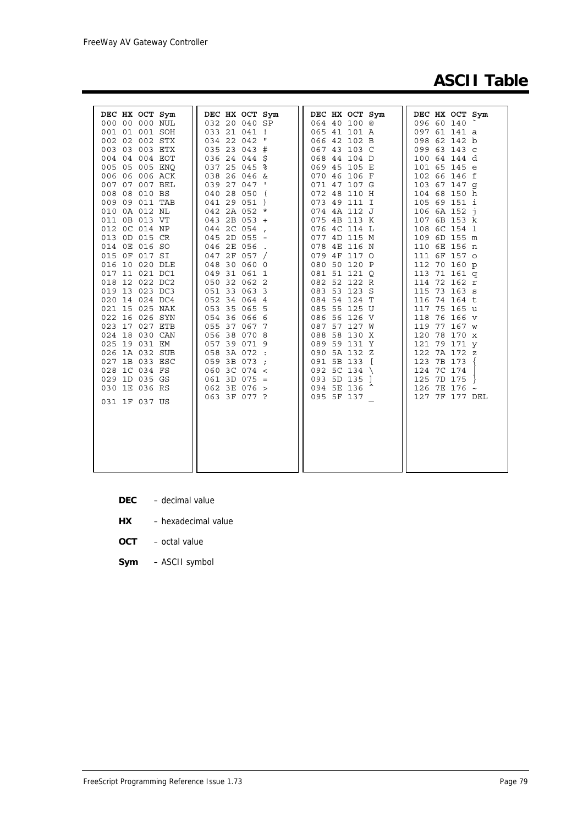# **ASCII Table**

- **DEC**  decimal value
- **HX**  hexadecimal value
- **OCT**  octal value
- **Sym**  ASCII symbol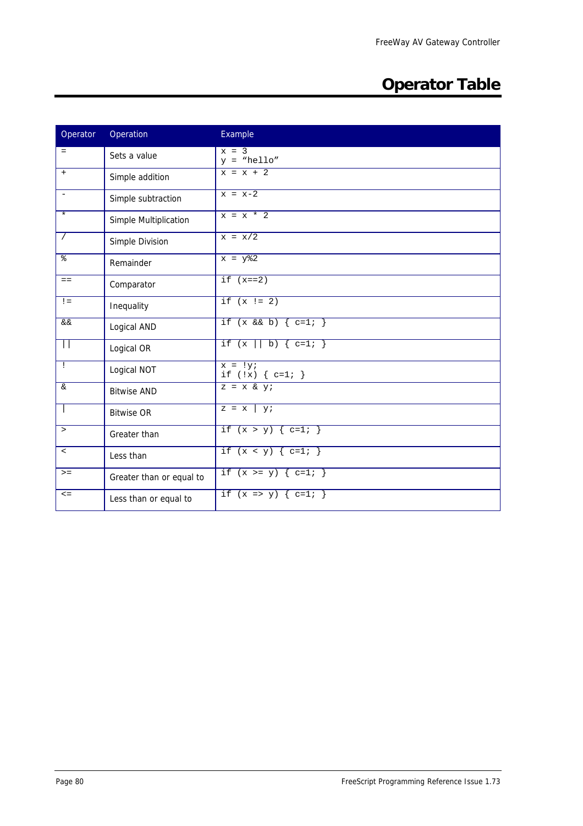# **Operator Table**

| Operator       | Operation                | Example                           |
|----------------|--------------------------|-----------------------------------|
| $=$            | Sets a value             | $x = 3$<br>$y = "hello"$          |
| $+$            | Simple addition          | $x = x + 2$                       |
|                | Simple subtraction       | $x = x-2$                         |
| $\star$        | Simple Multiplication    | $x = x * 2$                       |
| $\overline{1}$ | Simple Division          | $x = x/2$                         |
| ి              | Remainder                | $x = y\$ 2                        |
| $=$            | Comparator               | if $(x==2)$                       |
| $!=$           | Inequality               | if $(x := 2)$                     |
| &&             | Logical AND              | if $(x & \& b) \{ c=1; \}$        |
| $\perp$        | Logical OR               | if $(x   b) { c=1; }$             |
| Ţ              | Logical NOT              | $x = 1y$<br>if $(!x) { c=1; }$    |
| $\delta$       | <b>Bitwise AND</b>       | $z = x & y;$                      |
|                | <b>Bitwise OR</b>        | $z = x \mid y$                    |
| $\, >$         | Greater than             | if $(x > y) {c=1; }$              |
| $\,<$          | Less than                | if $(x < y) \{ c=1; \}$           |
| $>=$           | Greater than or equal to | if $(x \ge y) \{ c=1; \}$         |
| $\leq$ $=$     | Less than or equal to    | if $(x \Rightarrow y) \{ c=1; \}$ |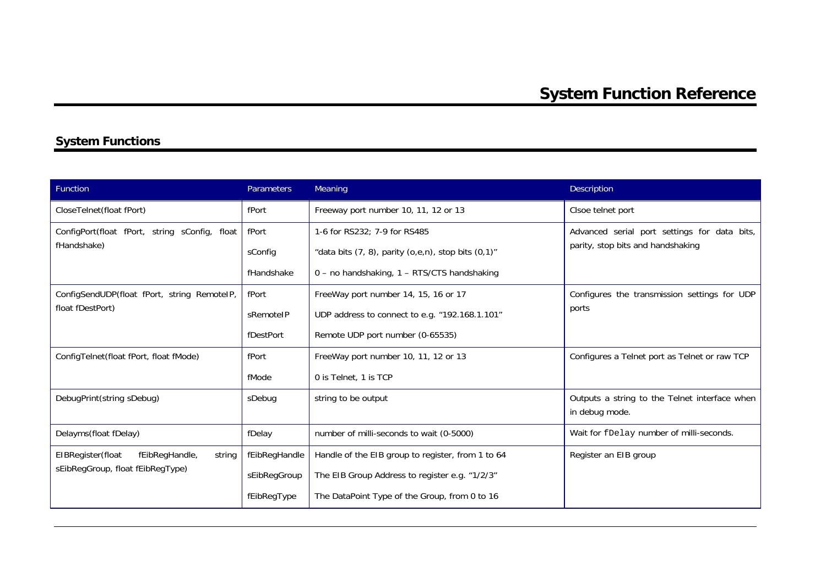## **System Functions**

| Function                                      | <b>Parameters</b> | Meaning                                                      | <b>Description</b>                                                                |
|-----------------------------------------------|-------------------|--------------------------------------------------------------|-----------------------------------------------------------------------------------|
| CloseTelnet(float fPort)                      | fPort             | Freeway port number 10, 11, 12 or 13                         | Clsoe telnet port                                                                 |
| ConfigPort(float fPort, string sConfig, float | fPort             | 1-6 for RS232; 7-9 for RS485                                 | Advanced serial port settings for data bits,<br>parity, stop bits and handshaking |
| fHandshake)                                   | sConfig           | "data bits $(7, 8)$ , parity $(o,e,n)$ , stop bits $(0,1)$ " |                                                                                   |
|                                               | fHandshake        | 0 - no handshaking, 1 - RTS/CTS handshaking                  |                                                                                   |
| ConfigSendUDP(float fPort, string RemoteIP,   | fPort             | FreeWay port number 14, 15, 16 or 17                         | Configures the transmission settings for UDP                                      |
| float fDestPort)                              | sRemoteIP         | UDP address to connect to e.g. "192.168.1.101"               | ports                                                                             |
|                                               | fDestPort         | Remote UDP port number (0-65535)                             |                                                                                   |
| ConfigTelnet(float fPort, float fMode)        | fPort             | FreeWay port number 10, 11, 12 or 13                         | Configures a Telnet port as Telnet or raw TCP                                     |
|                                               | fMode             | 0 is Telnet, 1 is TCP                                        |                                                                                   |
| DebugPrint(string sDebug)                     | sDebug            | string to be output                                          | Outputs a string to the Telnet interface when<br>in debug mode.                   |
| Delayms(float fDelay)                         | fDelay            | number of milli-seconds to wait (0-5000)                     | Wait for fDelay number of milli-seconds.                                          |
| EIBRegister(float<br>fEibRegHandle,<br>string | fEibRegHandle     | Handle of the EIB group to register, from 1 to 64            | Register an EIB group                                                             |
| sEibRegGroup, float fEibRegType)              | sEibRegGroup      | The EIB Group Address to register e.g. "1/2/3"               |                                                                                   |
|                                               | fEibRegType       | The DataPoint Type of the Group, from 0 to 16                |                                                                                   |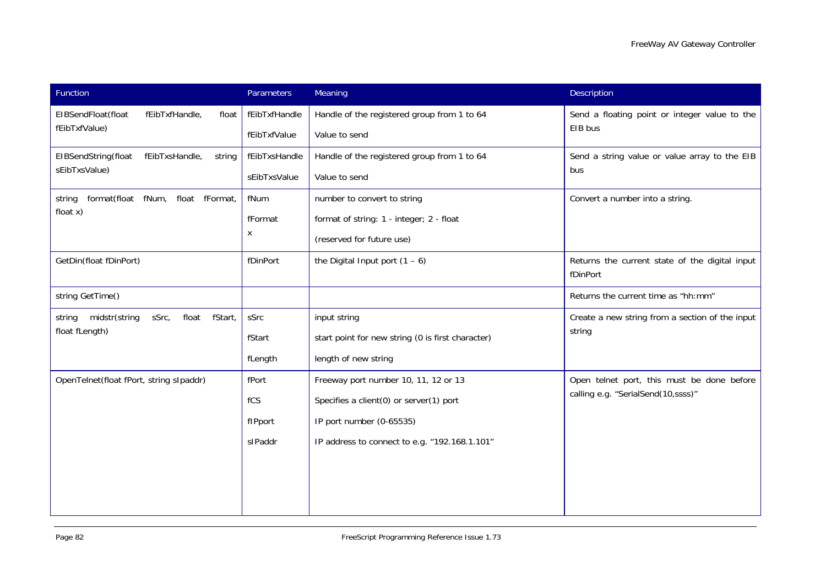| Function                                             | <b>Parameters</b> | Meaning                                           | <b>Description</b>                                                               |
|------------------------------------------------------|-------------------|---------------------------------------------------|----------------------------------------------------------------------------------|
| EIBSendFloat(float<br>fEibTxfHandle,<br>float        | fEibTxfHandle     | Handle of the registered group from 1 to 64       | Send a floating point or integer value to the                                    |
| fEibTxfValue)                                        | fEibTxfValue      | Value to send                                     | EIB bus                                                                          |
| EIBSendString(float<br>fEibTxsHandle,<br>string      | fEibTxsHandle     | Handle of the registered group from 1 to 64       | Send a string value or value array to the EIB                                    |
| sEibTxsValue)                                        | sEibTxsValue      | Value to send                                     | bus                                                                              |
| format(float fNum, float fFormat,<br>string          | fNum              | number to convert to string                       | Convert a number into a string.                                                  |
| float $x$ )                                          | fFormat           | format of string: 1 - integer; 2 - float          |                                                                                  |
|                                                      | x                 | (reserved for future use)                         |                                                                                  |
| GetDin(float fDinPort)                               | fDinPort          | the Digital Input port $(1 - 6)$                  | Returns the current state of the digital input                                   |
|                                                      |                   |                                                   | fDinPort                                                                         |
| string GetTime()                                     |                   |                                                   | Returns the current time as "hh:mm"                                              |
| midstr(string<br>sSrc,<br>float<br>fStart,<br>string | sSrc              | input string                                      | Create a new string from a section of the input<br>string                        |
| float fLength)                                       | fStart            | start point for new string (0 is first character) |                                                                                  |
|                                                      | fLength           | length of new string                              |                                                                                  |
| OpenTelnet(float fPort, string sIpaddr)              | fPort             | Freeway port number 10, 11, 12 or 13              | Open telnet port, this must be done before<br>calling e.g. "SerialSend(10,ssss)" |
|                                                      | fCS               | Specifies a client(0) or server(1) port           |                                                                                  |
|                                                      | flPport           | IP port number (0-65535)                          |                                                                                  |
|                                                      | slPaddr           | IP address to connect to e.g. "192.168.1.101"     |                                                                                  |
|                                                      |                   |                                                   |                                                                                  |
|                                                      |                   |                                                   |                                                                                  |
|                                                      |                   |                                                   |                                                                                  |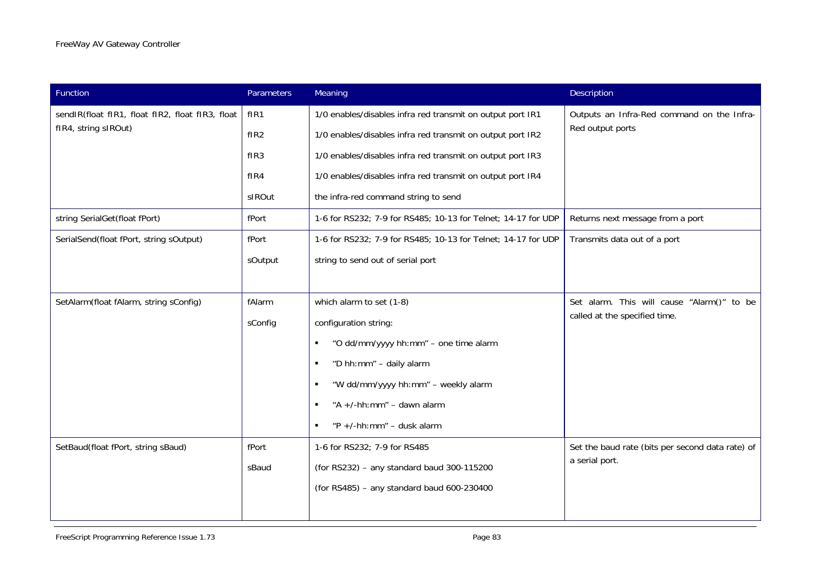| Function                                         | <b>Parameters</b> | Meaning                                                       | Description                                      |
|--------------------------------------------------|-------------------|---------------------------------------------------------------|--------------------------------------------------|
| sendIR(float fIR1, float fIR2, float fIR3, float | fIR1              | 1/0 enables/disables infra red transmit on output port IR1    | Outputs an Infra-Red command on the Infra-       |
| fIR4, string sIROut)                             | fIR2              | 1/0 enables/disables infra red transmit on output port IR2    | Red output ports                                 |
|                                                  | fIR3              | 1/0 enables/disables infra red transmit on output port IR3    |                                                  |
|                                                  | fIR4              | 1/0 enables/disables infra red transmit on output port IR4    |                                                  |
|                                                  | sIROut            | the infra-red command string to send                          |                                                  |
| string SerialGet(float fPort)                    | fPort             | 1-6 for RS232; 7-9 for RS485; 10-13 for Telnet; 14-17 for UDP | Returns next message from a port                 |
| SerialSend(float fPort, string sOutput)          | fPort             | 1-6 for RS232; 7-9 for RS485; 10-13 for Telnet; 14-17 for UDP | Transmits data out of a port                     |
|                                                  | sOutput           | string to send out of serial port                             |                                                  |
|                                                  |                   |                                                               |                                                  |
| SetAlarm(float fAlarm, string sConfig)           | fAlarm            | which alarm to set (1-8)                                      | Set alarm. This will cause "Alarm()" to be       |
|                                                  | sConfig           | configuration string:                                         | called at the specified time.                    |
|                                                  |                   | "O dd/mm/yyyy hh:mm" - one time alarm                         |                                                  |
|                                                  |                   | "D hh:mm" - daily alarm                                       |                                                  |
|                                                  |                   | "W dd/mm/yyyy hh:mm" - weekly alarm                           |                                                  |
|                                                  |                   | "A +/-hh:mm" - dawn alarm                                     |                                                  |
|                                                  |                   | "P +/-hh:mm" - dusk alarm                                     |                                                  |
| SetBaud(float fPort, string sBaud)               | fPort             | 1-6 for RS232; 7-9 for RS485                                  | Set the baud rate (bits per second data rate) of |
|                                                  | sBaud             | (for RS232) - any standard baud 300-115200                    | a serial port.                                   |
|                                                  |                   | (for RS485) - any standard baud $600-230400$                  |                                                  |
|                                                  |                   |                                                               |                                                  |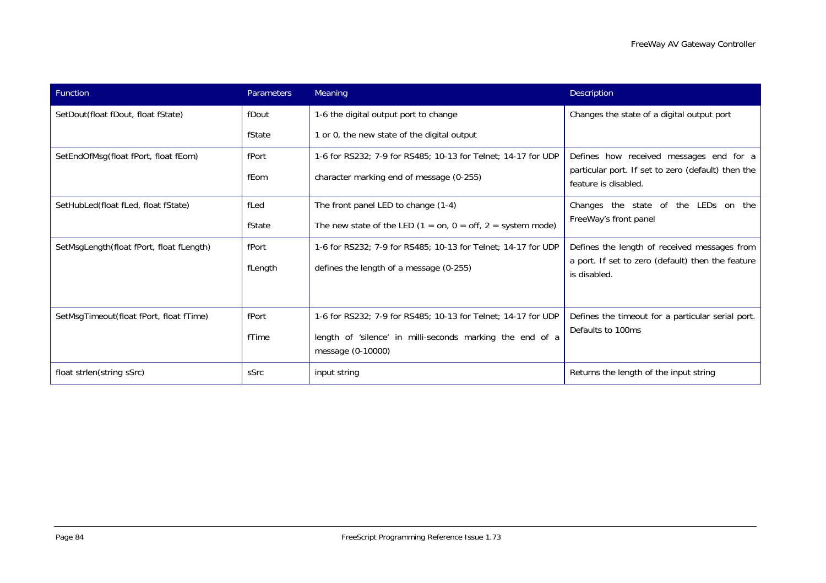| Function                                 | <b>Parameters</b> | <b>Meaning</b>                                                                 | Description                                                                |
|------------------------------------------|-------------------|--------------------------------------------------------------------------------|----------------------------------------------------------------------------|
| SetDout(float fDout, float fState)       | fDout             | 1-6 the digital output port to change                                          | Changes the state of a digital output port                                 |
|                                          | fState            | 1 or 0, the new state of the digital output                                    |                                                                            |
| SetEndOfMsg(float fPort, float fEom)     | fPort             | 1-6 for RS232; 7-9 for RS485; 10-13 for Telnet; 14-17 for UDP                  | Defines how received messages end for a                                    |
|                                          | fEom              | character marking end of message (0-255)                                       | particular port. If set to zero (default) then the<br>feature is disabled. |
| SetHubLed(float fLed, float fState)      | fLed              | The front panel LED to change (1-4)                                            | Changes the state of the LEDs on the                                       |
|                                          | fState            | The new state of the LED $(1 = on, 0 = off, 2 = system mode)$                  | FreeWay's front panel                                                      |
| SetMsgLength(float fPort, float fLength) | fPort             | 1-6 for RS232; 7-9 for RS485; 10-13 for Telnet; 14-17 for UDP                  | Defines the length of received messages from                               |
|                                          | fLength           | defines the length of a message (0-255)                                        | a port. If set to zero (default) then the feature<br>is disabled.          |
|                                          |                   |                                                                                |                                                                            |
| SetMsgTimeout(float fPort, float fTime)  | fPort             | 1-6 for RS232; 7-9 for RS485; 10-13 for Telnet; 14-17 for UDP                  | Defines the timeout for a particular serial port.                          |
|                                          | fTime             | length of 'silence' in milli-seconds marking the end of a<br>message (0-10000) | Defaults to 100ms                                                          |
| float strlen(string sSrc)                | sSrc              | input string                                                                   | Returns the length of the input string                                     |